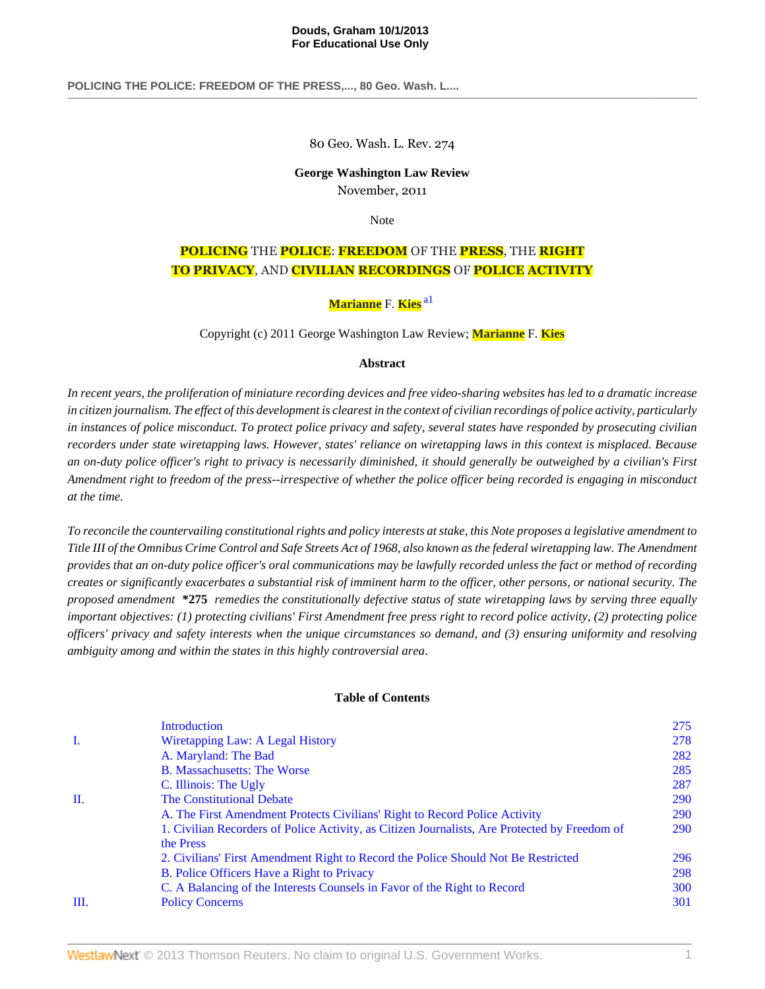**POLICING THE POLICE: FREEDOM OF THE PRESS,..., 80 Geo. Wash. L....**

## 80 Geo. Wash. L. Rev. 274

# **George Washington Law Review** November, 2011

<span id="page-0-0"></span>Note

# **POLICING** THE **POLICE**: **FREEDOM** OF THE **PRESS**, THE **RIGHT TO PRIVACY**, AND **CIVILIAN RECORDINGS** OF **POLICE ACTIVITY**

# **Marianne** F. **Kies** [a1](#page-17-0)

Copyright (c) 2011 George Washington Law Review; **Marianne** F. **Kies**

# **Abstract**

*In recent years, the proliferation of miniature recording devices and free video-sharing websites has led to a dramatic increase in citizen journalism. The effect of this development is clearest in the context of civilian recordings of police activity, particularly in instances of police misconduct. To protect police privacy and safety, several states have responded by prosecuting civilian recorders under state wiretapping laws. However, states' reliance on wiretapping laws in this context is misplaced. Because an on-duty police officer's right to privacy is necessarily diminished, it should generally be outweighed by a civilian's First Amendment right to freedom of the press--irrespective of whether the police officer being recorded is engaging in misconduct at the time*.

*To reconcile the countervailing constitutional rights and policy interests at stake, this Note proposes a legislative amendment to Title III of the Omnibus Crime Control and Safe Streets Act of 1968, also known as the federal wiretapping law. The Amendment provides that an on-duty police officer's oral communications may be lawfully recorded unless the fact or method of recording creates or significantly exacerbates a substantial risk of imminent harm to the officer, other persons, or national security. The proposed amendment* **\*275** *remedies the constitutionally defective status of state wiretapping laws by serving three equally important objectives: (1) protecting civilians' First Amendment free press right to record police activity, (2) protecting police officers' privacy and safety interests when the unique circumstances so demand, and (3) ensuring uniformity and resolving ambiguity among and within the states in this highly controversial area*.

## **Table of Contents**

|    | <b>Introduction</b>                                                                           | 275 |
|----|-----------------------------------------------------------------------------------------------|-----|
| L. | Wiretapping Law: A Legal History                                                              | 278 |
|    | A. Maryland: The Bad                                                                          | 282 |
|    | <b>B.</b> Massachusetts: The Worse                                                            | 285 |
|    | C. Illinois: The Ugly                                                                         | 287 |
| H. | <b>The Constitutional Debate</b>                                                              | 290 |
|    | A. The First Amendment Protects Civilians' Right to Record Police Activity                    | 290 |
|    | 1. Civilian Recorders of Police Activity, as Citizen Journalists, Are Protected by Freedom of | 290 |
|    | the Press                                                                                     |     |
|    | 2. Civilians' First Amendment Right to Record the Police Should Not Be Restricted             | 296 |
|    | B. Police Officers Have a Right to Privacy                                                    | 298 |
|    | C. A Balancing of the Interests Counsels in Favor of the Right to Record                      | 300 |
| Ш. | <b>Policy Concerns</b>                                                                        | 301 |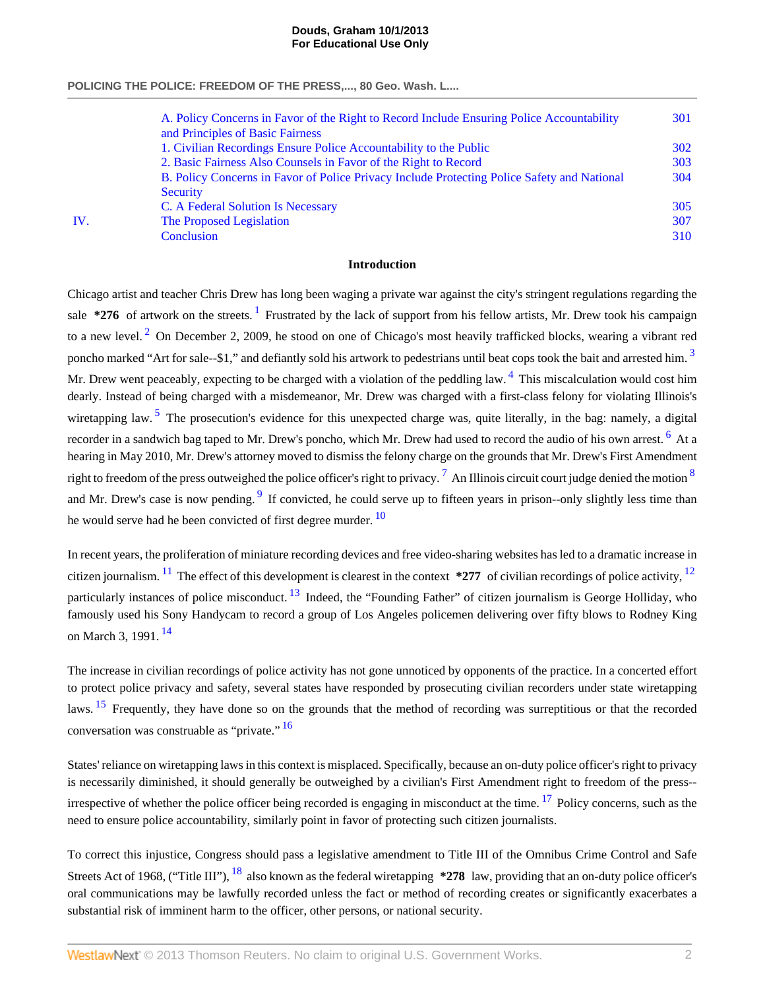# **POLICING THE POLICE: FREEDOM OF THE PRESS,..., 80 Geo. Wash. L....**

|     | A. Policy Concerns in Favor of the Right to Record Include Ensuring Police Accountability<br>and Principles of Basic Fairness | <b>301</b> |
|-----|-------------------------------------------------------------------------------------------------------------------------------|------------|
|     | 1. Civilian Recordings Ensure Police Accountability to the Public                                                             | <b>302</b> |
|     | 2. Basic Fairness Also Counsels in Favor of the Right to Record                                                               | <b>303</b> |
|     | B. Policy Concerns in Favor of Police Privacy Include Protecting Police Safety and National                                   | 304        |
|     | Security                                                                                                                      |            |
|     | C. A Federal Solution Is Necessary                                                                                            | 305        |
| IV. | The Proposed Legislation                                                                                                      | 307        |
|     | Conclusion                                                                                                                    | 310        |
|     |                                                                                                                               |            |

# <span id="page-1-12"></span><span id="page-1-10"></span><span id="page-1-8"></span><span id="page-1-7"></span><span id="page-1-6"></span><span id="page-1-4"></span><span id="page-1-3"></span><span id="page-1-1"></span>**Introduction**

<span id="page-1-5"></span><span id="page-1-2"></span><span id="page-1-0"></span>Chicago artist and teacher Chris Drew has long been waging a private war against the city's stringent regulations regarding the sale \*276 of artwork on the streets.<sup>[1](#page-17-1)</sup> Frustrated by the lack of support from his fellow artists, Mr. Drew took his campaign to a new level.<sup>[2](#page-17-2)</sup> On December 2, 2009, he stood on one of Chicago's most heavily trafficked blocks, wearing a vibrant red poncho marked "Art for sale--\$1," and defiantly sold his artwork to pedestrians until beat cops took the bait and arrested him.<sup>[3](#page-17-3)</sup> Mr. Drew went peaceably, expecting to be charged with a violation of the peddling law. <sup>[4](#page-17-4)</sup> This miscalculation would cost him dearly. Instead of being charged with a misdemeanor, Mr. Drew was charged with a first-class felony for violating Illinois's wiretapping law.<sup>[5](#page-17-5)</sup> The prosecution's evidence for this unexpected charge was, quite literally, in the bag: namely, a digital recorder in a sandwich bag taped to Mr. Drew's poncho, which Mr. Drew had used to record the audio of his own arrest. <sup>[6](#page-17-6)</sup> At a hearing in May 2010, Mr. Drew's attorney moved to dismiss the felony charge on the grounds that Mr. Drew's First Amendment right to freedom of the press outweighed the police officer's right to privacy.  $^7$  $^7$  An Illinois circuit court judge denied the motion  $^8$  $^8$ and Mr. Drew's case is now pending. <sup>[9](#page-17-9)</sup> If convicted, he could serve up to fifteen years in prison--only slightly less time than he would serve had he been convicted of first degree murder. <sup>[10](#page-17-10)</sup>

<span id="page-1-13"></span><span id="page-1-11"></span><span id="page-1-9"></span>In recent years, the proliferation of miniature recording devices and free video-sharing websites has led to a dramatic increase in citizen journalism. <sup>[11](#page-17-11)</sup> The effect of this development is clearest in the context  $*277$  of civilian recordings of police activity, <sup>[12](#page-17-12)</sup> particularly instances of police misconduct. <sup>[13](#page-17-13)</sup> Indeed, the "Founding Father" of citizen journalism is George Holliday, who famously used his Sony Handycam to record a group of Los Angeles policemen delivering over fifty blows to Rodney King on March 3, 1991.<sup>[14](#page-17-14)</sup>

<span id="page-1-15"></span><span id="page-1-14"></span>The increase in civilian recordings of police activity has not gone unnoticed by opponents of the practice. In a concerted effort to protect police privacy and safety, several states have responded by prosecuting civilian recorders under state wiretapping laws. <sup>[15](#page-17-15)</sup> Frequently, they have done so on the grounds that the method of recording was surreptitious or that the recorded conversation was construable as "private." [16](#page-17-16)

<span id="page-1-17"></span><span id="page-1-16"></span>States' reliance on wiretapping laws in this context is misplaced. Specifically, because an on-duty police officer's right to privacy is necessarily diminished, it should generally be outweighed by a civilian's First Amendment right to freedom of the press- irrespective of whether the police officer being recorded is engaging in misconduct at the time.  $^{17}$  $^{17}$  $^{17}$  Policy concerns, such as the need to ensure police accountability, similarly point in favor of protecting such citizen journalists.

<span id="page-1-18"></span>To correct this injustice, Congress should pass a legislative amendment to Title III of the Omnibus Crime Control and Safe Streets Act of 1968, ("Title III"), [18](#page-18-1) also known as the federal wiretapping **\*278** law, providing that an on-duty police officer's oral communications may be lawfully recorded unless the fact or method of recording creates or significantly exacerbates a substantial risk of imminent harm to the officer, other persons, or national security.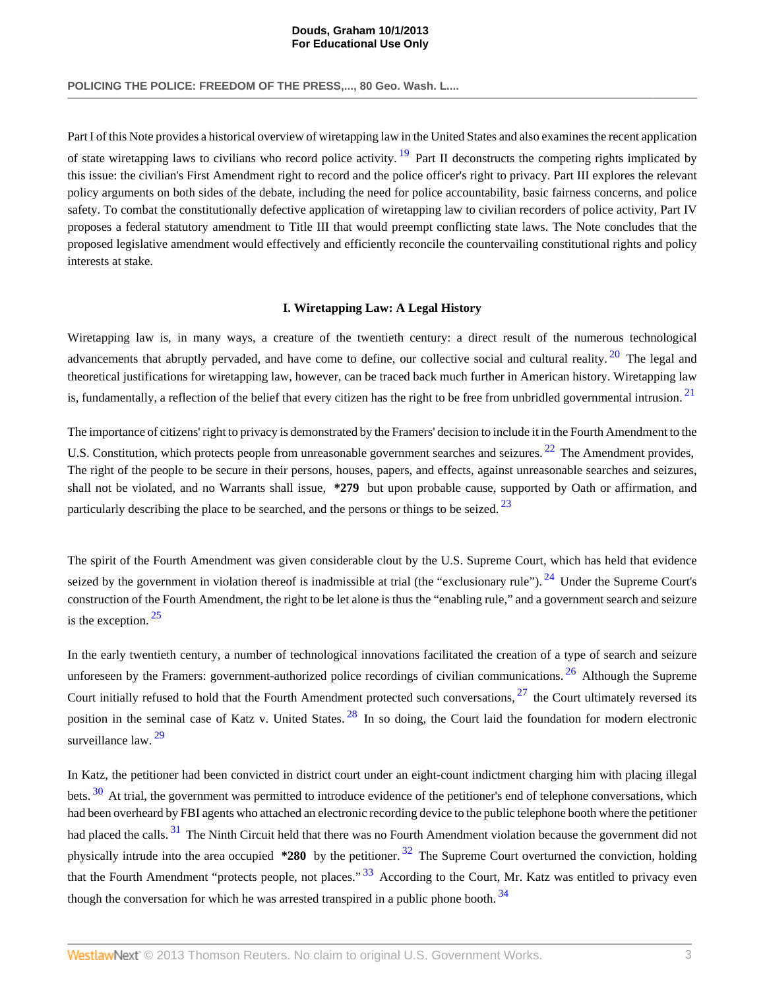## **POLICING THE POLICE: FREEDOM OF THE PRESS,..., 80 Geo. Wash. L....**

Part I of this Note provides a historical overview of wiretapping law in the United States and also examines the recent application of state wiretapping laws to civilians who record police activity.  $\frac{19}{19}$  $\frac{19}{19}$  $\frac{19}{19}$  Part II deconstructs the competing rights implicated by this issue: the civilian's First Amendment right to record and the police officer's right to privacy. Part III explores the relevant policy arguments on both sides of the debate, including the need for police accountability, basic fairness concerns, and police safety. To combat the constitutionally defective application of wiretapping law to civilian recorders of police activity, Part IV proposes a federal statutory amendment to Title III that would preempt conflicting state laws. The Note concludes that the proposed legislative amendment would effectively and efficiently reconcile the countervailing constitutional rights and policy interests at stake.

# <span id="page-2-9"></span><span id="page-2-8"></span><span id="page-2-6"></span><span id="page-2-5"></span><span id="page-2-4"></span><span id="page-2-3"></span><span id="page-2-2"></span><span id="page-2-1"></span>**I. Wiretapping Law: A Legal History**

<span id="page-2-0"></span>Wiretapping law is, in many ways, a creature of the twentieth century: a direct result of the numerous technological advancements that abruptly pervaded, and have come to define, our collective social and cultural reality.  $^{20}$  $^{20}$  $^{20}$  The legal and theoretical justifications for wiretapping law, however, can be traced back much further in American history. Wiretapping law is, fundamentally, a reflection of the belief that every citizen has the right to be free from unbridled governmental intrusion.  $2<sup>1</sup>$ 

The importance of citizens' right to privacy is demonstrated by the Framers' decision to include it in the Fourth Amendment to the U.S. Constitution, which protects people from unreasonable government searches and seizures.<sup>[22](#page-18-5)</sup> The Amendment provides, The right of the people to be secure in their persons, houses, papers, and effects, against unreasonable searches and seizures, shall not be violated, and no Warrants shall issue, **\*279** but upon probable cause, supported by Oath or affirmation, and particularly describing the place to be searched, and the persons or things to be seized.  $^{23}$  $^{23}$  $^{23}$ 

The spirit of the Fourth Amendment was given considerable clout by the U.S. Supreme Court, which has held that evidence seized by the government in violation thereof is inadmissible at trial (the "exclusionary rule").  $^{24}$  $^{24}$  $^{24}$  Under the Supreme Court's construction of the Fourth Amendment, the right to be let alone is thus the "enabling rule," and a government search and seizure is the exception.  $25$ 

<span id="page-2-10"></span><span id="page-2-7"></span>In the early twentieth century, a number of technological innovations facilitated the creation of a type of search and seizure unforeseen by the Framers: government-authorized police recordings of civilian communications. <sup>[26](#page-18-9)</sup> Although the Supreme Court initially refused to hold that the Fourth Amendment protected such conversations,  $27$  the Court ultimately reversed its position in the seminal case of Katz v. United States.  $28$  In so doing, the Court laid the foundation for modern electronic surveillance law. [29](#page-18-12)

<span id="page-2-16"></span><span id="page-2-15"></span><span id="page-2-14"></span><span id="page-2-13"></span><span id="page-2-12"></span><span id="page-2-11"></span>In Katz, the petitioner had been convicted in district court under an eight-count indictment charging him with placing illegal bets. <sup>[30](#page-18-13)</sup> At trial, the government was permitted to introduce evidence of the petitioner's end of telephone conversations, which had been overheard by FBI agents who attached an electronic recording device to the public telephone booth where the petitioner had placed the calls. <sup>[31](#page-18-14)</sup> The Ninth Circuit held that there was no Fourth Amendment violation because the government did not physically intrude into the area occupied **\*280** by the petitioner. [32](#page-18-15) The Supreme Court overturned the conviction, holding that the Fourth Amendment "protects people, not places."<sup>[33](#page-18-16)</sup> According to the Court, Mr. Katz was entitled to privacy even though the conversation for which he was arrested transpired in a public phone booth.  $34$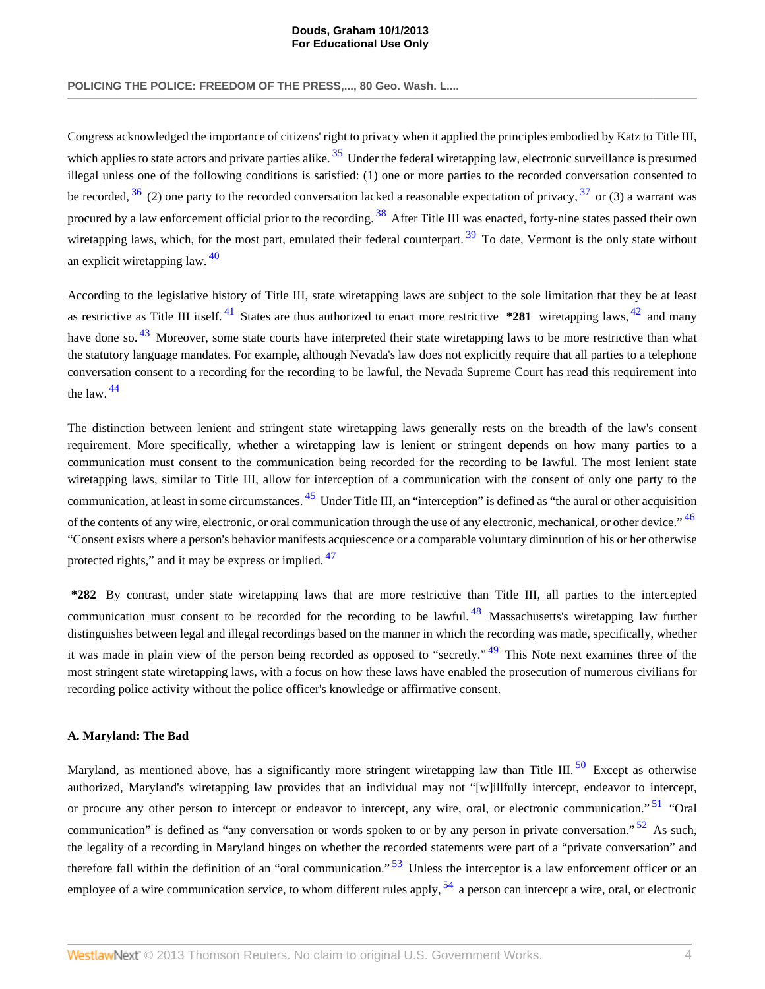### **POLICING THE POLICE: FREEDOM OF THE PRESS,..., 80 Geo. Wash. L....**

<span id="page-3-4"></span><span id="page-3-3"></span><span id="page-3-2"></span><span id="page-3-1"></span>Congress acknowledged the importance of citizens' right to privacy when it applied the principles embodied by Katz to Title III, which applies to state actors and private parties alike.  $35$  Under the federal wiretapping law, electronic surveillance is presumed illegal unless one of the following conditions is satisfied: (1) one or more parties to the recorded conversation consented to be recorded,  $36$  (2) one party to the recorded conversation lacked a reasonable expectation of privacy,  $37$  or (3) a warrant was procured by a law enforcement official prior to the recording. <sup>[38](#page-19-0)</sup> After Title III was enacted, forty-nine states passed their own wiretapping laws, which, for the most part, emulated their federal counterpart.<sup>[39](#page-19-1)</sup> To date, Vermont is the only state without an explicit wiretapping law.  $40$ 

<span id="page-3-9"></span><span id="page-3-8"></span><span id="page-3-7"></span><span id="page-3-6"></span><span id="page-3-5"></span>According to the legislative history of Title III, state wiretapping laws are subject to the sole limitation that they be at least as restrictive as Title III itself. [41](#page-19-3) States are thus authorized to enact more restrictive **\*281** wiretapping laws, [42](#page-19-4) and many have done so.<sup>[43](#page-19-5)</sup> Moreover, some state courts have interpreted their state wiretapping laws to be more restrictive than what the statutory language mandates. For example, although Nevada's law does not explicitly require that all parties to a telephone conversation consent to a recording for the recording to be lawful, the Nevada Supreme Court has read this requirement into the law. [44](#page-19-6)

<span id="page-3-11"></span><span id="page-3-10"></span>The distinction between lenient and stringent state wiretapping laws generally rests on the breadth of the law's consent requirement. More specifically, whether a wiretapping law is lenient or stringent depends on how many parties to a communication must consent to the communication being recorded for the recording to be lawful. The most lenient state wiretapping laws, similar to Title III, allow for interception of a communication with the consent of only one party to the communication, at least in some circumstances. <sup>[45](#page-19-7)</sup> Under Title III, an "interception" is defined as "the aural or other acquisition of the contents of any wire, electronic, or oral communication through the use of any electronic, mechanical, or other device." <sup>[46](#page-19-8)</sup> "Consent exists where a person's behavior manifests acquiescence or a comparable voluntary diminution of his or her otherwise protected rights," and it may be express or implied. <sup>[47](#page-19-9)</sup>

<span id="page-3-15"></span><span id="page-3-14"></span><span id="page-3-13"></span><span id="page-3-12"></span>**\*282** By contrast, under state wiretapping laws that are more restrictive than Title III, all parties to the intercepted communication must consent to be recorded for the recording to be lawful.  $^{48}$  $^{48}$  $^{48}$  Massachusetts's wiretapping law further distinguishes between legal and illegal recordings based on the manner in which the recording was made, specifically, whether it was made in plain view of the person being recorded as opposed to "secretly."<sup>[49](#page-19-11)</sup> This Note next examines three of the most stringent state wiretapping laws, with a focus on how these laws have enabled the prosecution of numerous civilians for recording police activity without the police officer's knowledge or affirmative consent.

## <span id="page-3-0"></span>**A. Maryland: The Bad**

<span id="page-3-20"></span><span id="page-3-19"></span><span id="page-3-18"></span><span id="page-3-17"></span><span id="page-3-16"></span>Maryland, as mentioned above, has a significantly more stringent wiretapping law than Title III.  $50$  Except as otherwise authorized, Maryland's wiretapping law provides that an individual may not "[w]illfully intercept, endeavor to intercept, or procure any other person to intercept or endeavor to intercept, any wire, oral, or electronic communication."<sup>[51](#page-19-13)</sup> "Oral communication" is defined as "any conversation or words spoken to or by any person in private conversation."  $52$  As such, the legality of a recording in Maryland hinges on whether the recorded statements were part of a "private conversation" and therefore fall within the definition of an "oral communication."  $53$  Unless the interceptor is a law enforcement officer or an employee of a wire communication service, to whom different rules apply,  $54$  a person can intercept a wire, oral, or electronic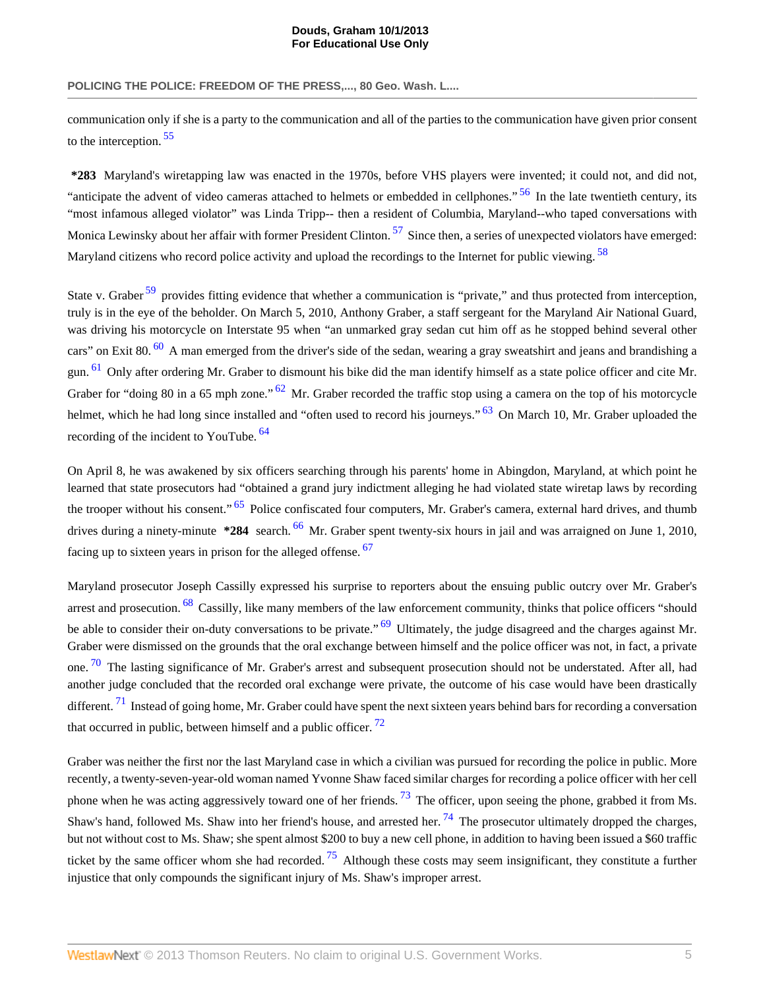## **POLICING THE POLICE: FREEDOM OF THE PRESS,..., 80 Geo. Wash. L....**

<span id="page-4-0"></span>communication only if she is a party to the communication and all of the parties to the communication have given prior consent to the interception. [55](#page-20-2)

<span id="page-4-2"></span><span id="page-4-1"></span>**\*283** Maryland's wiretapping law was enacted in the 1970s, before VHS players were invented; it could not, and did not, "anticipate the advent of video cameras attached to helmets or embedded in cellphones." <sup>[56](#page-20-3)</sup> In the late twentieth century, its "most infamous alleged violator" was Linda Tripp-- then a resident of Columbia, Maryland--who taped conversations with Monica Lewinsky about her affair with former President Clinton.  $57$  Since then, a series of unexpected violators have emerged: Maryland citizens who record police activity and upload the recordings to the Internet for public viewing.<sup>[58](#page-20-5)</sup>

<span id="page-4-6"></span><span id="page-4-5"></span><span id="page-4-4"></span><span id="page-4-3"></span>State v. Graber <sup>[59](#page-20-6)</sup> provides fitting evidence that whether a communication is "private," and thus protected from interception, truly is in the eye of the beholder. On March 5, 2010, Anthony Graber, a staff sergeant for the Maryland Air National Guard, was driving his motorcycle on Interstate 95 when "an unmarked gray sedan cut him off as he stopped behind several other cars" on Exit 80.  $^{60}$  $^{60}$  $^{60}$  A man emerged from the driver's side of the sedan, wearing a gray sweatshirt and jeans and brandishing a gun. <sup>[61](#page-20-8)</sup> Only after ordering Mr. Graber to dismount his bike did the man identify himself as a state police officer and cite Mr. Graber for "doing 80 in a 65 mph zone."  $62$  Mr. Graber recorded the traffic stop using a camera on the top of his motorcycle helmet, which he had long since installed and "often used to record his journeys." <sup>[63](#page-20-10)</sup> On March 10, Mr. Graber uploaded the recording of the incident to YouTube. <sup>[64](#page-20-11)</sup>

<span id="page-4-11"></span><span id="page-4-10"></span><span id="page-4-9"></span><span id="page-4-8"></span><span id="page-4-7"></span>On April 8, he was awakened by six officers searching through his parents' home in Abingdon, Maryland, at which point he learned that state prosecutors had "obtained a grand jury indictment alleging he had violated state wiretap laws by recording the trooper without his consent." <sup>[65](#page-20-12)</sup> Police confiscated four computers, Mr. Graber's camera, external hard drives, and thumb drives during a ninety-minute **\*284** search. <sup>[66](#page-20-13)</sup> Mr. Graber spent twenty-six hours in jail and was arraigned on June 1, 2010, facing up to sixteen years in prison for the alleged offense.<sup>[67](#page-20-14)</sup>

<span id="page-4-15"></span><span id="page-4-14"></span><span id="page-4-13"></span><span id="page-4-12"></span>Maryland prosecutor Joseph Cassilly expressed his surprise to reporters about the ensuing public outcry over Mr. Graber's arrest and prosecution. <sup>[68](#page-20-15)</sup> Cassilly, like many members of the law enforcement community, thinks that police officers "should be able to consider their on-duty conversations to be private." <sup>[69](#page-20-16)</sup> Ultimately, the judge disagreed and the charges against Mr. Graber were dismissed on the grounds that the oral exchange between himself and the police officer was not, in fact, a private one.  $\frac{70}{10}$  $\frac{70}{10}$  $\frac{70}{10}$  The lasting significance of Mr. Graber's arrest and subsequent prosecution should not be understated. After all, had another judge concluded that the recorded oral exchange were private, the outcome of his case would have been drastically different.  $^{71}$  $^{71}$  $^{71}$  Instead of going home, Mr. Graber could have spent the next sixteen years behind bars for recording a conversation that occurred in public, between himself and a public officer.  $72$ 

<span id="page-4-20"></span><span id="page-4-19"></span><span id="page-4-18"></span><span id="page-4-17"></span><span id="page-4-16"></span>Graber was neither the first nor the last Maryland case in which a civilian was pursued for recording the police in public. More recently, a twenty-seven-year-old woman named Yvonne Shaw faced similar charges for recording a police officer with her cell phone when he was acting aggressively toward one of her friends.  $^{73}$  $^{73}$  $^{73}$  The officer, upon seeing the phone, grabbed it from Ms. Shaw's hand, followed Ms. Shaw into her friend's house, and arrested her.  $^{74}$  $^{74}$  $^{74}$  The prosecutor ultimately dropped the charges, but not without cost to Ms. Shaw; she spent almost \$200 to buy a new cell phone, in addition to having been issued a \$60 traffic ticket by the same officer whom she had recorded.<sup>[75](#page-20-22)</sup> Although these costs may seem insignificant, they constitute a further injustice that only compounds the significant injury of Ms. Shaw's improper arrest.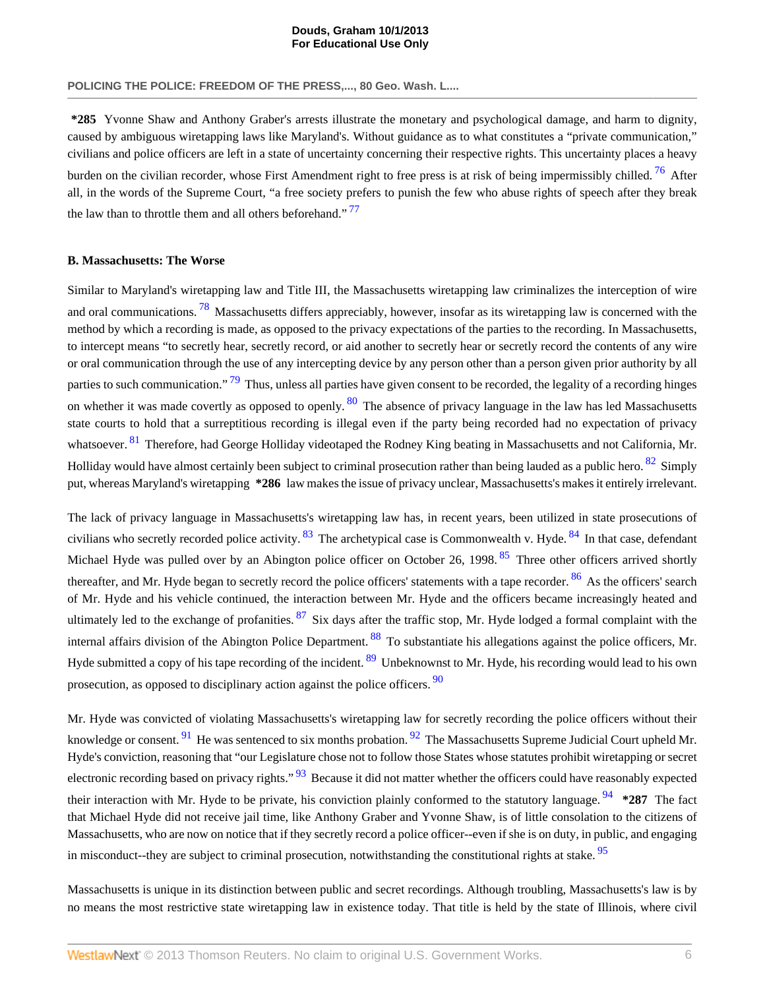## **POLICING THE POLICE: FREEDOM OF THE PRESS,..., 80 Geo. Wash. L....**

<span id="page-5-1"></span>**\*285** Yvonne Shaw and Anthony Graber's arrests illustrate the monetary and psychological damage, and harm to dignity, caused by ambiguous wiretapping laws like Maryland's. Without guidance as to what constitutes a "private communication," civilians and police officers are left in a state of uncertainty concerning their respective rights. This uncertainty places a heavy burden on the civilian recorder, whose First Amendment right to free press is at risk of being impermissibly chilled.<sup>[76](#page-20-23)</sup> After all, in the words of the Supreme Court, "a free society prefers to punish the few who abuse rights of speech after they break the law than to throttle them and all others beforehand."<sup>[77](#page-20-24)</sup>

## <span id="page-5-2"></span><span id="page-5-0"></span>**B. Massachusetts: The Worse**

<span id="page-5-5"></span><span id="page-5-4"></span><span id="page-5-3"></span>Similar to Maryland's wiretapping law and Title III, the Massachusetts wiretapping law criminalizes the interception of wire and oral communications.<sup>[78](#page-20-25)</sup> Massachusetts differs appreciably, however, insofar as its wiretapping law is concerned with the method by which a recording is made, as opposed to the privacy expectations of the parties to the recording. In Massachusetts, to intercept means "to secretly hear, secretly record, or aid another to secretly hear or secretly record the contents of any wire or oral communication through the use of any intercepting device by any person other than a person given prior authority by all parties to such communication."<sup>[79](#page-20-26)</sup> Thus, unless all parties have given consent to be recorded, the legality of a recording hinges on whether it was made covertly as opposed to openly.  $80$  The absence of privacy language in the law has led Massachusetts state courts to hold that a surreptitious recording is illegal even if the party being recorded had no expectation of privacy whatsoever. <sup>[81](#page-21-1)</sup> Therefore, had George Holliday videotaped the Rodney King beating in Massachusetts and not California, Mr. Holliday would have almost certainly been subject to criminal prosecution rather than being lauded as a public hero. <sup>[82](#page-21-2)</sup> Simply put, whereas Maryland's wiretapping **\*286** law makes the issue of privacy unclear, Massachusetts's makes it entirely irrelevant.

<span id="page-5-12"></span><span id="page-5-11"></span><span id="page-5-10"></span><span id="page-5-9"></span><span id="page-5-8"></span><span id="page-5-7"></span><span id="page-5-6"></span>The lack of privacy language in Massachusetts's wiretapping law has, in recent years, been utilized in state prosecutions of civilians who secretly recorded police activity.  $83$  The archetypical case is Commonwealth v. Hyde.  $84$  In that case, defendant Michael Hyde was pulled over by an Abington police officer on October 26, 1998.<sup>[85](#page-21-5)</sup> Three other officers arrived shortly thereafter, and Mr. Hyde began to secretly record the police officers' statements with a tape recorder. <sup>[86](#page-21-6)</sup> As the officers' search of Mr. Hyde and his vehicle continued, the interaction between Mr. Hyde and the officers became increasingly heated and ultimately led to the exchange of profanities.  $87$  Six days after the traffic stop, Mr. Hyde lodged a formal complaint with the internal affairs division of the Abington Police Department. <sup>[88](#page-21-8)</sup> To substantiate his allegations against the police officers, Mr. Hyde submitted a copy of his tape recording of the incident. <sup>[89](#page-21-9)</sup> Unbeknownst to Mr. Hyde, his recording would lead to his own prosecution, as opposed to disciplinary action against the police officers. <sup>[90](#page-21-10)</sup>

<span id="page-5-19"></span><span id="page-5-18"></span><span id="page-5-17"></span><span id="page-5-16"></span><span id="page-5-15"></span><span id="page-5-14"></span><span id="page-5-13"></span>Mr. Hyde was convicted of violating Massachusetts's wiretapping law for secretly recording the police officers without their knowledge or consent. <sup>[91](#page-21-11)</sup> He was sentenced to six months probation. <sup>[92](#page-21-12)</sup> The Massachusetts Supreme Judicial Court upheld Mr. Hyde's conviction, reasoning that "our Legislature chose not to follow those States whose statutes prohibit wiretapping or secret electronic recording based on privacy rights."  $93$  Because it did not matter whether the officers could have reasonably expected their interaction with Mr. Hyde to be private, his conviction plainly conformed to the statutory language. [94](#page-21-14) **\*287** The fact that Michael Hyde did not receive jail time, like Anthony Graber and Yvonne Shaw, is of little consolation to the citizens of Massachusetts, who are now on notice that if they secretly record a police officer--even if she is on duty, in public, and engaging in misconduct--they are subject to criminal prosecution, notwithstanding the constitutional rights at stake. <sup>[95](#page-21-15)</sup>

<span id="page-5-20"></span>Massachusetts is unique in its distinction between public and secret recordings. Although troubling, Massachusetts's law is by no means the most restrictive state wiretapping law in existence today. That title is held by the state of Illinois, where civil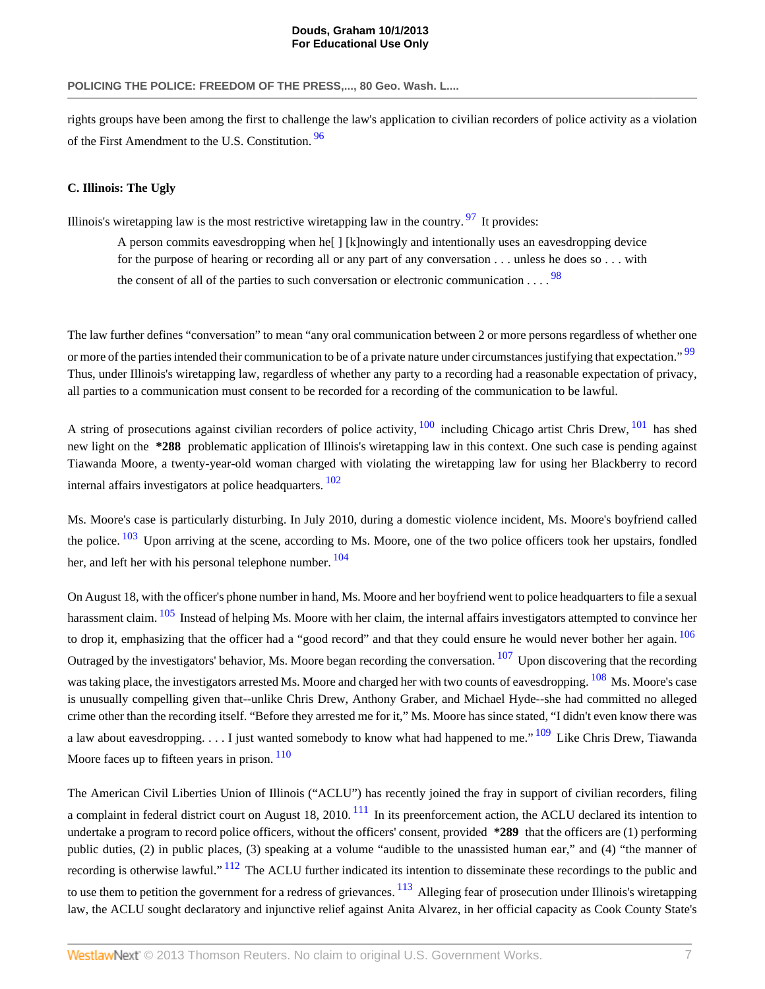**POLICING THE POLICE: FREEDOM OF THE PRESS,..., 80 Geo. Wash. L....**

rights groups have been among the first to challenge the law's application to civilian recorders of police activity as a violation of the First Amendment to the U.S. Constitution.<sup>[96](#page-21-16)</sup>

# <span id="page-6-0"></span>**C. Illinois: The Ugly**

Illinois's wiretapping law is the most restrictive wiretapping law in the country.  $\frac{97}{11}$  $\frac{97}{11}$  $\frac{97}{11}$  It provides:

<span id="page-6-6"></span><span id="page-6-5"></span><span id="page-6-4"></span><span id="page-6-3"></span><span id="page-6-2"></span><span id="page-6-1"></span>A person commits eavesdropping when he[ ] [k]nowingly and intentionally uses an eavesdropping device for the purpose of hearing or recording all or any part of any conversation . . . unless he does so . . . with the consent of all of the parties to such conversation or electronic communication  $\ldots$ .

The law further defines "conversation" to mean "any oral communication between 2 or more persons regardless of whether one or more of the parties intended their communication to be of a private nature under circumstances justifying that expectation."<sup>[99](#page-21-19)</sup> Thus, under Illinois's wiretapping law, regardless of whether any party to a recording had a reasonable expectation of privacy, all parties to a communication must consent to be recorded for a recording of the communication to be lawful.

A string of prosecutions against civilian recorders of police activity,  $^{100}$  $^{100}$  $^{100}$  including Chicago artist Chris Drew,  $^{101}$  $^{101}$  $^{101}$  has shed new light on the **\*288** problematic application of Illinois's wiretapping law in this context. One such case is pending against Tiawanda Moore, a twenty-year-old woman charged with violating the wiretapping law for using her Blackberry to record internal affairs investigators at police headquarters.  $102$ 

<span id="page-6-9"></span><span id="page-6-8"></span><span id="page-6-7"></span>Ms. Moore's case is particularly disturbing. In July 2010, during a domestic violence incident, Ms. Moore's boyfriend called the police. <sup>[103](#page-21-23)</sup> Upon arriving at the scene, according to Ms. Moore, one of the two police officers took her upstairs, fondled her, and left her with his personal telephone number.  $104$ 

<span id="page-6-13"></span><span id="page-6-12"></span><span id="page-6-11"></span><span id="page-6-10"></span>On August 18, with the officer's phone number in hand, Ms. Moore and her boyfriend went to police headquarters to file a sexual harassment claim. <sup>[105](#page-21-25)</sup> Instead of helping Ms. Moore with her claim, the internal affairs investigators attempted to convince her to drop it, emphasizing that the officer had a "good record" and that they could ensure he would never bother her again. <sup>[106](#page-22-0)</sup> Outraged by the investigators' behavior, Ms. Moore began recording the conversation. <sup>[107](#page-22-1)</sup> Upon discovering that the recording was taking place, the investigators arrested Ms. Moore and charged her with two counts of eavesdropping. <sup>[108](#page-22-2)</sup> Ms. Moore's case is unusually compelling given that--unlike Chris Drew, Anthony Graber, and Michael Hyde--she had committed no alleged crime other than the recording itself. "Before they arrested me for it," Ms. Moore has since stated, "I didn't even know there was a law about eavesdropping.  $\dots$  I just wanted somebody to know what had happened to me."  $^{109}$  $^{109}$  $^{109}$  Like Chris Drew, Tiawanda Moore faces up to fifteen years in prison.  $\frac{110}{10}$  $\frac{110}{10}$  $\frac{110}{10}$ 

<span id="page-6-18"></span><span id="page-6-17"></span><span id="page-6-16"></span><span id="page-6-15"></span><span id="page-6-14"></span>The American Civil Liberties Union of Illinois ("ACLU") has recently joined the fray in support of civilian recorders, filing a complaint in federal district court on August 18, 2010.  $^{111}$  $^{111}$  $^{111}$  In its preenforcement action, the ACLU declared its intention to undertake a program to record police officers, without the officers' consent, provided **\*289** that the officers are (1) performing public duties, (2) in public places, (3) speaking at a volume "audible to the unassisted human ear," and (4) "the manner of recording is otherwise lawful." <sup>[112](#page-22-6)</sup> The ACLU further indicated its intention to disseminate these recordings to the public and to use them to petition the government for a redress of grievances.  $^{113}$  $^{113}$  $^{113}$  Alleging fear of prosecution under Illinois's wiretapping law, the ACLU sought declaratory and injunctive relief against Anita Alvarez, in her official capacity as Cook County State's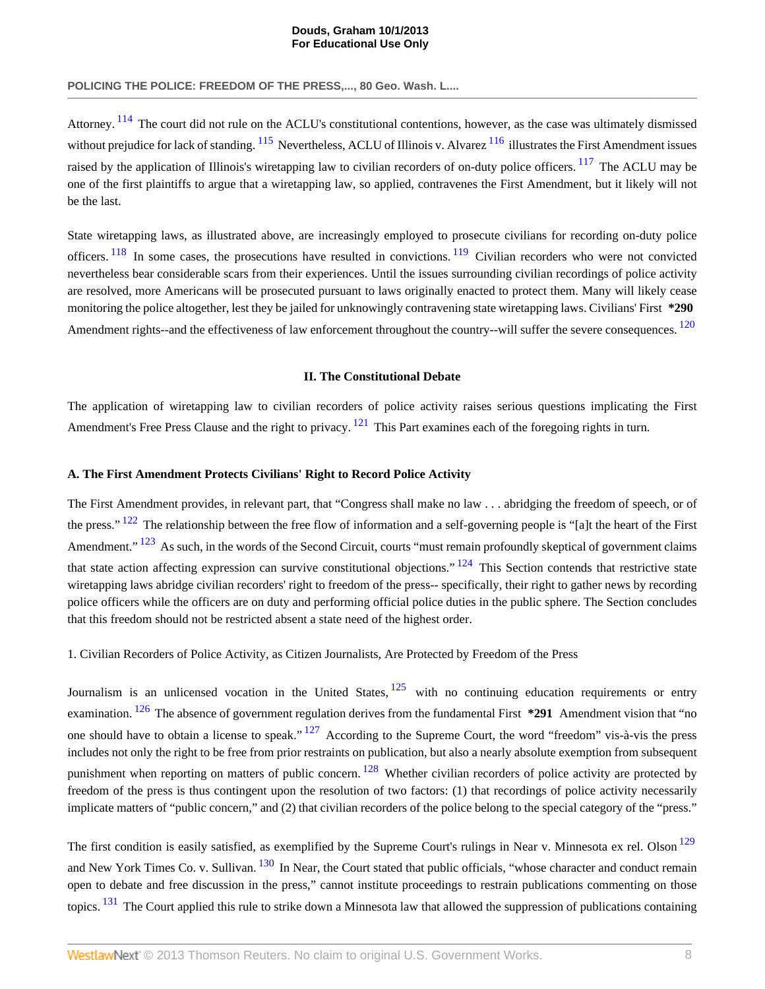**POLICING THE POLICE: FREEDOM OF THE PRESS,..., 80 Geo. Wash. L....**

<span id="page-7-4"></span><span id="page-7-3"></span>Attorney. <sup>[114](#page-22-8)</sup> The court did not rule on the ACLU's constitutional contentions, however, as the case was ultimately dismissed without prejudice for lack of standing.  $^{115}$  $^{115}$  $^{115}$  Nevertheless, ACLU of Illinois v. Alvarez  $^{116}$  $^{116}$  $^{116}$  illustrates the First Amendment issues raised by the application of Illinois's wiretapping law to civilian recorders of on-duty police officers. <sup>[117](#page-22-11)</sup> The ACLU may be one of the first plaintiffs to argue that a wiretapping law, so applied, contravenes the First Amendment, but it likely will not be the last.

<span id="page-7-7"></span>State wiretapping laws, as illustrated above, are increasingly employed to prosecute civilians for recording on-duty police officers.  $\frac{118}{118}$  $\frac{118}{118}$  $\frac{118}{118}$  In some cases, the prosecutions have resulted in convictions.  $\frac{119}{119}$  $\frac{119}{119}$  $\frac{119}{119}$  Civilian recorders who were not convicted nevertheless bear considerable scars from their experiences. Until the issues surrounding civilian recordings of police activity are resolved, more Americans will be prosecuted pursuant to laws originally enacted to protect them. Many will likely cease monitoring the police altogether, lest they be jailed for unknowingly contravening state wiretapping laws. Civilians' First **\*290** Amendment rights--and the effectiveness of law enforcement throughout the country--will suffer the severe consequences. <sup>[120](#page-22-14)</sup>

#### <span id="page-7-18"></span><span id="page-7-14"></span><span id="page-7-13"></span><span id="page-7-10"></span><span id="page-7-9"></span><span id="page-7-8"></span><span id="page-7-6"></span><span id="page-7-5"></span>**II. The Constitutional Debate**

<span id="page-7-0"></span>The application of wiretapping law to civilian recorders of police activity raises serious questions implicating the First Amendment's Free Press Clause and the right to privacy.  $121$  This Part examines each of the foregoing rights in turn.

## <span id="page-7-1"></span>**A. The First Amendment Protects Civilians' Right to Record Police Activity**

<span id="page-7-12"></span><span id="page-7-11"></span>The First Amendment provides, in relevant part, that "Congress shall make no law . . . abridging the freedom of speech, or of the press." <sup>[122](#page-22-16)</sup> The relationship between the free flow of information and a self-governing people is "[a]t the heart of the First Amendment." <sup>[123](#page-22-17)</sup> As such, in the words of the Second Circuit, courts "must remain profoundly skeptical of government claims that state action affecting expression can survive constitutional objections."  $124$  This Section contends that restrictive state wiretapping laws abridge civilian recorders' right to freedom of the press-- specifically, their right to gather news by recording police officers while the officers are on duty and performing official police duties in the public sphere. The Section concludes that this freedom should not be restricted absent a state need of the highest order.

<span id="page-7-2"></span>1. Civilian Recorders of Police Activity, as Citizen Journalists, Are Protected by Freedom of the Press

<span id="page-7-17"></span><span id="page-7-16"></span><span id="page-7-15"></span>Journalism is an unlicensed vocation in the United States,  $125$  with no continuing education requirements or entry examination. [126](#page-22-20) The absence of government regulation derives from the fundamental First **\*291** Amendment vision that "no one should have to obtain a license to speak." <sup>[127](#page-22-21)</sup> According to the Supreme Court, the word "freedom" vis-à-vis the press includes not only the right to be free from prior restraints on publication, but also a nearly absolute exemption from subsequent punishment when reporting on matters of public concern. <sup>[128](#page-22-22)</sup> Whether civilian recorders of police activity are protected by freedom of the press is thus contingent upon the resolution of two factors: (1) that recordings of police activity necessarily implicate matters of "public concern," and (2) that civilian recorders of the police belong to the special category of the "press."

<span id="page-7-20"></span><span id="page-7-19"></span>The first condition is easily satisfied, as exemplified by the Supreme Court's rulings in Near v. Minnesota ex rel. Olson <sup>[129](#page-23-0)</sup> and New York Times Co. v. Sullivan. <sup>[130](#page-23-1)</sup> In Near, the Court stated that public officials, "whose character and conduct remain open to debate and free discussion in the press," cannot institute proceedings to restrain publications commenting on those topics.  $\frac{131}{131}$  $\frac{131}{131}$  $\frac{131}{131}$  The Court applied this rule to strike down a Minnesota law that allowed the suppression of publications containing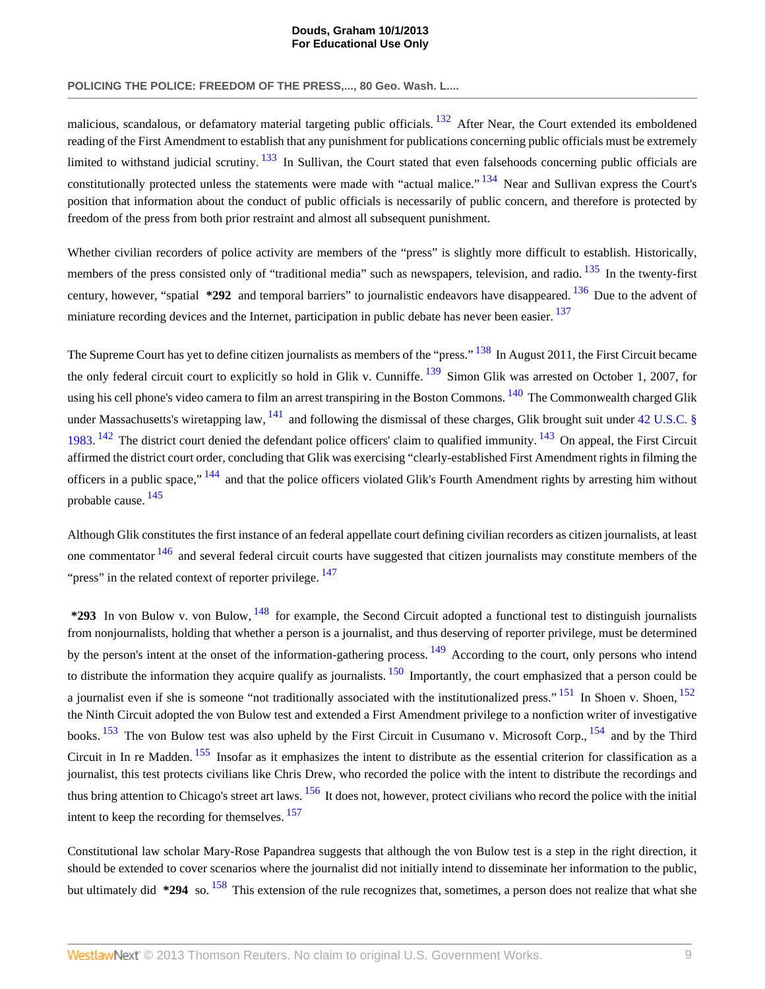# **POLICING THE POLICE: FREEDOM OF THE PRESS,..., 80 Geo. Wash. L....**

<span id="page-8-2"></span><span id="page-8-1"></span><span id="page-8-0"></span>malicious, scandalous, or defamatory material targeting public officials. <sup>[132](#page-23-3)</sup> After Near, the Court extended its emboldened reading of the First Amendment to establish that any punishment for publications concerning public officials must be extremely limited to withstand judicial scrutiny. <sup>[133](#page-23-4)</sup> In Sullivan, the Court stated that even falsehoods concerning public officials are constitutionally protected unless the statements were made with "actual malice." <sup>[134](#page-23-5)</sup> Near and Sullivan express the Court's position that information about the conduct of public officials is necessarily of public concern, and therefore is protected by freedom of the press from both prior restraint and almost all subsequent punishment.

<span id="page-8-4"></span><span id="page-8-3"></span>Whether civilian recorders of police activity are members of the "press" is slightly more difficult to establish. Historically, members of the press consisted only of "traditional media" such as newspapers, television, and radio.  $135$  In the twenty-first century, however, "spatial **\*292** and temporal barriers" to journalistic endeavors have disappeared. [136](#page-23-7) Due to the advent of miniature recording devices and the Internet, participation in public debate has never been easier. <sup>[137](#page-23-8)</sup>

<span id="page-8-11"></span><span id="page-8-10"></span><span id="page-8-9"></span><span id="page-8-8"></span><span id="page-8-7"></span><span id="page-8-6"></span><span id="page-8-5"></span>The Supreme Court has yet to define citizen journalists as members of the "press." <sup>[138](#page-23-9)</sup> In August 2011, the First Circuit became the only federal circuit court to explicitly so hold in Glik v. Cunniffe.  $^{139}$  $^{139}$  $^{139}$  Simon Glik was arrested on October 1, 2007, for using his cell phone's video camera to film an arrest transpiring in the Boston Commons. <sup>[140](#page-23-11)</sup> The Commonwealth charged Glik under Massachusetts's wiretapping law,  $^{141}$  $^{141}$  $^{141}$  and following the dismissal of these charges, Glik brought suit under [42 U.S.C. §](http://www.westlaw.com/Link/Document/FullText?findType=L&pubNum=1000546&cite=42USCAS1983&originatingDoc=I3c48c5ba222d11e18b05fdf15589d8e8&refType=LQ&originationContext=document&vr=3.0&rs=cblt1.0&transitionType=DocumentItem&contextData=(sc.Search)) [1983](http://www.westlaw.com/Link/Document/FullText?findType=L&pubNum=1000546&cite=42USCAS1983&originatingDoc=I3c48c5ba222d11e18b05fdf15589d8e8&refType=LQ&originationContext=document&vr=3.0&rs=cblt1.0&transitionType=DocumentItem&contextData=(sc.Search)). <sup>[142](#page-23-13)</sup> The district court denied the defendant police officers' claim to qualified immunity. <sup>[143](#page-23-14)</sup> On appeal, the First Circuit affirmed the district court order, concluding that Glik was exercising "clearly-established First Amendment rights in filming the officers in a public space," <sup>[144](#page-23-15)</sup> and that the police officers violated Glik's Fourth Amendment rights by arresting him without probable cause. [145](#page-23-16)

<span id="page-8-15"></span><span id="page-8-14"></span><span id="page-8-13"></span><span id="page-8-12"></span>Although Glik constitutes the first instance of an federal appellate court defining civilian recorders as citizen journalists, at least one commentator  $^{146}$  $^{146}$  $^{146}$  and several federal circuit courts have suggested that citizen journalists may constitute members of the "press" in the related context of reporter privilege.  $147$ 

<span id="page-8-22"></span><span id="page-8-21"></span><span id="page-8-20"></span><span id="page-8-19"></span><span id="page-8-18"></span><span id="page-8-17"></span><span id="page-8-16"></span>**\*293** In von Bulow v. von Bulow, [148](#page-23-19) for example, the Second Circuit adopted a functional test to distinguish journalists from nonjournalists, holding that whether a person is a journalist, and thus deserving of reporter privilege, must be determined by the person's intent at the onset of the information-gathering process. <sup>[149](#page-23-20)</sup> According to the court, only persons who intend to distribute the information they acquire qualify as journalists.  $150$  Importantly, the court emphasized that a person could be a journalist even if she is someone "not traditionally associated with the institutionalized press." <sup>[151](#page-24-1)</sup> In Shoen v. Shoen, <sup>[152](#page-24-2)</sup> the Ninth Circuit adopted the von Bulow test and extended a First Amendment privilege to a nonfiction writer of investigative books. <sup>[153](#page-24-3)</sup> The von Bulow test was also upheld by the First Circuit in Cusumano v. Microsoft Corp., <sup>[154](#page-24-4)</sup> and by the Third Circuit in In re Madden. <sup>[155](#page-24-5)</sup> Insofar as it emphasizes the intent to distribute as the essential criterion for classification as a journalist, this test protects civilians like Chris Drew, who recorded the police with the intent to distribute the recordings and thus bring attention to Chicago's street art laws. <sup>[156](#page-24-6)</sup> It does not, however, protect civilians who record the police with the initial intent to keep the recording for themselves. <sup>[157](#page-24-7)</sup>

<span id="page-8-26"></span><span id="page-8-25"></span><span id="page-8-24"></span><span id="page-8-23"></span>Constitutional law scholar Mary-Rose Papandrea suggests that although the von Bulow test is a step in the right direction, it should be extended to cover scenarios where the journalist did not initially intend to disseminate her information to the public, but ultimately did **\*294** so. [158](#page-24-8) This extension of the rule recognizes that, sometimes, a person does not realize that what she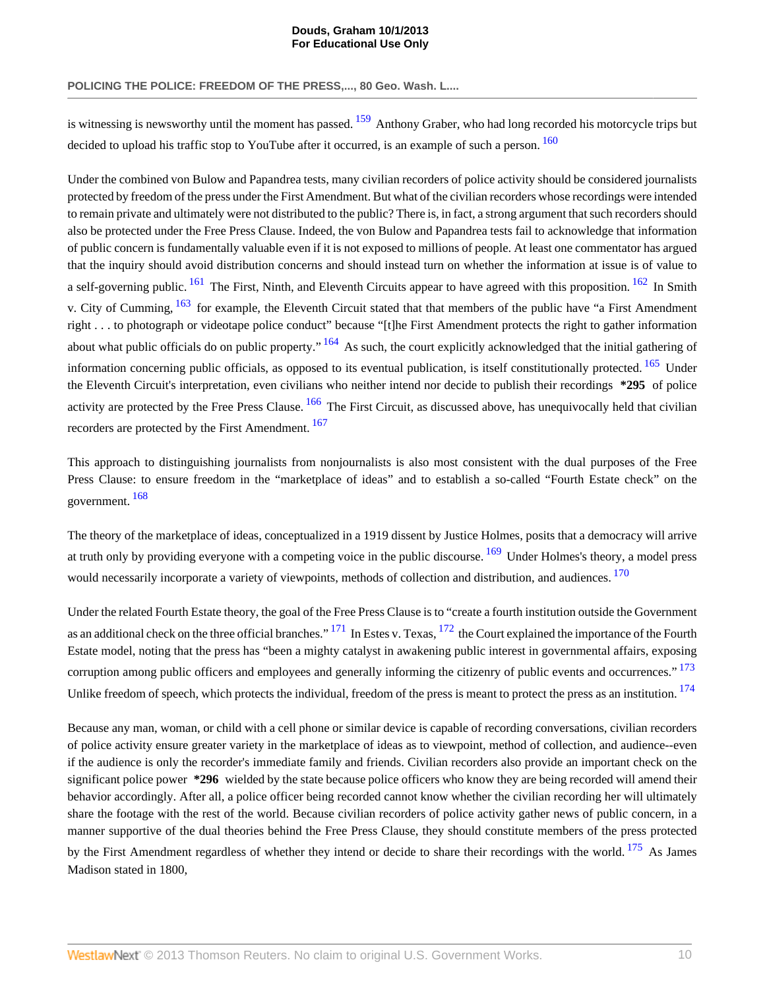# <span id="page-9-0"></span>**POLICING THE POLICE: FREEDOM OF THE PRESS,..., 80 Geo. Wash. L....**

<span id="page-9-1"></span>is witnessing is newsworthy until the moment has passed. <sup>[159](#page-24-9)</sup> Anthony Graber, who had long recorded his motorcycle trips but decided to upload his traffic stop to YouTube after it occurred, is an example of such a person. <sup>[160](#page-24-10)</sup>

<span id="page-9-4"></span><span id="page-9-3"></span><span id="page-9-2"></span>Under the combined von Bulow and Papandrea tests, many civilian recorders of police activity should be considered journalists protected by freedom of the press under the First Amendment. But what of the civilian recorders whose recordings were intended to remain private and ultimately were not distributed to the public? There is, in fact, a strong argument that such recorders should also be protected under the Free Press Clause. Indeed, the von Bulow and Papandrea tests fail to acknowledge that information of public concern is fundamentally valuable even if it is not exposed to millions of people. At least one commentator has argued that the inquiry should avoid distribution concerns and should instead turn on whether the information at issue is of value to a self-governing public.  $^{161}$  $^{161}$  $^{161}$  The First, Ninth, and Eleventh Circuits appear to have agreed with this proposition.  $^{162}$  $^{162}$  $^{162}$  In Smith v. City of Cumming, <sup>[163](#page-24-13)</sup> for example, the Eleventh Circuit stated that that members of the public have "a First Amendment" right . . . to photograph or videotape police conduct" because "[t]he First Amendment protects the right to gather information about what public officials do on public property."  $\frac{164}{164}$  $\frac{164}{164}$  $\frac{164}{164}$  As such, the court explicitly acknowledged that the initial gathering of information concerning public officials, as opposed to its eventual publication, is itself constitutionally protected.  $^{165}$  $^{165}$  $^{165}$  Under the Eleventh Circuit's interpretation, even civilians who neither intend nor decide to publish their recordings **\*295** of police activity are protected by the Free Press Clause. <sup>[166](#page-24-16)</sup> The First Circuit, as discussed above, has unequivocally held that civilian recorders are protected by the First Amendment. [167](#page-24-17)

<span id="page-9-9"></span><span id="page-9-8"></span><span id="page-9-7"></span><span id="page-9-6"></span><span id="page-9-5"></span>This approach to distinguishing journalists from nonjournalists is also most consistent with the dual purposes of the Free Press Clause: to ensure freedom in the "marketplace of ideas" and to establish a so-called "Fourth Estate check" on the government. [168](#page-24-18)

<span id="page-9-11"></span><span id="page-9-10"></span>The theory of the marketplace of ideas, conceptualized in a 1919 dissent by Justice Holmes, posits that a democracy will arrive at truth only by providing everyone with a competing voice in the public discourse. <sup>[169](#page-24-19)</sup> Under Holmes's theory, a model press would necessarily incorporate a variety of viewpoints, methods of collection and distribution, and audiences. <sup>[170](#page-24-20)</sup>

<span id="page-9-14"></span><span id="page-9-13"></span><span id="page-9-12"></span>Under the related Fourth Estate theory, the goal of the Free Press Clause is to "create a fourth institution outside the Government as an additional check on the three official branches."<sup>[171](#page-24-21)</sup> In Estes v. Texas, <sup>[172](#page-24-22)</sup> the Court explained the importance of the Fourth Estate model, noting that the press has "been a mighty catalyst in awakening public interest in governmental affairs, exposing corruption among public officers and employees and generally informing the citizenry of public events and occurrences." <sup>[173](#page-25-0)</sup> Unlike freedom of speech, which protects the individual, freedom of the press is meant to protect the press as an institution. <sup>[174](#page-25-1)</sup>

<span id="page-9-16"></span><span id="page-9-15"></span>Because any man, woman, or child with a cell phone or similar device is capable of recording conversations, civilian recorders of police activity ensure greater variety in the marketplace of ideas as to viewpoint, method of collection, and audience--even if the audience is only the recorder's immediate family and friends. Civilian recorders also provide an important check on the significant police power **\*296** wielded by the state because police officers who know they are being recorded will amend their behavior accordingly. After all, a police officer being recorded cannot know whether the civilian recording her will ultimately share the footage with the rest of the world. Because civilian recorders of police activity gather news of public concern, in a manner supportive of the dual theories behind the Free Press Clause, they should constitute members of the press protected by the First Amendment regardless of whether they intend or decide to share their recordings with the world. <sup>[175](#page-25-2)</sup> As James Madison stated in 1800,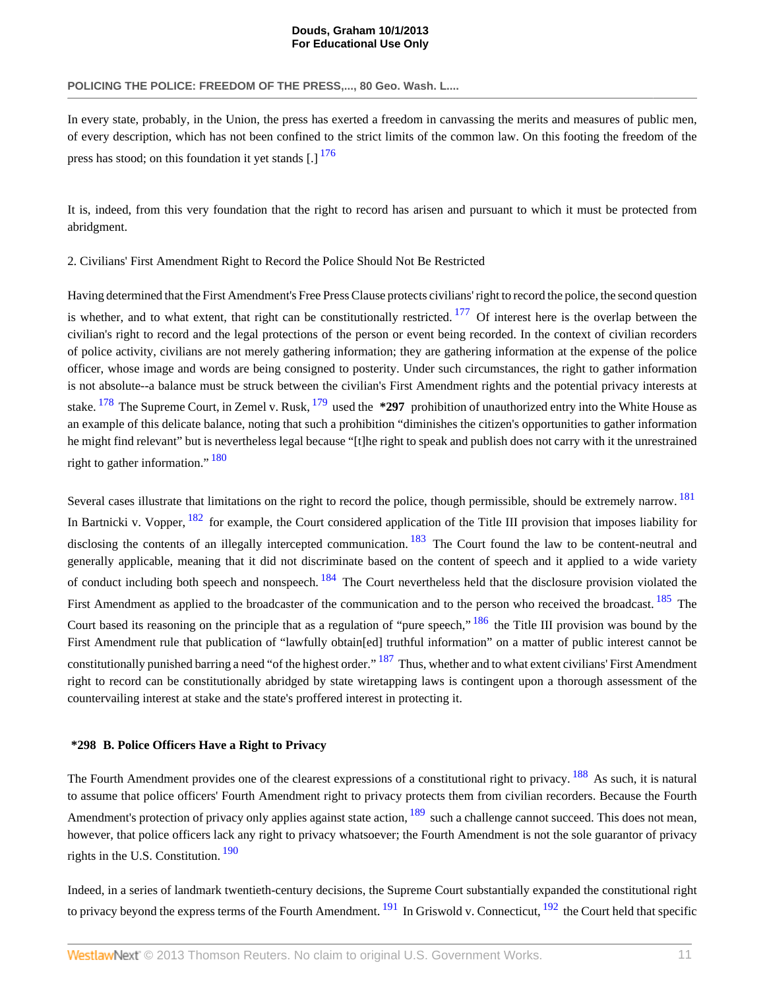## **POLICING THE POLICE: FREEDOM OF THE PRESS,..., 80 Geo. Wash. L....**

<span id="page-10-2"></span>In every state, probably, in the Union, the press has exerted a freedom in canvassing the merits and measures of public men, of every description, which has not been confined to the strict limits of the common law. On this footing the freedom of the press has stood; on this foundation it yet stands  $[.]^{176}$  $[.]^{176}$  $[.]^{176}$ 

It is, indeed, from this very foundation that the right to record has arisen and pursuant to which it must be protected from abridgment.

<span id="page-10-0"></span>2. Civilians' First Amendment Right to Record the Police Should Not Be Restricted

<span id="page-10-3"></span>Having determined that the First Amendment's Free Press Clause protects civilians' right to record the police, the second question is whether, and to what extent, that right can be constitutionally restricted.  $177$  Of interest here is the overlap between the civilian's right to record and the legal protections of the person or event being recorded. In the context of civilian recorders of police activity, civilians are not merely gathering information; they are gathering information at the expense of the police officer, whose image and words are being consigned to posterity. Under such circumstances, the right to gather information is not absolute--a balance must be struck between the civilian's First Amendment rights and the potential privacy interests at stake. [178](#page-25-5) The Supreme Court, in Zemel v. Rusk, [179](#page-25-6) used the **\*297** prohibition of unauthorized entry into the White House as an example of this delicate balance, noting that such a prohibition "diminishes the citizen's opportunities to gather information he might find relevant" but is nevertheless legal because "[t]he right to speak and publish does not carry with it the unrestrained right to gather information."<sup>[180](#page-25-7)</sup>

<span id="page-10-11"></span><span id="page-10-10"></span><span id="page-10-9"></span><span id="page-10-8"></span><span id="page-10-7"></span><span id="page-10-6"></span><span id="page-10-5"></span><span id="page-10-4"></span>Several cases illustrate that limitations on the right to record the police, though permissible, should be extremely narrow. <sup>[181](#page-25-8)</sup> In Bartnicki v. Vopper, <sup>[182](#page-25-9)</sup> for example, the Court considered application of the Title III provision that imposes liability for disclosing the contents of an illegally intercepted communication. <sup>[183](#page-25-10)</sup> The Court found the law to be content-neutral and generally applicable, meaning that it did not discriminate based on the content of speech and it applied to a wide variety of conduct including both speech and nonspeech. [184](#page-25-11) The Court nevertheless held that the disclosure provision violated the First Amendment as applied to the broadcaster of the communication and to the person who received the broadcast. <sup>[185](#page-25-12)</sup> The Court based its reasoning on the principle that as a regulation of "pure speech,"  $186$  the Title III provision was bound by the First Amendment rule that publication of "lawfully obtain[ed] truthful information" on a matter of public interest cannot be constitutionally punished barring a need "of the highest order."  $187$  Thus, whether and to what extent civilians' First Amendment right to record can be constitutionally abridged by state wiretapping laws is contingent upon a thorough assessment of the countervailing interest at stake and the state's proffered interest in protecting it.

# <span id="page-10-14"></span><span id="page-10-13"></span><span id="page-10-12"></span><span id="page-10-1"></span>**\*298 B. Police Officers Have a Right to Privacy**

<span id="page-10-15"></span>The Fourth Amendment provides one of the clearest expressions of a constitutional right to privacy. <sup>[188](#page-25-15)</sup> As such, it is natural to assume that police officers' Fourth Amendment right to privacy protects them from civilian recorders. Because the Fourth Amendment's protection of privacy only applies against state action, <sup>[189](#page-25-16)</sup> such a challenge cannot succeed. This does not mean, however, that police officers lack any right to privacy whatsoever; the Fourth Amendment is not the sole guarantor of privacy rights in the U.S. Constitution. [190](#page-25-17)

<span id="page-10-18"></span><span id="page-10-17"></span><span id="page-10-16"></span>Indeed, in a series of landmark twentieth-century decisions, the Supreme Court substantially expanded the constitutional right to privacy beyond the express terms of the Fourth Amendment.  $^{191}$  $^{191}$  $^{191}$  In Griswold v. Connecticut,  $^{192}$  $^{192}$  $^{192}$  the Court held that specific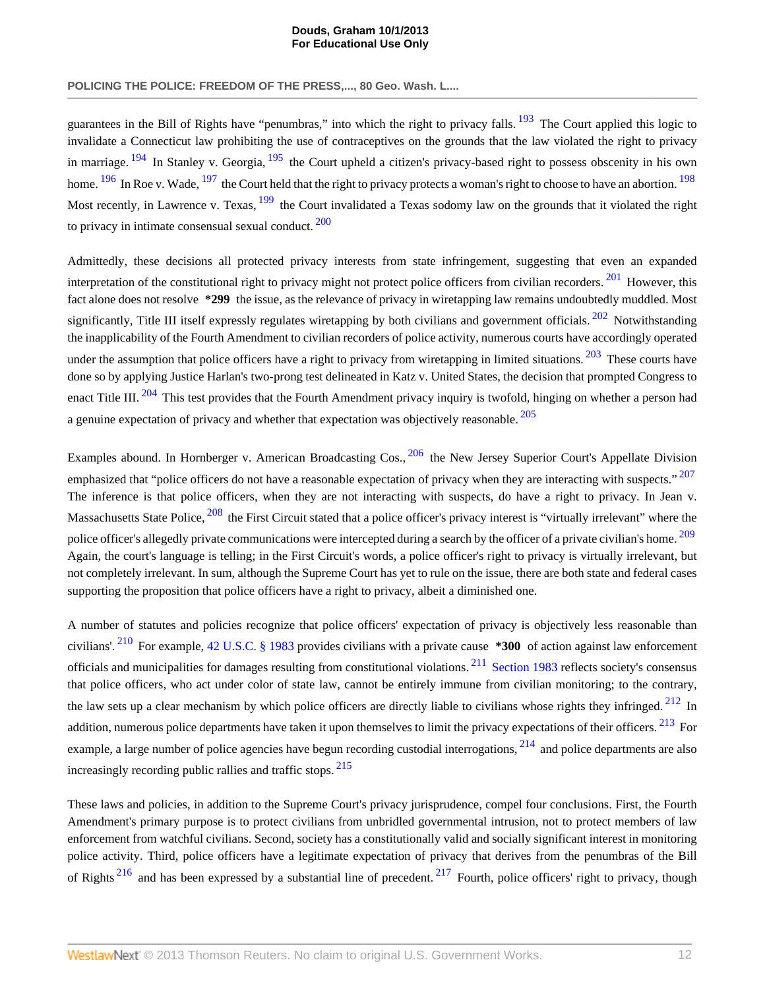# <span id="page-11-0"></span>**POLICING THE POLICE: FREEDOM OF THE PRESS,..., 80 Geo. Wash. L....**

<span id="page-11-5"></span><span id="page-11-4"></span><span id="page-11-3"></span><span id="page-11-2"></span><span id="page-11-1"></span>guarantees in the Bill of Rights have "penumbras," into which the right to privacy falls.  $193$  The Court applied this logic to invalidate a Connecticut law prohibiting the use of contraceptives on the grounds that the law violated the right to privacy in marriage.  $^{194}$  $^{194}$  $^{194}$  In Stanley v. Georgia,  $^{195}$  $^{195}$  $^{195}$  the Court upheld a citizen's privacy-based right to possess obscenity in his own home. <sup>[196](#page-26-0)</sup> In Roe v. Wade, <sup>[197](#page-26-1)</sup> the Court held that the right to privacy protects a woman's right to choose to have an abortion. <sup>[198](#page-26-2)</sup> Most recently, in Lawrence v. Texas, <sup>[199](#page-26-3)</sup> the Court invalidated a Texas sodomy law on the grounds that it violated the right to privacy in intimate consensual sexual conduct. [200](#page-26-4)

<span id="page-11-10"></span><span id="page-11-9"></span><span id="page-11-8"></span><span id="page-11-7"></span><span id="page-11-6"></span>Admittedly, these decisions all protected privacy interests from state infringement, suggesting that even an expanded interpretation of the constitutional right to privacy might not protect police officers from civilian recorders. <sup>[201](#page-26-5)</sup> However, this fact alone does not resolve **\*299** the issue, as the relevance of privacy in wiretapping law remains undoubtedly muddled. Most significantly, Title III itself expressly regulates wiretapping by both civilians and government officials.  $202$  Notwithstanding the inapplicability of the Fourth Amendment to civilian recorders of police activity, numerous courts have accordingly operated under the assumption that police officers have a right to privacy from wiretapping in limited situations.  $203$  These courts have done so by applying Justice Harlan's two-prong test delineated in Katz v. United States, the decision that prompted Congress to enact Title III.<sup>[204](#page-26-8)</sup> This test provides that the Fourth Amendment privacy inquiry is twofold, hinging on whether a person had a genuine expectation of privacy and whether that expectation was objectively reasonable.  $\frac{205}{205}$  $\frac{205}{205}$  $\frac{205}{205}$ 

<span id="page-11-16"></span><span id="page-11-15"></span><span id="page-11-14"></span><span id="page-11-13"></span><span id="page-11-12"></span><span id="page-11-11"></span>Examples abound. In Hornberger v. American Broadcasting Cos., <sup>[206](#page-26-10)</sup> the New Jersey Superior Court's Appellate Division emphasized that "police officers do not have a reasonable expectation of privacy when they are interacting with suspects." <sup>[207](#page-26-11)</sup> The inference is that police officers, when they are not interacting with suspects, do have a right to privacy. In Jean v. Massachusetts State Police, <sup>[208](#page-26-12)</sup> the First Circuit stated that a police officer's privacy interest is "virtually irrelevant" where the police officer's allegedly private communications were intercepted during a search by the officer of a private civilian's home. <sup>[209](#page-26-13)</sup> Again, the court's language is telling; in the First Circuit's words, a police officer's right to privacy is virtually irrelevant, but not completely irrelevant. In sum, although the Supreme Court has yet to rule on the issue, there are both state and federal cases supporting the proposition that police officers have a right to privacy, albeit a diminished one.

<span id="page-11-19"></span><span id="page-11-18"></span><span id="page-11-17"></span>A number of statutes and policies recognize that police officers' expectation of privacy is objectively less reasonable than civilians'. [210](#page-26-14) For example, [42 U.S.C. § 1983](http://www.westlaw.com/Link/Document/FullText?findType=L&pubNum=1000546&cite=42USCAS1983&originatingDoc=I3c48c5ba222d11e18b05fdf15589d8e8&refType=LQ&originationContext=document&vr=3.0&rs=cblt1.0&transitionType=DocumentItem&contextData=(sc.Search)) provides civilians with a private cause **\*300** of action against law enforcement officials and municipalities for damages resulting from constitutional violations.  $^{211}$  $^{211}$  $^{211}$  [Section 1983](http://www.westlaw.com/Link/Document/FullText?findType=L&pubNum=1000546&cite=42USCAS1983&originatingDoc=I3c48c5ba222d11e18b05fdf15589d8e8&refType=LQ&originationContext=document&vr=3.0&rs=cblt1.0&transitionType=DocumentItem&contextData=(sc.Search)) reflects society's consensus that police officers, who act under color of state law, cannot be entirely immune from civilian monitoring; to the contrary, the law sets up a clear mechanism by which police officers are directly liable to civilians whose rights they infringed.  $212$  In addition, numerous police departments have taken it upon themselves to limit the privacy expectations of their officers. <sup>[213](#page-26-17)</sup> For example, a large number of police agencies have begun recording custodial interrogations,  $^{214}$  $^{214}$  $^{214}$  and police departments are also increasingly recording public rallies and traffic stops. [215](#page-26-19)

<span id="page-11-24"></span><span id="page-11-23"></span><span id="page-11-22"></span><span id="page-11-21"></span><span id="page-11-20"></span>These laws and policies, in addition to the Supreme Court's privacy jurisprudence, compel four conclusions. First, the Fourth Amendment's primary purpose is to protect civilians from unbridled governmental intrusion, not to protect members of law enforcement from watchful civilians. Second, society has a constitutionally valid and socially significant interest in monitoring police activity. Third, police officers have a legitimate expectation of privacy that derives from the penumbras of the Bill of Rights  $^{216}$  $^{216}$  $^{216}$  and has been expressed by a substantial line of precedent.  $^{217}$  $^{217}$  $^{217}$  Fourth, police officers' right to privacy, though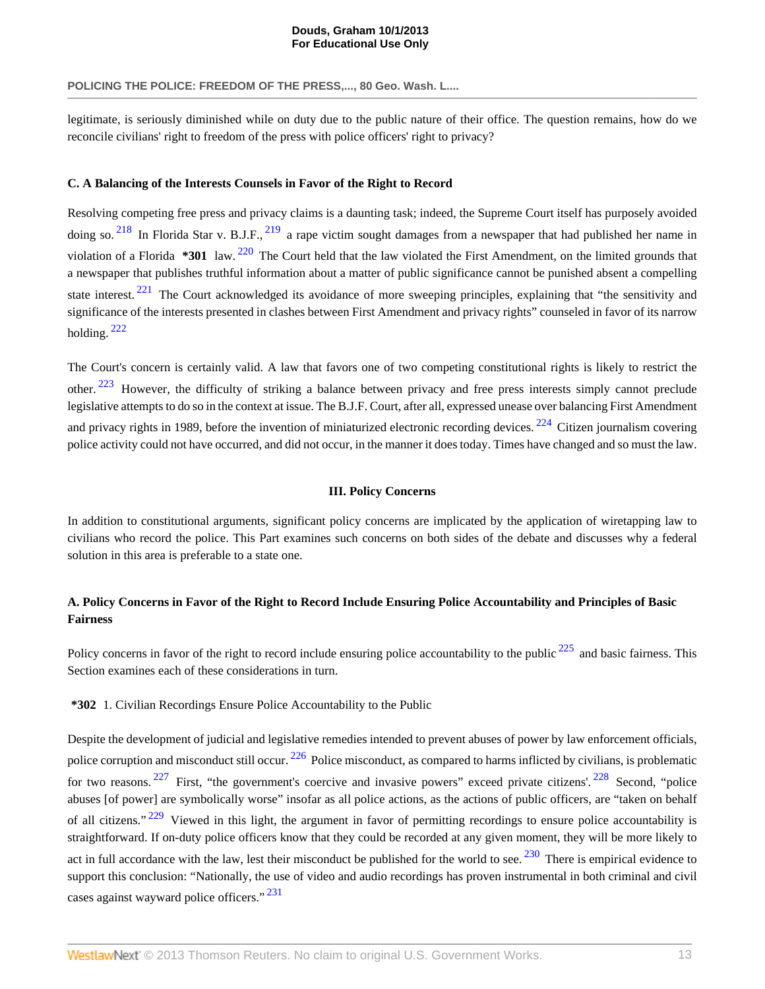## **POLICING THE POLICE: FREEDOM OF THE PRESS,..., 80 Geo. Wash. L....**

legitimate, is seriously diminished while on duty due to the public nature of their office. The question remains, how do we reconcile civilians' right to freedom of the press with police officers' right to privacy?

# <span id="page-12-0"></span>**C. A Balancing of the Interests Counsels in Favor of the Right to Record**

<span id="page-12-7"></span><span id="page-12-6"></span><span id="page-12-5"></span><span id="page-12-4"></span>Resolving competing free press and privacy claims is a daunting task; indeed, the Supreme Court itself has purposely avoided doing so.  $^{218}$  $^{218}$  $^{218}$  In Florida Star v. B.J.F.,  $^{219}$  $^{219}$  $^{219}$  a rape victim sought damages from a newspaper that had published her name in violation of a Florida **\*301** law. [220](#page-26-24) The Court held that the law violated the First Amendment, on the limited grounds that a newspaper that publishes truthful information about a matter of public significance cannot be punished absent a compelling state interest.  $221$  The Court acknowledged its avoidance of more sweeping principles, explaining that "the sensitivity and significance of the interests presented in clashes between First Amendment and privacy rights" counseled in favor of its narrow holding. [222](#page-27-0)

<span id="page-12-9"></span><span id="page-12-8"></span>The Court's concern is certainly valid. A law that favors one of two competing constitutional rights is likely to restrict the other. <sup>[223](#page-27-1)</sup> However, the difficulty of striking a balance between privacy and free press interests simply cannot preclude legislative attempts to do so in the context at issue. The B.J.F. Court, after all, expressed unease over balancing First Amendment and privacy rights in 1989, before the invention of miniaturized electronic recording devices. <sup>[224](#page-27-2)</sup> Citizen journalism covering police activity could not have occurred, and did not occur, in the manner it does today. Times have changed and so must the law.

# <span id="page-12-16"></span><span id="page-12-14"></span><span id="page-12-11"></span><span id="page-12-10"></span>**III. Policy Concerns**

<span id="page-12-1"></span>In addition to constitutional arguments, significant policy concerns are implicated by the application of wiretapping law to civilians who record the police. This Part examines such concerns on both sides of the debate and discusses why a federal solution in this area is preferable to a state one.

# <span id="page-12-2"></span>**A. Policy Concerns in Favor of the Right to Record Include Ensuring Police Accountability and Principles of Basic Fairness**

Policy concerns in favor of the right to record include ensuring police accountability to the public  $225$  and basic fairness. This Section examines each of these considerations in turn.

<span id="page-12-3"></span>**\*302** 1. Civilian Recordings Ensure Police Accountability to the Public

<span id="page-12-17"></span><span id="page-12-15"></span><span id="page-12-13"></span><span id="page-12-12"></span>Despite the development of judicial and legislative remedies intended to prevent abuses of power by law enforcement officials, police corruption and misconduct still occur.  $^{226}$  $^{226}$  $^{226}$  Police misconduct, as compared to harms inflicted by civilians, is problematic for two reasons. <sup>[227](#page-27-5)</sup> First, "the government's coercive and invasive powers" exceed private citizens'. <sup>[228](#page-27-6)</sup> Second. "police abuses [of power] are symbolically worse" insofar as all police actions, as the actions of public officers, are "taken on behalf of all citizens."  $229$  Viewed in this light, the argument in favor of permitting recordings to ensure police accountability is straightforward. If on-duty police officers know that they could be recorded at any given moment, they will be more likely to act in full accordance with the law, lest their misconduct be published for the world to see.  $230$  There is empirical evidence to support this conclusion: "Nationally, the use of video and audio recordings has proven instrumental in both criminal and civil cases against wayward police officers."<sup>[231](#page-27-9)</sup>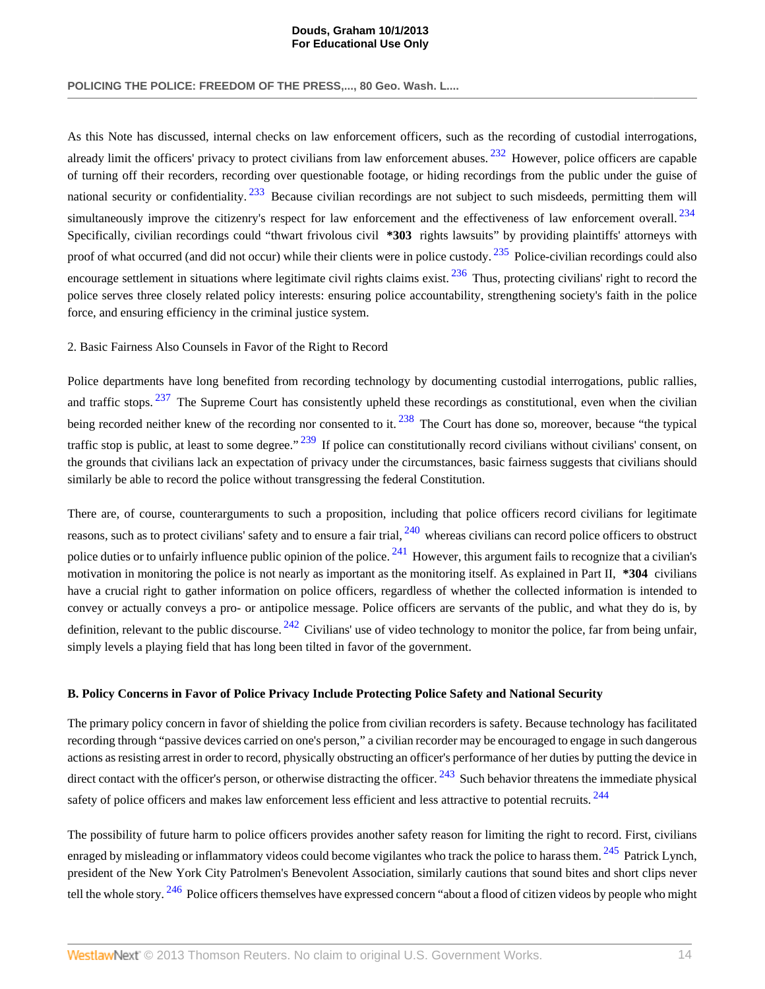## **POLICING THE POLICE: FREEDOM OF THE PRESS,..., 80 Geo. Wash. L....**

<span id="page-13-4"></span><span id="page-13-3"></span><span id="page-13-2"></span>As this Note has discussed, internal checks on law enforcement officers, such as the recording of custodial interrogations, already limit the officers' privacy to protect civilians from law enforcement abuses.  $^{232}$  $^{232}$  $^{232}$  However, police officers are capable of turning off their recorders, recording over questionable footage, or hiding recordings from the public under the guise of national security or confidentiality.<sup>[233](#page-27-11)</sup> Because civilian recordings are not subject to such misdeeds, permitting them will simultaneously improve the citizenry's respect for law enforcement and the effectiveness of law enforcement overall. <sup>[234](#page-27-12)</sup> Specifically, civilian recordings could "thwart frivolous civil **\*303** rights lawsuits" by providing plaintiffs' attorneys with proof of what occurred (and did not occur) while their clients were in police custody. <sup>[235](#page-27-13)</sup> Police-civilian recordings could also encourage settlement in situations where legitimate civil rights claims exist.  $^{236}$  $^{236}$  $^{236}$  Thus, protecting civilians' right to record the police serves three closely related policy interests: ensuring police accountability, strengthening society's faith in the police force, and ensuring efficiency in the criminal justice system.

## <span id="page-13-6"></span><span id="page-13-5"></span><span id="page-13-0"></span>2. Basic Fairness Also Counsels in Favor of the Right to Record

<span id="page-13-9"></span><span id="page-13-8"></span><span id="page-13-7"></span>Police departments have long benefited from recording technology by documenting custodial interrogations, public rallies, and traffic stops.  $237$  The Supreme Court has consistently upheld these recordings as constitutional, even when the civilian being recorded neither knew of the recording nor consented to it.<sup>[238](#page-27-16)</sup> The Court has done so, moreover, because "the typical traffic stop is public, at least to some degree."  $^{239}$  $^{239}$  $^{239}$  If police can constitutionally record civilians without civilians' consent, on the grounds that civilians lack an expectation of privacy under the circumstances, basic fairness suggests that civilians should similarly be able to record the police without transgressing the federal Constitution.

<span id="page-13-11"></span><span id="page-13-10"></span>There are, of course, counterarguments to such a proposition, including that police officers record civilians for legitimate reasons, such as to protect civilians' safety and to ensure a fair trial,  $^{240}$  $^{240}$  $^{240}$  whereas civilians can record police officers to obstruct police duties or to unfairly influence public opinion of the police.  $241$  However, this argument fails to recognize that a civilian's motivation in monitoring the police is not nearly as important as the monitoring itself. As explained in Part II, **\*304** civilians have a crucial right to gather information on police officers, regardless of whether the collected information is intended to convey or actually conveys a pro- or antipolice message. Police officers are servants of the public, and what they do is, by definition, relevant to the public discourse.  $^{242}$  $^{242}$  $^{242}$  Civilians' use of video technology to monitor the police, far from being unfair, simply levels a playing field that has long been tilted in favor of the government.

# <span id="page-13-12"></span><span id="page-13-1"></span>**B. Policy Concerns in Favor of Police Privacy Include Protecting Police Safety and National Security**

<span id="page-13-13"></span>The primary policy concern in favor of shielding the police from civilian recorders is safety. Because technology has facilitated recording through "passive devices carried on one's person," a civilian recorder may be encouraged to engage in such dangerous actions as resisting arrest in order to record, physically obstructing an officer's performance of her duties by putting the device in direct contact with the officer's person, or otherwise distracting the officer.  $^{243}$  $^{243}$  $^{243}$  Such behavior threatens the immediate physical safety of police officers and makes law enforcement less efficient and less attractive to potential recruits. <sup>[244](#page-27-22)</sup>

<span id="page-13-16"></span><span id="page-13-15"></span><span id="page-13-14"></span>The possibility of future harm to police officers provides another safety reason for limiting the right to record. First, civilians enraged by misleading or inflammatory videos could become vigilantes who track the police to harass them. <sup>[245](#page-28-0)</sup> Patrick Lynch, president of the New York City Patrolmen's Benevolent Association, similarly cautions that sound bites and short clips never tell the whole story. <sup>[246](#page-28-1)</sup> Police officers themselves have expressed concern "about a flood of citizen videos by people who might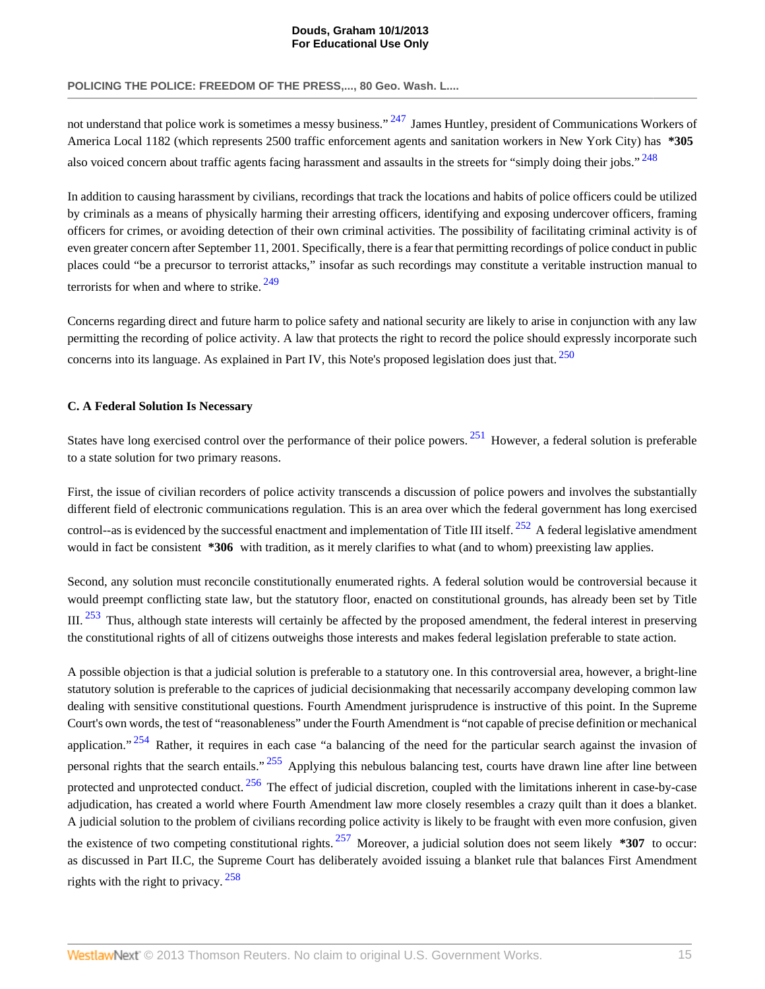# **POLICING THE POLICE: FREEDOM OF THE PRESS,..., 80 Geo. Wash. L....**

<span id="page-14-2"></span><span id="page-14-1"></span>not understand that police work is sometimes a messy business." <sup>[247](#page-28-2)</sup> James Huntley, president of Communications Workers of America Local 1182 (which represents 2500 traffic enforcement agents and sanitation workers in New York City) has **\*305** also voiced concern about traffic agents facing harassment and assaults in the streets for "simply doing their jobs."<sup>[248](#page-28-3)</sup>

In addition to causing harassment by civilians, recordings that track the locations and habits of police officers could be utilized by criminals as a means of physically harming their arresting officers, identifying and exposing undercover officers, framing officers for crimes, or avoiding detection of their own criminal activities. The possibility of facilitating criminal activity is of even greater concern after September 11, 2001. Specifically, there is a fear that permitting recordings of police conduct in public places could "be a precursor to terrorist attacks," insofar as such recordings may constitute a veritable instruction manual to terrorists for when and where to strike.  $249$ 

<span id="page-14-4"></span><span id="page-14-3"></span>Concerns regarding direct and future harm to police safety and national security are likely to arise in conjunction with any law permitting the recording of police activity. A law that protects the right to record the police should expressly incorporate such concerns into its language. As explained in Part IV, this Note's proposed legislation does just that. <sup>[250](#page-28-5)</sup>

# <span id="page-14-0"></span>**C. A Federal Solution Is Necessary**

<span id="page-14-5"></span>States have long exercised control over the performance of their police powers.  $251$  However, a federal solution is preferable to a state solution for two primary reasons.

<span id="page-14-6"></span>First, the issue of civilian recorders of police activity transcends a discussion of police powers and involves the substantially different field of electronic communications regulation. This is an area over which the federal government has long exercised control--as is evidenced by the successful enactment and implementation of Title III itself.  $^{252}$  $^{252}$  $^{252}$  A federal legislative amendment would in fact be consistent **\*306** with tradition, as it merely clarifies to what (and to whom) preexisting law applies.

<span id="page-14-7"></span>Second, any solution must reconcile constitutionally enumerated rights. A federal solution would be controversial because it would preempt conflicting state law, but the statutory floor, enacted on constitutional grounds, has already been set by Title III. [253](#page-28-8) Thus, although state interests will certainly be affected by the proposed amendment, the federal interest in preserving the constitutional rights of all of citizens outweighs those interests and makes federal legislation preferable to state action.

<span id="page-14-12"></span><span id="page-14-11"></span><span id="page-14-10"></span><span id="page-14-9"></span><span id="page-14-8"></span>A possible objection is that a judicial solution is preferable to a statutory one. In this controversial area, however, a bright-line statutory solution is preferable to the caprices of judicial decisionmaking that necessarily accompany developing common law dealing with sensitive constitutional questions. Fourth Amendment jurisprudence is instructive of this point. In the Supreme Court's own words, the test of "reasonableness" under the Fourth Amendment is "not capable of precise definition or mechanical application."  $254$  Rather, it requires in each case "a balancing of the need for the particular search against the invasion of personal rights that the search entails." <sup>[255](#page-28-10)</sup> Applying this nebulous balancing test, courts have drawn line after line between protected and unprotected conduct.  $256$  The effect of judicial discretion, coupled with the limitations inherent in case-by-case adjudication, has created a world where Fourth Amendment law more closely resembles a crazy quilt than it does a blanket. A judicial solution to the problem of civilians recording police activity is likely to be fraught with even more confusion, given the existence of two competing constitutional rights.  $257$  Moreover, a judicial solution does not seem likely  $*307$  to occur: as discussed in Part II.C, the Supreme Court has deliberately avoided issuing a blanket rule that balances First Amendment rights with the right to privacy. <sup>[258](#page-28-13)</sup>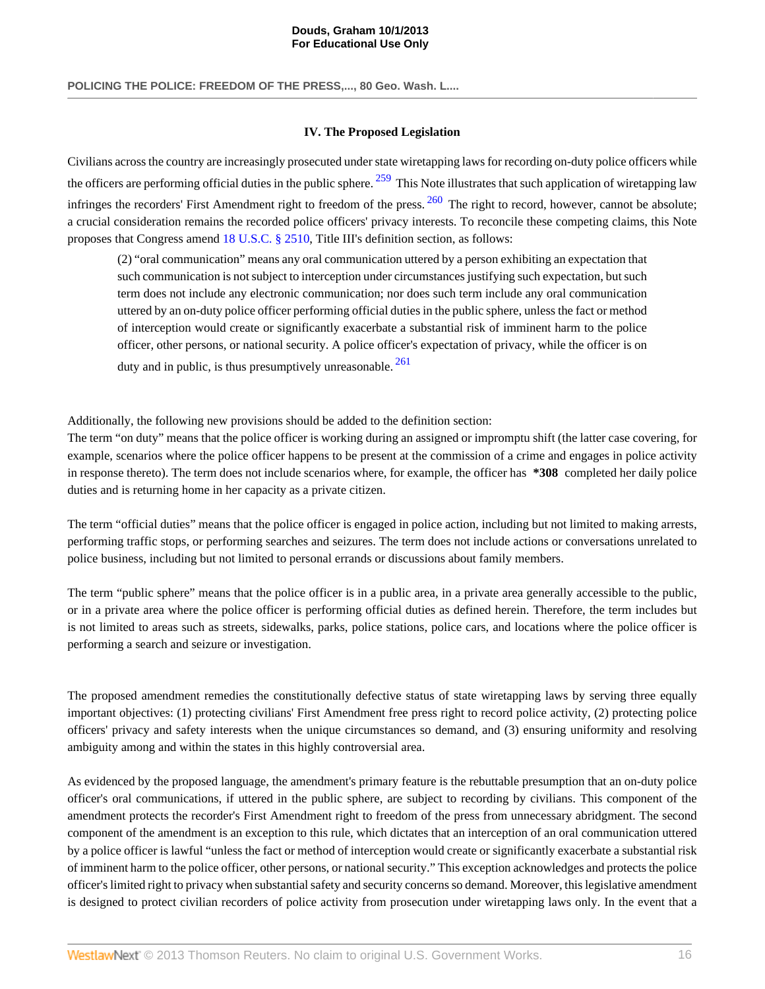### <span id="page-15-3"></span><span id="page-15-2"></span><span id="page-15-1"></span>**IV. The Proposed Legislation**

<span id="page-15-0"></span>Civilians across the country are increasingly prosecuted under state wiretapping laws for recording on-duty police officers while the officers are performing official duties in the public sphere.  $259$  This Note illustrates that such application of wiretapping law infringes the recorders' First Amendment right to freedom of the press.  $^{260}$  $^{260}$  $^{260}$  The right to record, however, cannot be absolute; a crucial consideration remains the recorded police officers' privacy interests. To reconcile these competing claims, this Note proposes that Congress amend [18 U.S.C. § 2510,](http://www.westlaw.com/Link/Document/FullText?findType=L&pubNum=1000546&cite=18USCAS2510&originatingDoc=I3c48c5ba222d11e18b05fdf15589d8e8&refType=LQ&originationContext=document&vr=3.0&rs=cblt1.0&transitionType=DocumentItem&contextData=(sc.Search)) Title III's definition section, as follows:

(2) "oral communication" means any oral communication uttered by a person exhibiting an expectation that such communication is not subject to interception under circumstances justifying such expectation, but such term does not include any electronic communication; nor does such term include any oral communication uttered by an on-duty police officer performing official duties in the public sphere, unless the fact or method of interception would create or significantly exacerbate a substantial risk of imminent harm to the police officer, other persons, or national security. A police officer's expectation of privacy, while the officer is on duty and in public, is thus presumptively unreasonable. <sup>[261](#page-28-16)</sup>

Additionally, the following new provisions should be added to the definition section:

The term "on duty" means that the police officer is working during an assigned or impromptu shift (the latter case covering, for example, scenarios where the police officer happens to be present at the commission of a crime and engages in police activity in response thereto). The term does not include scenarios where, for example, the officer has **\*308** completed her daily police duties and is returning home in her capacity as a private citizen.

The term "official duties" means that the police officer is engaged in police action, including but not limited to making arrests, performing traffic stops, or performing searches and seizures. The term does not include actions or conversations unrelated to police business, including but not limited to personal errands or discussions about family members.

The term "public sphere" means that the police officer is in a public area, in a private area generally accessible to the public, or in a private area where the police officer is performing official duties as defined herein. Therefore, the term includes but is not limited to areas such as streets, sidewalks, parks, police stations, police cars, and locations where the police officer is performing a search and seizure or investigation.

The proposed amendment remedies the constitutionally defective status of state wiretapping laws by serving three equally important objectives: (1) protecting civilians' First Amendment free press right to record police activity, (2) protecting police officers' privacy and safety interests when the unique circumstances so demand, and (3) ensuring uniformity and resolving ambiguity among and within the states in this highly controversial area.

As evidenced by the proposed language, the amendment's primary feature is the rebuttable presumption that an on-duty police officer's oral communications, if uttered in the public sphere, are subject to recording by civilians. This component of the amendment protects the recorder's First Amendment right to freedom of the press from unnecessary abridgment. The second component of the amendment is an exception to this rule, which dictates that an interception of an oral communication uttered by a police officer is lawful "unless the fact or method of interception would create or significantly exacerbate a substantial risk of imminent harm to the police officer, other persons, or national security." This exception acknowledges and protects the police officer's limited right to privacy when substantial safety and security concerns so demand. Moreover, this legislative amendment is designed to protect civilian recorders of police activity from prosecution under wiretapping laws only. In the event that a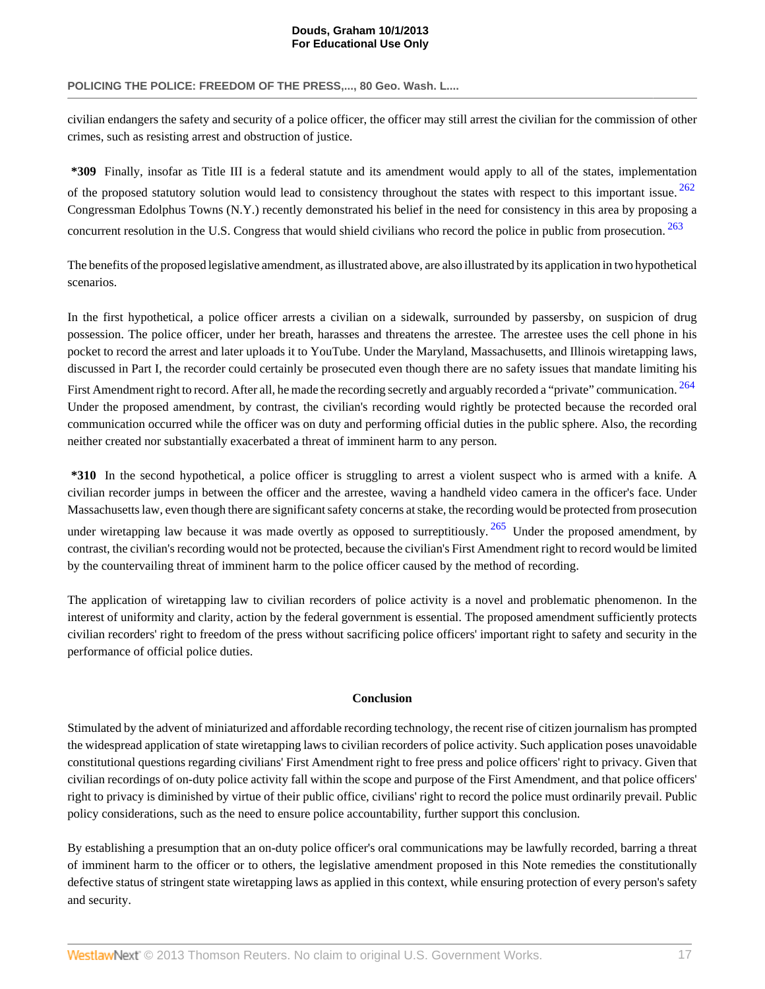## **POLICING THE POLICE: FREEDOM OF THE PRESS,..., 80 Geo. Wash. L....**

civilian endangers the safety and security of a police officer, the officer may still arrest the civilian for the commission of other crimes, such as resisting arrest and obstruction of justice.

**\*309** Finally, insofar as Title III is a federal statute and its amendment would apply to all of the states, implementation of the proposed statutory solution would lead to consistency throughout the states with respect to this important issue.  $262$ Congressman Edolphus Towns (N.Y.) recently demonstrated his belief in the need for consistency in this area by proposing a concurrent resolution in the U.S. Congress that would shield civilians who record the police in public from prosecution.  $^{263}$  $^{263}$  $^{263}$ 

The benefits of the proposed legislative amendment, as illustrated above, are also illustrated by its application in two hypothetical scenarios.

In the first hypothetical, a police officer arrests a civilian on a sidewalk, surrounded by passersby, on suspicion of drug possession. The police officer, under her breath, harasses and threatens the arrestee. The arrestee uses the cell phone in his pocket to record the arrest and later uploads it to YouTube. Under the Maryland, Massachusetts, and Illinois wiretapping laws, discussed in Part I, the recorder could certainly be prosecuted even though there are no safety issues that mandate limiting his

First Amendment right to record. After all, he made the recording secretly and arguably recorded a "private" communication. <sup>[264](#page-29-1)</sup> Under the proposed amendment, by contrast, the civilian's recording would rightly be protected because the recorded oral communication occurred while the officer was on duty and performing official duties in the public sphere. Also, the recording neither created nor substantially exacerbated a threat of imminent harm to any person.

**\*310** In the second hypothetical, a police officer is struggling to arrest a violent suspect who is armed with a knife. A civilian recorder jumps in between the officer and the arrestee, waving a handheld video camera in the officer's face. Under Massachusetts law, even though there are significant safety concerns at stake, the recording would be protected from prosecution under wiretapping law because it was made overtly as opposed to surreptitiously.  $265$  Under the proposed amendment, by contrast, the civilian's recording would not be protected, because the civilian's First Amendment right to record would be limited by the countervailing threat of imminent harm to the police officer caused by the method of recording.

The application of wiretapping law to civilian recorders of police activity is a novel and problematic phenomenon. In the interest of uniformity and clarity, action by the federal government is essential. The proposed amendment sufficiently protects civilian recorders' right to freedom of the press without sacrificing police officers' important right to safety and security in the performance of official police duties.

# <span id="page-16-4"></span><span id="page-16-3"></span><span id="page-16-2"></span><span id="page-16-1"></span>**Conclusion**

<span id="page-16-0"></span>Stimulated by the advent of miniaturized and affordable recording technology, the recent rise of citizen journalism has prompted the widespread application of state wiretapping laws to civilian recorders of police activity. Such application poses unavoidable constitutional questions regarding civilians' First Amendment right to free press and police officers' right to privacy. Given that civilian recordings of on-duty police activity fall within the scope and purpose of the First Amendment, and that police officers' right to privacy is diminished by virtue of their public office, civilians' right to record the police must ordinarily prevail. Public policy considerations, such as the need to ensure police accountability, further support this conclusion.

By establishing a presumption that an on-duty police officer's oral communications may be lawfully recorded, barring a threat of imminent harm to the officer or to others, the legislative amendment proposed in this Note remedies the constitutionally defective status of stringent state wiretapping laws as applied in this context, while ensuring protection of every person's safety and security.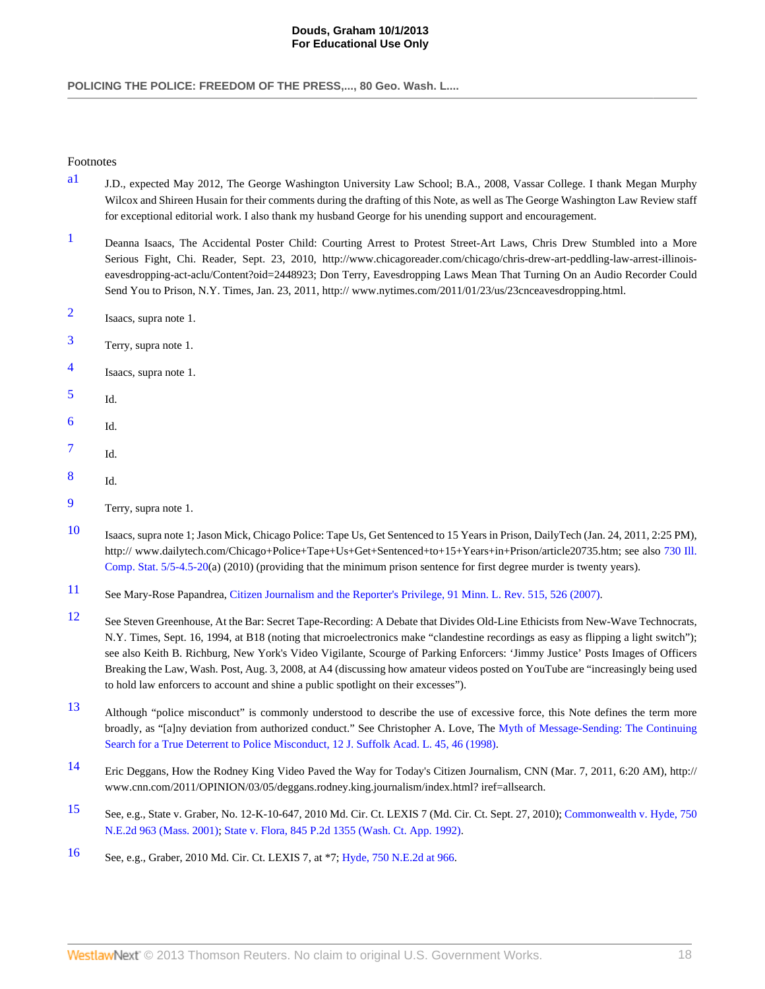**POLICING THE POLICE: FREEDOM OF THE PRESS,..., 80 Geo. Wash. L....**

# Footnotes

- <span id="page-17-0"></span>[a1](#page-0-0) J.D., expected May 2012, The George Washington University Law School; B.A., 2008, Vassar College. I thank Megan Murphy Wilcox and Shireen Husain for their comments during the drafting of this Note, as well as The George Washington Law Review staff for exceptional editorial work. I also thank my husband George for his unending support and encouragement.
- <span id="page-17-1"></span>[1](#page-1-1) Deanna Isaacs, The Accidental Poster Child: Courting Arrest to Protest Street-Art Laws, Chris Drew Stumbled into a More Serious Fight, Chi. Reader, Sept. 23, 2010, http://www.chicagoreader.com/chicago/chris-drew-art-peddling-law-arrest-illinoiseavesdropping-act-aclu/Content?oid=2448923; Don Terry, Eavesdropping Laws Mean That Turning On an Audio Recorder Could Send You to Prison, N.Y. Times, Jan. 23, 2011, http:// www.nytimes.com/2011/01/23/us/23cnceavesdropping.html.
- <span id="page-17-2"></span>[2](#page-1-2) Isaacs, supra note 1.
- <span id="page-17-3"></span>[3](#page-1-3) Terry, supra note 1.
- <span id="page-17-4"></span>[4](#page-1-4) Isaacs, supra note 1.
- <span id="page-17-5"></span>[5](#page-1-5) Id.
- <span id="page-17-6"></span>[6](#page-1-6) Id.
- <span id="page-17-7"></span>[7](#page-1-7) Id.
- <span id="page-17-8"></span>[8](#page-1-8) Id.
- <span id="page-17-9"></span>[9](#page-1-9) Terry, supra note 1.
- <span id="page-17-10"></span>[10](#page-1-10) Isaacs, supra note 1; Jason Mick, Chicago Police: Tape Us, Get Sentenced to 15 Years in Prison, DailyTech (Jan. 24, 2011, 2:25 PM), http:// www.dailytech.com/Chicago+Police+Tape+Us+Get+Sentenced+to+15+Years+in+Prison/article20735.htm; see also [730 Ill.](http://www.westlaw.com/Link/Document/FullText?findType=L&pubNum=1000008&cite=IL730S5%2f5-4.5-20&originatingDoc=I3c48c5ba222d11e18b05fdf15589d8e8&refType=LQ&originationContext=document&vr=3.0&rs=cblt1.0&transitionType=DocumentItem&contextData=(sc.Search)) [Comp. Stat. 5/5-4.5-20\(](http://www.westlaw.com/Link/Document/FullText?findType=L&pubNum=1000008&cite=IL730S5%2f5-4.5-20&originatingDoc=I3c48c5ba222d11e18b05fdf15589d8e8&refType=LQ&originationContext=document&vr=3.0&rs=cblt1.0&transitionType=DocumentItem&contextData=(sc.Search))a) (2010) (providing that the minimum prison sentence for first degree murder is twenty years).

<span id="page-17-11"></span>[11](#page-1-11) See Mary-Rose Papandrea, [Citizen Journalism and the Reporter's Privilege, 91 Minn. L. Rev. 515, 526 \(2007\)](http://www.westlaw.com/Link/Document/FullText?findType=Y&serNum=0330429640&pubNum=1193&originationContext=document&vr=3.0&rs=cblt1.0&transitionType=DocumentItem&contextData=(sc.Search)#co_pp_sp_1193_526).

- <span id="page-17-12"></span>[12](#page-1-12) See Steven Greenhouse, At the Bar: Secret Tape-Recording: A Debate that Divides Old-Line Ethicists from New-Wave Technocrats, N.Y. Times, Sept. 16, 1994, at B18 (noting that microelectronics make "clandestine recordings as easy as flipping a light switch"); see also Keith B. Richburg, New York's Video Vigilante, Scourge of Parking Enforcers: 'Jimmy Justice' Posts Images of Officers Breaking the Law, Wash. Post, Aug. 3, 2008, at A4 (discussing how amateur videos posted on YouTube are "increasingly being used to hold law enforcers to account and shine a public spotlight on their excesses").
- <span id="page-17-13"></span>[13](#page-1-13) Although "police misconduct" is commonly understood to describe the use of excessive force, this Note defines the term more broadly, as "[a]ny deviation from authorized conduct." See Christopher A. Love, The [Myth of Message-Sending: The Continuing](http://www.westlaw.com/Link/Document/FullText?findType=Y&serNum=0112855815&pubNum=100134&originationContext=document&vr=3.0&rs=cblt1.0&transitionType=DocumentItem&contextData=(sc.Search)#co_pp_sp_100134_46) [Search for a True Deterrent to Police Misconduct, 12 J. Suffolk Acad. L. 45, 46 \(1998\).](http://www.westlaw.com/Link/Document/FullText?findType=Y&serNum=0112855815&pubNum=100134&originationContext=document&vr=3.0&rs=cblt1.0&transitionType=DocumentItem&contextData=(sc.Search)#co_pp_sp_100134_46)
- <span id="page-17-14"></span>[14](#page-1-14) Eric Deggans, How the Rodney King Video Paved the Way for Today's Citizen Journalism, CNN (Mar. 7, 2011, 6:20 AM), http:// www.cnn.com/2011/OPINION/03/05/deggans.rodney.king.journalism/index.html? iref=allsearch.
- <span id="page-17-15"></span>[15](#page-1-15) See, e.g., State v. Graber, No. 12-K-10-647, 2010 Md. Cir. Ct. LEXIS 7 (Md. Cir. Ct. Sept. 27, 2010); [Commonwealth v. Hyde, 750](http://www.westlaw.com/Link/Document/FullText?findType=Y&serNum=2001598194&pubNum=578&originationContext=document&vr=3.0&rs=cblt1.0&transitionType=DocumentItem&contextData=(sc.Search)) [N.E.2d 963 \(Mass. 2001\);](http://www.westlaw.com/Link/Document/FullText?findType=Y&serNum=2001598194&pubNum=578&originationContext=document&vr=3.0&rs=cblt1.0&transitionType=DocumentItem&contextData=(sc.Search)) [State v. Flora, 845 P.2d 1355 \(Wash. Ct. App. 1992\).](http://www.westlaw.com/Link/Document/FullText?findType=Y&serNum=1993058345&pubNum=661&originationContext=document&vr=3.0&rs=cblt1.0&transitionType=DocumentItem&contextData=(sc.Search))
- <span id="page-17-16"></span>[16](#page-1-16) See, e.g., Graber, 2010 Md. Cir. Ct. LEXIS 7, at \*7; [Hyde, 750 N.E.2d at 966.](http://www.westlaw.com/Link/Document/FullText?findType=Y&serNum=2001598194&pubNum=578&originationContext=document&vr=3.0&rs=cblt1.0&transitionType=DocumentItem&contextData=(sc.Search)#co_pp_sp_578_966)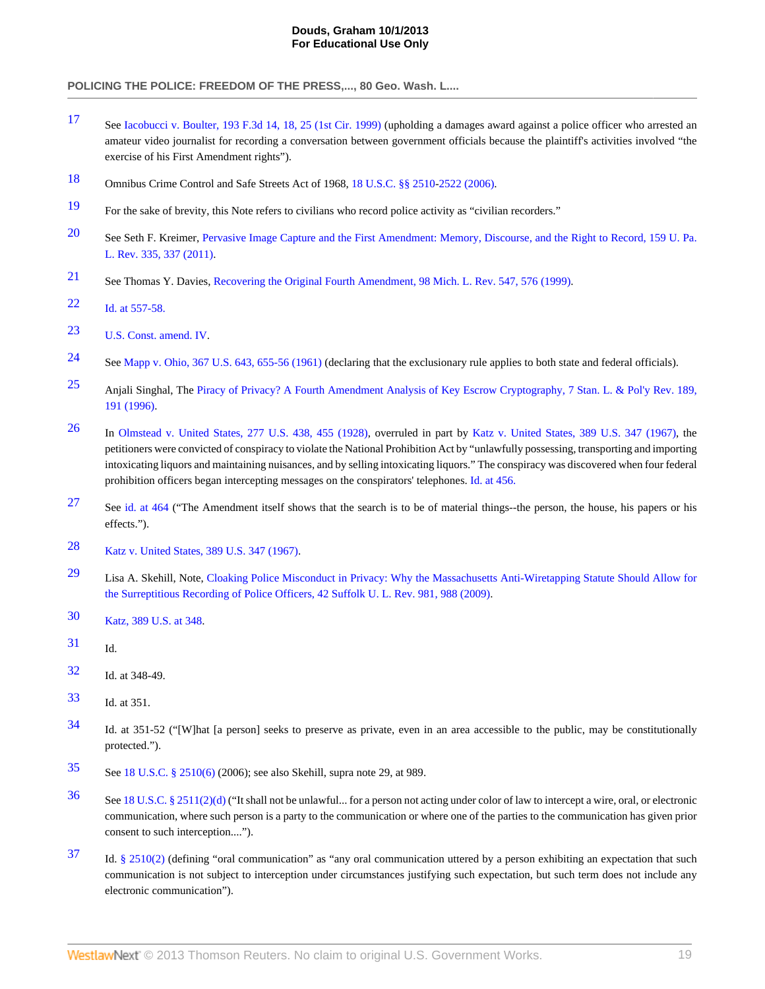- <span id="page-18-0"></span>[17](#page-1-17) See [Iacobucci v. Boulter, 193 F.3d 14, 18, 25 \(1st Cir. 1999\)](http://www.westlaw.com/Link/Document/FullText?findType=Y&serNum=1999222188&pubNum=506&originationContext=document&vr=3.0&rs=cblt1.0&transitionType=DocumentItem&contextData=(sc.Search)#co_pp_sp_506_18) (upholding a damages award against a police officer who arrested an amateur video journalist for recording a conversation between government officials because the plaintiff's activities involved "the exercise of his First Amendment rights").
- <span id="page-18-1"></span>[18](#page-1-18) Omnibus Crime Control and Safe Streets Act of 1968, [18 U.S.C. §§ 2510](http://www.westlaw.com/Link/Document/FullText?findType=L&pubNum=1000546&cite=18USCAS2510&originatingDoc=I3c48c5ba222d11e18b05fdf15589d8e8&refType=LQ&originationContext=document&vr=3.0&rs=cblt1.0&transitionType=DocumentItem&contextData=(sc.Search))[-2522 \(2006\).](http://www.westlaw.com/Link/Document/FullText?findType=L&pubNum=1000546&cite=18USCAS2522&originatingDoc=I3c48c5ba222d11e18b05fdf15589d8e8&refType=LQ&originationContext=document&vr=3.0&rs=cblt1.0&transitionType=DocumentItem&contextData=(sc.Search))
- <span id="page-18-2"></span>[19](#page-2-1) For the sake of brevity, this Note refers to civilians who record police activity as "civilian recorders."
- <span id="page-18-3"></span>[20](#page-2-2) See Seth F. Kreimer, [Pervasive Image Capture and the First Amendment: Memory, Discourse, and the Right to Record, 159 U. Pa.](http://www.westlaw.com/Link/Document/FullText?findType=Y&serNum=0358362346&pubNum=1268&originationContext=document&vr=3.0&rs=cblt1.0&transitionType=DocumentItem&contextData=(sc.Search)#co_pp_sp_1268_337) [L. Rev. 335, 337 \(2011\).](http://www.westlaw.com/Link/Document/FullText?findType=Y&serNum=0358362346&pubNum=1268&originationContext=document&vr=3.0&rs=cblt1.0&transitionType=DocumentItem&contextData=(sc.Search)#co_pp_sp_1268_337)
- <span id="page-18-4"></span>[21](#page-2-3) See Thomas Y. Davies, [Recovering the Original Fourth Amendment, 98 Mich. L. Rev. 547, 576 \(1999\).](http://www.westlaw.com/Link/Document/FullText?findType=Y&serNum=0115709562&pubNum=1192&originationContext=document&vr=3.0&rs=cblt1.0&transitionType=DocumentItem&contextData=(sc.Search)#co_pp_sp_1192_576)
- <span id="page-18-5"></span>[22](#page-2-4) [Id. at 557-58.](http://www.westlaw.com/Link/Document/FullText?findType=Y&serNum=0115709562&originationContext=document&vr=3.0&rs=cblt1.0&transitionType=DocumentItem&contextData=(sc.Search))
- <span id="page-18-6"></span>[23](#page-2-5) [U.S. Const. amend. IV.](http://www.westlaw.com/Link/Document/FullText?findType=L&pubNum=1000546&cite=USCOAMENDIV&originatingDoc=I3c48c5ba222d11e18b05fdf15589d8e8&refType=LQ&originationContext=document&vr=3.0&rs=cblt1.0&transitionType=DocumentItem&contextData=(sc.Search))
- <span id="page-18-7"></span>[24](#page-2-6) See [Mapp v. Ohio, 367 U.S. 643, 655-56 \(1961\)](http://www.westlaw.com/Link/Document/FullText?findType=Y&serNum=1961125528&pubNum=780&originationContext=document&vr=3.0&rs=cblt1.0&transitionType=DocumentItem&contextData=(sc.Search)#co_pp_sp_780_655) (declaring that the exclusionary rule applies to both state and federal officials).
- <span id="page-18-8"></span>[25](#page-2-7) Anjali Singhal, The [Piracy of Privacy? A Fourth Amendment Analysis of Key Escrow Cryptography, 7 Stan. L. & Pol'y Rev. 189,](http://www.westlaw.com/Link/Document/FullText?findType=Y&serNum=0106675982&pubNum=101481&originationContext=document&vr=3.0&rs=cblt1.0&transitionType=DocumentItem&contextData=(sc.Search)#co_pp_sp_101481_191) [191 \(1996\).](http://www.westlaw.com/Link/Document/FullText?findType=Y&serNum=0106675982&pubNum=101481&originationContext=document&vr=3.0&rs=cblt1.0&transitionType=DocumentItem&contextData=(sc.Search)#co_pp_sp_101481_191)
- <span id="page-18-9"></span>[26](#page-2-8) In [Olmstead v. United States, 277 U.S. 438, 455 \(1928\),](http://www.westlaw.com/Link/Document/FullText?findType=Y&serNum=1928126400&pubNum=780&originationContext=document&vr=3.0&rs=cblt1.0&transitionType=DocumentItem&contextData=(sc.Search)#co_pp_sp_780_455) overruled in part by [Katz v. United States, 389 U.S. 347 \(1967\)](http://www.westlaw.com/Link/Document/FullText?findType=Y&serNum=1967129584&pubNum=780&originationContext=document&vr=3.0&rs=cblt1.0&transitionType=DocumentItem&contextData=(sc.Search)), the petitioners were convicted of conspiracy to violate the National Prohibition Act by "unlawfully possessing, transporting and importing intoxicating liquors and maintaining nuisances, and by selling intoxicating liquors." The conspiracy was discovered when four federal prohibition officers began intercepting messages on the conspirators' telephones. [Id. at 456.](http://www.westlaw.com/Link/Document/FullText?findType=Y&serNum=1928126400&originationContext=document&vr=3.0&rs=cblt1.0&transitionType=DocumentItem&contextData=(sc.Search))
- <span id="page-18-10"></span>[27](#page-2-9) See [id. at 464](http://www.westlaw.com/Link/Document/FullText?findType=Y&serNum=1928126400&originationContext=document&vr=3.0&rs=cblt1.0&transitionType=DocumentItem&contextData=(sc.Search)) ("The Amendment itself shows that the search is to be of material things--the person, the house, his papers or his effects.").
- <span id="page-18-11"></span>[28](#page-2-10) [Katz v. United States, 389 U.S. 347 \(1967\).](http://www.westlaw.com/Link/Document/FullText?findType=Y&serNum=1967129584&pubNum=780&originationContext=document&vr=3.0&rs=cblt1.0&transitionType=DocumentItem&contextData=(sc.Search))
- <span id="page-18-12"></span>[29](#page-2-11) Lisa A. Skehill, Note, [Cloaking Police Misconduct in Privacy: Why the Massachusetts Anti-Wiretapping Statute Should Allow for](http://www.westlaw.com/Link/Document/FullText?findType=Y&serNum=0346056518&pubNum=1242&originationContext=document&vr=3.0&rs=cblt1.0&transitionType=DocumentItem&contextData=(sc.Search)#co_pp_sp_1242_988) [the Surreptitious Recording of Police Officers, 42 Suffolk U. L. Rev. 981, 988 \(2009\)](http://www.westlaw.com/Link/Document/FullText?findType=Y&serNum=0346056518&pubNum=1242&originationContext=document&vr=3.0&rs=cblt1.0&transitionType=DocumentItem&contextData=(sc.Search)#co_pp_sp_1242_988).
- <span id="page-18-13"></span>[30](#page-2-12) [Katz, 389 U.S. at 348.](http://www.westlaw.com/Link/Document/FullText?findType=Y&serNum=1967129584&pubNum=780&originationContext=document&vr=3.0&rs=cblt1.0&transitionType=DocumentItem&contextData=(sc.Search)#co_pp_sp_780_348)
- <span id="page-18-14"></span>[31](#page-2-13) Id.
- <span id="page-18-15"></span>[32](#page-2-14) Id. at 348-49.
- <span id="page-18-16"></span>[33](#page-2-15) Id. at 351.
- <span id="page-18-17"></span>[34](#page-2-16) Id. at 351-52 ("[W]hat [a person] seeks to preserve as private, even in an area accessible to the public, may be constitutionally protected.").
- <span id="page-18-18"></span>[35](#page-3-1) See [18 U.S.C. § 2510\(6\)](http://www.westlaw.com/Link/Document/FullText?findType=L&pubNum=1000546&cite=18USCAS2510&originationContext=document&vr=3.0&rs=cblt1.0&transitionType=DocumentItem&contextData=(sc.Search)#co_pp_1e9a0000fd6a3) (2006); see also Skehill, supra note 29, at 989.
- <span id="page-18-19"></span>[36](#page-3-2) See [18 U.S.C. § 2511\(2\)\(d\)](http://www.westlaw.com/Link/Document/FullText?findType=L&pubNum=1000546&cite=18USCAS2511&originationContext=document&vr=3.0&rs=cblt1.0&transitionType=DocumentItem&contextData=(sc.Search)#co_pp_93670000bd080) ("It shall not be unlawful... for a person not acting under color of law to intercept a wire, oral, or electronic communication, where such person is a party to the communication or where one of the parties to the communication has given prior consent to such interception....").
- <span id="page-18-20"></span> $37$  Id. [§ 2510\(2\)](http://www.westlaw.com/Link/Document/FullText?findType=L&pubNum=1000546&cite=18USCAS2510&originationContext=document&vr=3.0&rs=cblt1.0&transitionType=DocumentItem&contextData=(sc.Search)#co_pp_58730000872b1) (defining "oral communication" as "any oral communication uttered by a person exhibiting an expectation that such communication is not subject to interception under circumstances justifying such expectation, but such term does not include any electronic communication").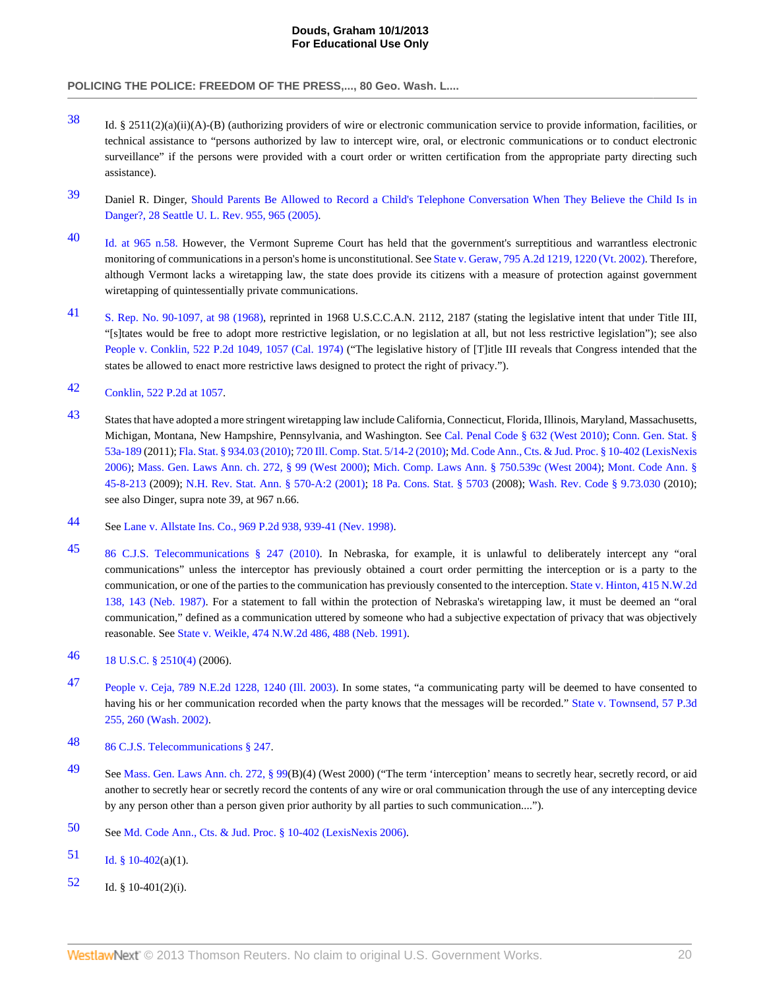- <span id="page-19-0"></span>[38](#page-3-4) Id. § 2511(2)(a)(ii)(A)-(B) (authorizing providers of wire or electronic communication service to provide information, facilities, or technical assistance to "persons authorized by law to intercept wire, oral, or electronic communications or to conduct electronic surveillance" if the persons were provided with a court order or written certification from the appropriate party directing such assistance).
- <span id="page-19-1"></span>[39](#page-3-5) Daniel R. Dinger, [Should Parents Be Allowed to Record a Child's Telephone Conversation When They Believe the Child Is in](http://www.westlaw.com/Link/Document/FullText?findType=Y&serNum=0304691403&pubNum=107349&originationContext=document&vr=3.0&rs=cblt1.0&transitionType=DocumentItem&contextData=(sc.Search)#co_pp_sp_107349_965) [Danger?, 28 Seattle U. L. Rev. 955, 965 \(2005\).](http://www.westlaw.com/Link/Document/FullText?findType=Y&serNum=0304691403&pubNum=107349&originationContext=document&vr=3.0&rs=cblt1.0&transitionType=DocumentItem&contextData=(sc.Search)#co_pp_sp_107349_965)
- <span id="page-19-2"></span>[40](#page-3-6) [Id. at 965 n.58.](http://www.westlaw.com/Link/Document/FullText?findType=Y&serNum=0304691403&originationContext=document&vr=3.0&rs=cblt1.0&transitionType=DocumentItem&contextData=(sc.Search)) However, the Vermont Supreme Court has held that the government's surreptitious and warrantless electronic monitoring of communications in a person's home is unconstitutional. See [State v. Geraw, 795 A.2d 1219, 1220 \(Vt. 2002\)](http://www.westlaw.com/Link/Document/FullText?findType=Y&serNum=2002180020&pubNum=162&originationContext=document&vr=3.0&rs=cblt1.0&transitionType=DocumentItem&contextData=(sc.Search)#co_pp_sp_162_1220). Therefore, although Vermont lacks a wiretapping law, the state does provide its citizens with a measure of protection against government wiretapping of quintessentially private communications.
- <span id="page-19-3"></span>[41](#page-3-7) [S. Rep. No. 90-1097, at 98 \(1968\),](http://www.westlaw.com/Link/Document/FullText?findType=Y&serNum=0100859668&pubNum=0001503&originationContext=document&vr=3.0&rs=cblt1.0&transitionType=DocumentItem&contextData=(sc.Search)) reprinted in 1968 U.S.C.C.A.N. 2112, 2187 (stating the legislative intent that under Title III, "[s]tates would be free to adopt more restrictive legislation, or no legislation at all, but not less restrictive legislation"); see also [People v. Conklin, 522 P.2d 1049, 1057 \(Cal. 1974\)](http://www.westlaw.com/Link/Document/FullText?findType=Y&serNum=1974124419&pubNum=661&originationContext=document&vr=3.0&rs=cblt1.0&transitionType=DocumentItem&contextData=(sc.Search)#co_pp_sp_661_1057) ("The legislative history of [T]itle III reveals that Congress intended that the states be allowed to enact more restrictive laws designed to protect the right of privacy.").
- <span id="page-19-4"></span>[42](#page-3-8) [Conklin, 522 P.2d at 1057.](http://www.westlaw.com/Link/Document/FullText?findType=Y&serNum=1974124419&pubNum=661&originationContext=document&vr=3.0&rs=cblt1.0&transitionType=DocumentItem&contextData=(sc.Search)#co_pp_sp_661_1057)
- <span id="page-19-5"></span>[43](#page-3-9) States that have adopted a more stringent wiretapping law include California, Connecticut, Florida, Illinois, Maryland, Massachusetts, Michigan, Montana, New Hampshire, Pennsylvania, and Washington. See [Cal. Penal Code § 632 \(West 2010\);](http://www.westlaw.com/Link/Document/FullText?findType=L&pubNum=1000217&cite=CAPES632&originatingDoc=I3c48c5ba222d11e18b05fdf15589d8e8&refType=LQ&originationContext=document&vr=3.0&rs=cblt1.0&transitionType=DocumentItem&contextData=(sc.Search)) [Conn. Gen. Stat. §](http://www.westlaw.com/Link/Document/FullText?findType=L&pubNum=1000264&cite=CTSTS53A-189&originatingDoc=I3c48c5ba222d11e18b05fdf15589d8e8&refType=LQ&originationContext=document&vr=3.0&rs=cblt1.0&transitionType=DocumentItem&contextData=(sc.Search)) [53a-189](http://www.westlaw.com/Link/Document/FullText?findType=L&pubNum=1000264&cite=CTSTS53A-189&originatingDoc=I3c48c5ba222d11e18b05fdf15589d8e8&refType=LQ&originationContext=document&vr=3.0&rs=cblt1.0&transitionType=DocumentItem&contextData=(sc.Search)) (2011); [Fla. Stat. § 934.03 \(2010\);](http://www.westlaw.com/Link/Document/FullText?findType=L&pubNum=1000006&cite=FLSTS934.03&originatingDoc=I3c48c5ba222d11e18b05fdf15589d8e8&refType=LQ&originationContext=document&vr=3.0&rs=cblt1.0&transitionType=DocumentItem&contextData=(sc.Search)) [720 Ill. Comp. Stat. 5/14-2 \(2010\);](http://www.westlaw.com/Link/Document/FullText?findType=L&pubNum=1000008&cite=ILSTC720S5%2f14-2&originatingDoc=I3c48c5ba222d11e18b05fdf15589d8e8&refType=LQ&originationContext=document&vr=3.0&rs=cblt1.0&transitionType=DocumentItem&contextData=(sc.Search)) [Md. Code Ann., Cts. & Jud. Proc. § 10-402 \(LexisNexis](http://www.westlaw.com/Link/Document/FullText?findType=L&pubNum=1000021&cite=MDCATS10-402&originatingDoc=I3c48c5ba222d11e18b05fdf15589d8e8&refType=LQ&originationContext=document&vr=3.0&rs=cblt1.0&transitionType=DocumentItem&contextData=(sc.Search)) [2006\);](http://www.westlaw.com/Link/Document/FullText?findType=L&pubNum=1000021&cite=MDCATS10-402&originatingDoc=I3c48c5ba222d11e18b05fdf15589d8e8&refType=LQ&originationContext=document&vr=3.0&rs=cblt1.0&transitionType=DocumentItem&contextData=(sc.Search)) [Mass. Gen. Laws Ann. ch. 272, § 99 \(West 2000\);](http://www.westlaw.com/Link/Document/FullText?findType=L&pubNum=1000042&cite=MAST272S99&originatingDoc=I3c48c5ba222d11e18b05fdf15589d8e8&refType=LQ&originationContext=document&vr=3.0&rs=cblt1.0&transitionType=DocumentItem&contextData=(sc.Search)) [Mich. Comp. Laws Ann. § 750.539c \(West 2004\)](http://www.westlaw.com/Link/Document/FullText?findType=L&pubNum=1000043&cite=MIST750.539C&originatingDoc=I3c48c5ba222d11e18b05fdf15589d8e8&refType=LQ&originationContext=document&vr=3.0&rs=cblt1.0&transitionType=DocumentItem&contextData=(sc.Search)); [Mont. Code Ann. §](http://www.westlaw.com/Link/Document/FullText?findType=L&pubNum=1002018&cite=MTST45-8-213&originatingDoc=I3c48c5ba222d11e18b05fdf15589d8e8&refType=LQ&originationContext=document&vr=3.0&rs=cblt1.0&transitionType=DocumentItem&contextData=(sc.Search)) [45-8-213](http://www.westlaw.com/Link/Document/FullText?findType=L&pubNum=1002018&cite=MTST45-8-213&originatingDoc=I3c48c5ba222d11e18b05fdf15589d8e8&refType=LQ&originationContext=document&vr=3.0&rs=cblt1.0&transitionType=DocumentItem&contextData=(sc.Search)) (2009); [N.H. Rev. Stat. Ann. § 570-A:2 \(2001\)](http://www.westlaw.com/Link/Document/FullText?findType=L&pubNum=1000864&cite=NHSTS570-A%3a2&originatingDoc=I3c48c5ba222d11e18b05fdf15589d8e8&refType=LQ&originationContext=document&vr=3.0&rs=cblt1.0&transitionType=DocumentItem&contextData=(sc.Search)); [18 Pa. Cons. Stat. § 5703](http://www.westlaw.com/Link/Document/FullText?findType=L&pubNum=1000262&cite=PA18S5703&originatingDoc=I3c48c5ba222d11e18b05fdf15589d8e8&refType=LQ&originationContext=document&vr=3.0&rs=cblt1.0&transitionType=DocumentItem&contextData=(sc.Search)) (2008); [Wash. Rev. Code § 9.73.030](http://www.westlaw.com/Link/Document/FullText?findType=L&pubNum=1000259&cite=WAST9.73.030&originatingDoc=I3c48c5ba222d11e18b05fdf15589d8e8&refType=LQ&originationContext=document&vr=3.0&rs=cblt1.0&transitionType=DocumentItem&contextData=(sc.Search)) (2010); see also Dinger, supra note 39, at 967 n.66.
- <span id="page-19-6"></span>[44](#page-3-10) See [Lane v. Allstate Ins. Co., 969 P.2d 938, 939-41 \(Nev. 1998\).](http://www.westlaw.com/Link/Document/FullText?findType=Y&serNum=1998248893&pubNum=661&originationContext=document&vr=3.0&rs=cblt1.0&transitionType=DocumentItem&contextData=(sc.Search)#co_pp_sp_661_939)
- <span id="page-19-7"></span>[45](#page-3-11) [86 C.J.S. Telecommunications § 247 \(2010\).](http://www.westlaw.com/Link/Document/FullText?findType=Y&serNum=0289697998&pubNum=0158539&originationContext=document&vr=3.0&rs=cblt1.0&transitionType=DocumentItem&contextData=(sc.Search)) In Nebraska, for example, it is unlawful to deliberately intercept any "oral communications" unless the interceptor has previously obtained a court order permitting the interception or is a party to the communication, or one of the parties to the communication has previously consented to the interception. [State v. Hinton, 415 N.W.2d](http://www.westlaw.com/Link/Document/FullText?findType=Y&serNum=1987143014&pubNum=595&originationContext=document&vr=3.0&rs=cblt1.0&transitionType=DocumentItem&contextData=(sc.Search)#co_pp_sp_595_143) [138, 143 \(Neb. 1987\).](http://www.westlaw.com/Link/Document/FullText?findType=Y&serNum=1987143014&pubNum=595&originationContext=document&vr=3.0&rs=cblt1.0&transitionType=DocumentItem&contextData=(sc.Search)#co_pp_sp_595_143) For a statement to fall within the protection of Nebraska's wiretapping law, it must be deemed an "oral communication," defined as a communication uttered by someone who had a subjective expectation of privacy that was objectively reasonable. See [State v. Weikle, 474 N.W.2d 486, 488 \(Neb. 1991\).](http://www.westlaw.com/Link/Document/FullText?findType=Y&serNum=1991158641&pubNum=595&originationContext=document&vr=3.0&rs=cblt1.0&transitionType=DocumentItem&contextData=(sc.Search)#co_pp_sp_595_488)
- <span id="page-19-8"></span>[46](#page-3-12) [18 U.S.C. § 2510\(4\)](http://www.westlaw.com/Link/Document/FullText?findType=L&pubNum=1000546&cite=18USCAS2510&originationContext=document&vr=3.0&rs=cblt1.0&transitionType=DocumentItem&contextData=(sc.Search)#co_pp_0bd500007a412) (2006).
- <span id="page-19-9"></span>[47](#page-3-13) [People v. Ceja, 789 N.E.2d 1228, 1240 \(Ill. 2003\).](http://www.westlaw.com/Link/Document/FullText?findType=Y&serNum=2003294042&pubNum=578&originationContext=document&vr=3.0&rs=cblt1.0&transitionType=DocumentItem&contextData=(sc.Search)#co_pp_sp_578_1240) In some states, "a communicating party will be deemed to have consented to having his or her communication recorded when the party knows that the messages will be recorded." [State v. Townsend, 57 P.3d](http://www.westlaw.com/Link/Document/FullText?findType=Y&serNum=2002706421&pubNum=4645&originationContext=document&vr=3.0&rs=cblt1.0&transitionType=DocumentItem&contextData=(sc.Search)#co_pp_sp_4645_260) [255, 260 \(Wash. 2002\).](http://www.westlaw.com/Link/Document/FullText?findType=Y&serNum=2002706421&pubNum=4645&originationContext=document&vr=3.0&rs=cblt1.0&transitionType=DocumentItem&contextData=(sc.Search)#co_pp_sp_4645_260)
- <span id="page-19-10"></span>[48](#page-3-14) [86 C.J.S. Telecommunications § 247.](http://www.westlaw.com/Link/Document/FullText?findType=Y&serNum=0289697998&pubNum=0158539&originationContext=document&vr=3.0&rs=cblt1.0&transitionType=DocumentItem&contextData=(sc.Search))
- <span id="page-19-11"></span>[49](#page-3-15) See [Mass. Gen. Laws Ann. ch. 272, § 99](http://www.westlaw.com/Link/Document/FullText?findType=L&pubNum=1000042&cite=MAST272S99&originatingDoc=I3c48c5ba222d11e18b05fdf15589d8e8&refType=LQ&originationContext=document&vr=3.0&rs=cblt1.0&transitionType=DocumentItem&contextData=(sc.Search))(B)(4) (West 2000) ("The term 'interception' means to secretly hear, secretly record, or aid another to secretly hear or secretly record the contents of any wire or oral communication through the use of any intercepting device by any person other than a person given prior authority by all parties to such communication....").
- <span id="page-19-12"></span>[50](#page-3-16) See [Md. Code Ann., Cts. & Jud. Proc. § 10-402 \(LexisNexis 2006\)](http://www.westlaw.com/Link/Document/FullText?findType=L&pubNum=1000021&cite=MDCATS10-402&originatingDoc=I3c48c5ba222d11e18b05fdf15589d8e8&refType=LQ&originationContext=document&vr=3.0&rs=cblt1.0&transitionType=DocumentItem&contextData=(sc.Search)).
- <span id="page-19-13"></span>[51](#page-3-17) Id. §  $10-402(a)(1)$ .
- <span id="page-19-14"></span>[52](#page-3-18) Id. § 10-401(2)(i).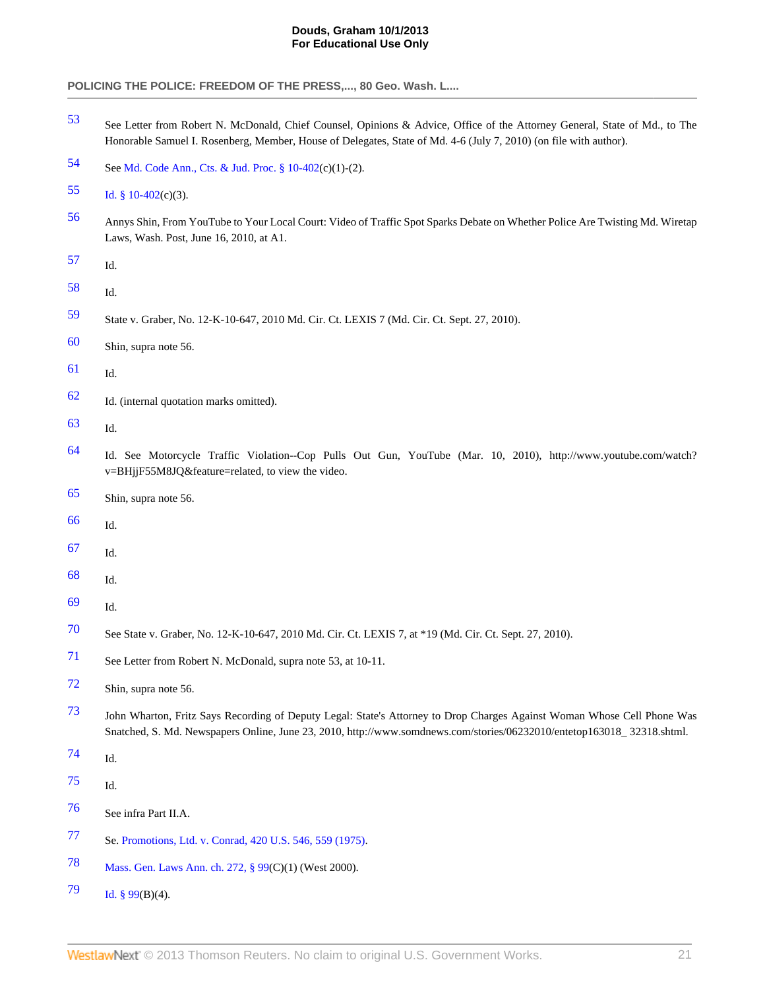**POLICING THE POLICE: FREEDOM OF THE PRESS,..., 80 Geo. Wash. L....**

<span id="page-20-0"></span> See Letter from Robert N. McDonald, Chief Counsel, Opinions & Advice, Office of the Attorney General, State of Md., to The Honorable Samuel I. Rosenberg, Member, House of Delegates, State of Md. 4-6 (July 7, 2010) (on file with author).

<span id="page-20-1"></span>See [Md. Code Ann., Cts. & Jud. Proc. § 10-402\(](http://www.westlaw.com/Link/Document/FullText?findType=L&pubNum=1000021&cite=MDCATS10-402&originatingDoc=I3c48c5ba222d11e18b05fdf15589d8e8&refType=LQ&originationContext=document&vr=3.0&rs=cblt1.0&transitionType=DocumentItem&contextData=(sc.Search))c)(1)-(2).

```
55 Id. \frac{1}{2} 10-402(c)(3).
```
- <span id="page-20-3"></span> Annys Shin, From YouTube to Your Local Court: Video of Traffic Spot Sparks Debate on Whether Police Are Twisting Md. Wiretap Laws, Wash. Post, June 16, 2010, at A1.
- <span id="page-20-4"></span>Id.
- <span id="page-20-5"></span>Id.
- <span id="page-20-6"></span>State v. Graber, No. 12-K-10-647, 2010 Md. Cir. Ct. LEXIS 7 (Md. Cir. Ct. Sept. 27, 2010).
- <span id="page-20-7"></span>Shin, supra note 56.
- <span id="page-20-8"></span>Id.
- <span id="page-20-9"></span>Id. (internal quotation marks omitted).
- <span id="page-20-10"></span>Id.
- <span id="page-20-11"></span> Id. See Motorcycle Traffic Violation--Cop Pulls Out Gun, YouTube (Mar. 10, 2010), http://www.youtube.com/watch? v=BHjjF55M8JQ&feature=related, to view the video.
- <span id="page-20-12"></span>Shin, supra note 56.
- <span id="page-20-13"></span>Id.
- <span id="page-20-14"></span>Id.
- <span id="page-20-15"></span>Id.
- <span id="page-20-16"></span>Id.
- <span id="page-20-17"></span>See State v. Graber, No. 12-K-10-647, 2010 Md. Cir. Ct. LEXIS 7, at \*19 (Md. Cir. Ct. Sept. 27, 2010).
- <span id="page-20-18"></span>See Letter from Robert N. McDonald, supra note 53, at 10-11.
- <span id="page-20-19"></span>Shin, supra note 56.
- <span id="page-20-20"></span> John Wharton, Fritz Says Recording of Deputy Legal: State's Attorney to Drop Charges Against Woman Whose Cell Phone Was Snatched, S. Md. Newspapers Online, June 23, 2010, http://www.somdnews.com/stories/06232010/entetop163018 32318.shtml.
- <span id="page-20-21"></span>Id.
- <span id="page-20-22"></span>Id.
- <span id="page-20-23"></span>See infra Part II.A.
- <span id="page-20-24"></span>Se. [Promotions, Ltd. v. Conrad, 420 U.S. 546, 559 \(1975\)](http://www.westlaw.com/Link/Document/FullText?findType=Y&serNum=1975129759&pubNum=780&originationContext=document&vr=3.0&rs=cblt1.0&transitionType=DocumentItem&contextData=(sc.Search)#co_pp_sp_780_559).
- <span id="page-20-25"></span>[Mass. Gen. Laws Ann. ch. 272, § 99](http://www.westlaw.com/Link/Document/FullText?findType=L&pubNum=1000042&cite=MAST272S99&originatingDoc=I3c48c5ba222d11e18b05fdf15589d8e8&refType=LQ&originationContext=document&vr=3.0&rs=cblt1.0&transitionType=DocumentItem&contextData=(sc.Search))(C)(1) (West 2000).
- <span id="page-20-26"></span>[79](#page-5-4) Id.  $\frac{1}{99(B)(4)}$ .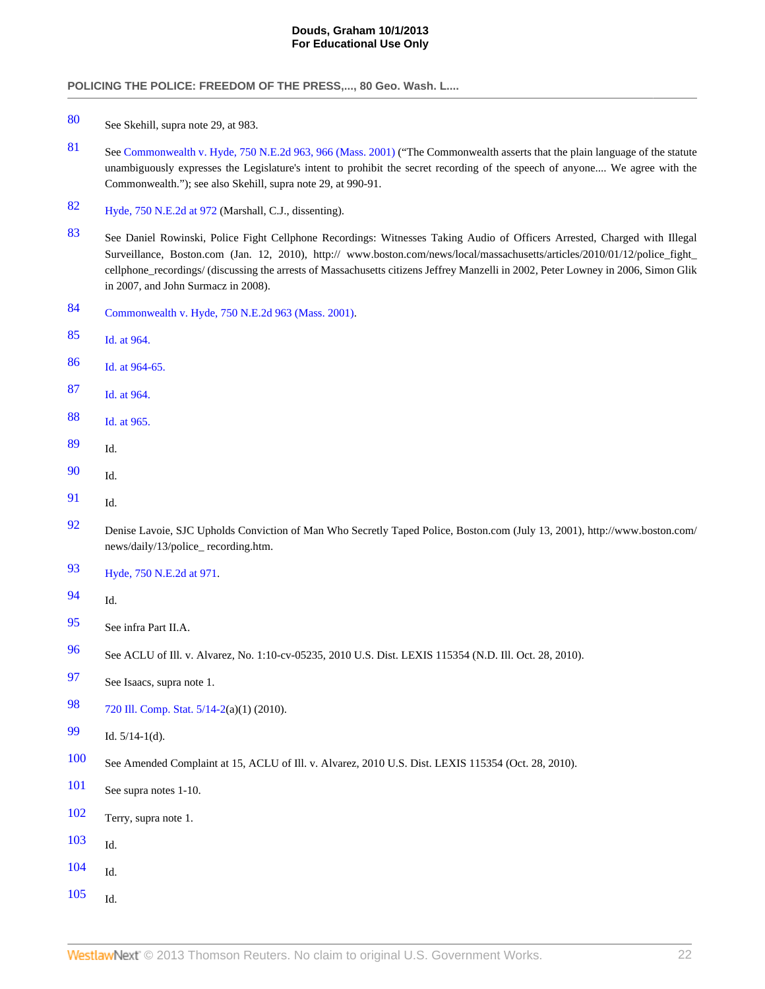- <span id="page-21-0"></span>See Skehill, supra note 29, at 983.
- <span id="page-21-1"></span> See [Commonwealth v. Hyde, 750 N.E.2d 963, 966 \(Mass. 2001\)](http://www.westlaw.com/Link/Document/FullText?findType=Y&serNum=2001598194&pubNum=578&originationContext=document&vr=3.0&rs=cblt1.0&transitionType=DocumentItem&contextData=(sc.Search)#co_pp_sp_578_966) ("The Commonwealth asserts that the plain language of the statute unambiguously expresses the Legislature's intent to prohibit the secret recording of the speech of anyone.... We agree with the Commonwealth."); see also Skehill, supra note 29, at 990-91.
- <span id="page-21-2"></span>[Hyde, 750 N.E.2d at 972](http://www.westlaw.com/Link/Document/FullText?findType=Y&serNum=2001598194&pubNum=578&originationContext=document&vr=3.0&rs=cblt1.0&transitionType=DocumentItem&contextData=(sc.Search)#co_pp_sp_578_972) (Marshall, C.J., dissenting).
- <span id="page-21-3"></span> See Daniel Rowinski, Police Fight Cellphone Recordings: Witnesses Taking Audio of Officers Arrested, Charged with Illegal Surveillance, Boston.com (Jan. 12, 2010), http:// www.boston.com/news/local/massachusetts/articles/2010/01/12/police\_fight\_ cellphone recordings/ (discussing the arrests of Massachusetts citizens Jeffrey Manzelli in 2002, Peter Lowney in 2006, Simon Glik in 2007, and John Surmacz in 2008).
- <span id="page-21-4"></span>[Commonwealth v. Hyde, 750 N.E.2d 963 \(Mass. 2001\)](http://www.westlaw.com/Link/Document/FullText?findType=Y&serNum=2001598194&pubNum=578&originationContext=document&vr=3.0&rs=cblt1.0&transitionType=DocumentItem&contextData=(sc.Search)).
- <span id="page-21-5"></span>[Id. at 964.](http://www.westlaw.com/Link/Document/FullText?findType=Y&serNum=2001598194&originationContext=document&vr=3.0&rs=cblt1.0&transitionType=DocumentItem&contextData=(sc.Search))
- <span id="page-21-6"></span>[Id. at 964-65.](http://www.westlaw.com/Link/Document/FullText?findType=Y&serNum=2001598194&originationContext=document&vr=3.0&rs=cblt1.0&transitionType=DocumentItem&contextData=(sc.Search))
- <span id="page-21-7"></span>[Id. at 964.](http://www.westlaw.com/Link/Document/FullText?findType=Y&serNum=2001598194&originationContext=document&vr=3.0&rs=cblt1.0&transitionType=DocumentItem&contextData=(sc.Search))
- <span id="page-21-8"></span>[Id. at 965.](http://www.westlaw.com/Link/Document/FullText?findType=Y&serNum=2001598194&originationContext=document&vr=3.0&rs=cblt1.0&transitionType=DocumentItem&contextData=(sc.Search))
- <span id="page-21-9"></span>Id.
- <span id="page-21-10"></span>Id.
- <span id="page-21-11"></span>Id.
- <span id="page-21-12"></span> Denise Lavoie, SJC Upholds Conviction of Man Who Secretly Taped Police, Boston.com (July 13, 2001), http://www.boston.com/ news/daily/13/police\_ recording.htm.
- <span id="page-21-13"></span>[Hyde, 750 N.E.2d at 971.](http://www.westlaw.com/Link/Document/FullText?findType=Y&serNum=2001598194&pubNum=578&originationContext=document&vr=3.0&rs=cblt1.0&transitionType=DocumentItem&contextData=(sc.Search)#co_pp_sp_578_971)
- <span id="page-21-14"></span>Id.
- <span id="page-21-15"></span>See infra Part II.A.
- <span id="page-21-16"></span>See ACLU of Ill. v. Alvarez, No. 1:10-cv-05235, 2010 U.S. Dist. LEXIS 115354 (N.D. Ill. Oct. 28, 2010).
- <span id="page-21-17"></span>See Isaacs, supra note 1.
- <span id="page-21-18"></span>[720 Ill. Comp. Stat. 5/14-2\(](http://www.westlaw.com/Link/Document/FullText?findType=L&pubNum=1000008&cite=ILSTC720S5%2f14-2&originatingDoc=I3c48c5ba222d11e18b05fdf15589d8e8&refType=LQ&originationContext=document&vr=3.0&rs=cblt1.0&transitionType=DocumentItem&contextData=(sc.Search))a)(1) (2010).
- <span id="page-21-19"></span>Id. 5/14-1(d).
- <span id="page-21-20"></span>See Amended Complaint at 15, ACLU of Ill. v. Alvarez, 2010 U.S. Dist. LEXIS 115354 (Oct. 28, 2010).
- <span id="page-21-21"></span>See supra notes 1-10.
- <span id="page-21-22"></span>Terry, supra note 1.
- <span id="page-21-23"></span>Id.
- <span id="page-21-24"></span>Id.
- <span id="page-21-25"></span>Id.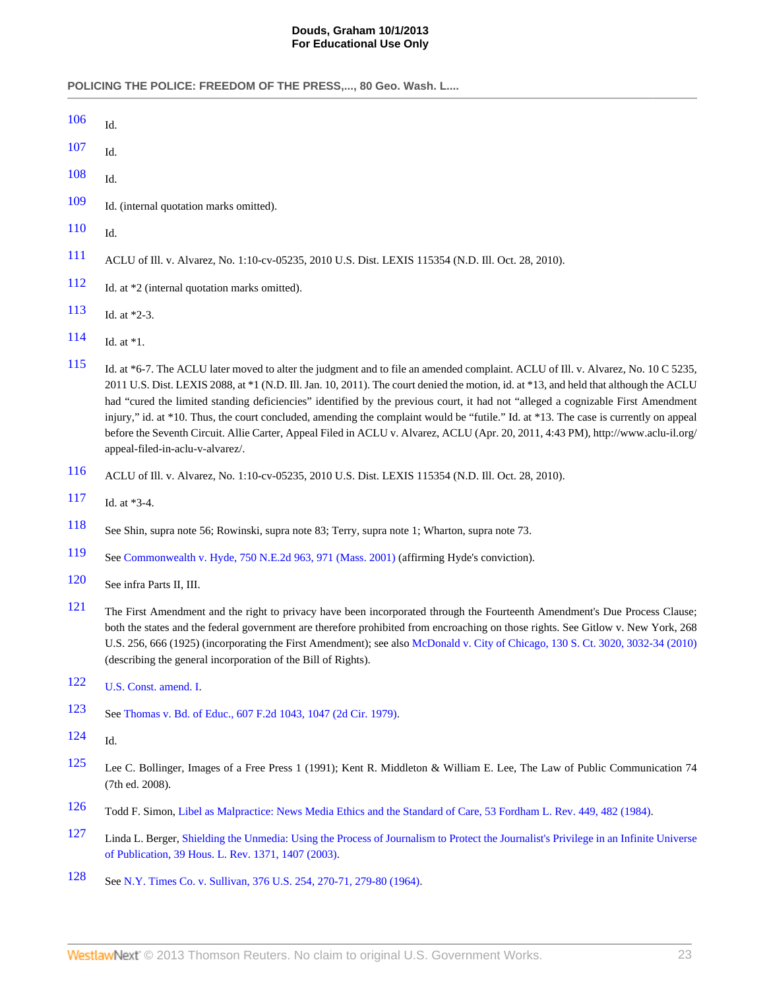<span id="page-22-22"></span><span id="page-22-21"></span><span id="page-22-20"></span><span id="page-22-19"></span><span id="page-22-18"></span><span id="page-22-17"></span><span id="page-22-16"></span><span id="page-22-15"></span><span id="page-22-14"></span><span id="page-22-13"></span><span id="page-22-12"></span><span id="page-22-11"></span><span id="page-22-10"></span><span id="page-22-9"></span><span id="page-22-8"></span><span id="page-22-7"></span><span id="page-22-6"></span><span id="page-22-5"></span><span id="page-22-4"></span><span id="page-22-3"></span><span id="page-22-2"></span><span id="page-22-1"></span><span id="page-22-0"></span>

| 106<br>Id.<br>107<br>Id.<br>108<br>Id.<br>109<br>Id. (internal quotation marks omitted).<br>110<br>Id.<br>111<br>ACLU of Ill. v. Alvarez, No. 1:10-cv-05235, 2010 U.S. Dist. LEXIS 115354 (N.D. Ill. Oct. 28, 2010).<br>112<br>Id. at *2 (internal quotation marks omitted).<br>113<br>Id. at *2-3.<br>114<br>Id. at $*1$ .<br>115<br>appeal-filed-in-aclu-v-alvarez/.<br>116<br>ACLU of Ill. v. Alvarez, No. 1:10-cv-05235, 2010 U.S. Dist. LEXIS 115354 (N.D. Ill. Oct. 28, 2010).<br>117<br>Id. at *3-4.<br>118<br>See Shin, supra note 56; Rowinski, supra note 83; Terry, supra note 1; Wharton, supra note 73.<br>119<br>See Commonwealth v. Hyde, 750 N.E.2d 963, 971 (Mass. 2001) (affirming Hyde's conviction).<br>120<br>See infra Parts II, III.<br>121<br>(describing the general incorporation of the Bill of Rights).<br>122<br>U.S. Const. amend. I.<br>123<br>See Thomas v. Bd. of Educ., 607 F.2d 1043, 1047 (2d Cir. 1979).<br>124<br>Id.<br>125<br>(7th ed. 2008).<br>126<br>127<br>of Publication, 39 Hous. L. Rev. 1371, 1407 (2003).<br>128<br>See N.Y. Times Co. v. Sullivan, 376 U.S. 254, 270-71, 279-80 (1964). |                                                                                                                                                                                                                                                                                                                                                                                                                                                                                                                                                                                                                                                                                              |
|-------------------------------------------------------------------------------------------------------------------------------------------------------------------------------------------------------------------------------------------------------------------------------------------------------------------------------------------------------------------------------------------------------------------------------------------------------------------------------------------------------------------------------------------------------------------------------------------------------------------------------------------------------------------------------------------------------------------------------------------------------------------------------------------------------------------------------------------------------------------------------------------------------------------------------------------------------------------------------------------------------------------------------------------------------------------------------------------------------------------------------------------|----------------------------------------------------------------------------------------------------------------------------------------------------------------------------------------------------------------------------------------------------------------------------------------------------------------------------------------------------------------------------------------------------------------------------------------------------------------------------------------------------------------------------------------------------------------------------------------------------------------------------------------------------------------------------------------------|
|                                                                                                                                                                                                                                                                                                                                                                                                                                                                                                                                                                                                                                                                                                                                                                                                                                                                                                                                                                                                                                                                                                                                           |                                                                                                                                                                                                                                                                                                                                                                                                                                                                                                                                                                                                                                                                                              |
|                                                                                                                                                                                                                                                                                                                                                                                                                                                                                                                                                                                                                                                                                                                                                                                                                                                                                                                                                                                                                                                                                                                                           |                                                                                                                                                                                                                                                                                                                                                                                                                                                                                                                                                                                                                                                                                              |
|                                                                                                                                                                                                                                                                                                                                                                                                                                                                                                                                                                                                                                                                                                                                                                                                                                                                                                                                                                                                                                                                                                                                           |                                                                                                                                                                                                                                                                                                                                                                                                                                                                                                                                                                                                                                                                                              |
|                                                                                                                                                                                                                                                                                                                                                                                                                                                                                                                                                                                                                                                                                                                                                                                                                                                                                                                                                                                                                                                                                                                                           |                                                                                                                                                                                                                                                                                                                                                                                                                                                                                                                                                                                                                                                                                              |
|                                                                                                                                                                                                                                                                                                                                                                                                                                                                                                                                                                                                                                                                                                                                                                                                                                                                                                                                                                                                                                                                                                                                           |                                                                                                                                                                                                                                                                                                                                                                                                                                                                                                                                                                                                                                                                                              |
|                                                                                                                                                                                                                                                                                                                                                                                                                                                                                                                                                                                                                                                                                                                                                                                                                                                                                                                                                                                                                                                                                                                                           |                                                                                                                                                                                                                                                                                                                                                                                                                                                                                                                                                                                                                                                                                              |
|                                                                                                                                                                                                                                                                                                                                                                                                                                                                                                                                                                                                                                                                                                                                                                                                                                                                                                                                                                                                                                                                                                                                           |                                                                                                                                                                                                                                                                                                                                                                                                                                                                                                                                                                                                                                                                                              |
|                                                                                                                                                                                                                                                                                                                                                                                                                                                                                                                                                                                                                                                                                                                                                                                                                                                                                                                                                                                                                                                                                                                                           |                                                                                                                                                                                                                                                                                                                                                                                                                                                                                                                                                                                                                                                                                              |
|                                                                                                                                                                                                                                                                                                                                                                                                                                                                                                                                                                                                                                                                                                                                                                                                                                                                                                                                                                                                                                                                                                                                           |                                                                                                                                                                                                                                                                                                                                                                                                                                                                                                                                                                                                                                                                                              |
|                                                                                                                                                                                                                                                                                                                                                                                                                                                                                                                                                                                                                                                                                                                                                                                                                                                                                                                                                                                                                                                                                                                                           | Id. at *6-7. The ACLU later moved to alter the judgment and to file an amended complaint. ACLU of Ill. v. Alvarez, No. 10 C 5235,<br>2011 U.S. Dist. LEXIS 2088, at *1 (N.D. Ill. Jan. 10, 2011). The court denied the motion, id. at *13, and held that although the ACLU<br>had "cured the limited standing deficiencies" identified by the previous court, it had not "alleged a cognizable First Amendment<br>injury," id. at *10. Thus, the court concluded, amending the complaint would be "futile." Id. at *13. The case is currently on appeal<br>before the Seventh Circuit. Allie Carter, Appeal Filed in ACLU v. Alvarez, ACLU (Apr. 20, 2011, 4:43 PM), http://www.aclu-il.org/ |
|                                                                                                                                                                                                                                                                                                                                                                                                                                                                                                                                                                                                                                                                                                                                                                                                                                                                                                                                                                                                                                                                                                                                           |                                                                                                                                                                                                                                                                                                                                                                                                                                                                                                                                                                                                                                                                                              |
|                                                                                                                                                                                                                                                                                                                                                                                                                                                                                                                                                                                                                                                                                                                                                                                                                                                                                                                                                                                                                                                                                                                                           |                                                                                                                                                                                                                                                                                                                                                                                                                                                                                                                                                                                                                                                                                              |
|                                                                                                                                                                                                                                                                                                                                                                                                                                                                                                                                                                                                                                                                                                                                                                                                                                                                                                                                                                                                                                                                                                                                           |                                                                                                                                                                                                                                                                                                                                                                                                                                                                                                                                                                                                                                                                                              |
|                                                                                                                                                                                                                                                                                                                                                                                                                                                                                                                                                                                                                                                                                                                                                                                                                                                                                                                                                                                                                                                                                                                                           |                                                                                                                                                                                                                                                                                                                                                                                                                                                                                                                                                                                                                                                                                              |
|                                                                                                                                                                                                                                                                                                                                                                                                                                                                                                                                                                                                                                                                                                                                                                                                                                                                                                                                                                                                                                                                                                                                           |                                                                                                                                                                                                                                                                                                                                                                                                                                                                                                                                                                                                                                                                                              |
|                                                                                                                                                                                                                                                                                                                                                                                                                                                                                                                                                                                                                                                                                                                                                                                                                                                                                                                                                                                                                                                                                                                                           | The First Amendment and the right to privacy have been incorporated through the Fourteenth Amendment's Due Process Clause;<br>both the states and the federal government are therefore prohibited from encroaching on those rights. See Gitlow v. New York, 268<br>U.S. 256, 666 (1925) (incorporating the First Amendment); see also McDonald v. City of Chicago, 130 S. Ct. 3020, 3032-34 (2010)                                                                                                                                                                                                                                                                                           |
|                                                                                                                                                                                                                                                                                                                                                                                                                                                                                                                                                                                                                                                                                                                                                                                                                                                                                                                                                                                                                                                                                                                                           |                                                                                                                                                                                                                                                                                                                                                                                                                                                                                                                                                                                                                                                                                              |
|                                                                                                                                                                                                                                                                                                                                                                                                                                                                                                                                                                                                                                                                                                                                                                                                                                                                                                                                                                                                                                                                                                                                           |                                                                                                                                                                                                                                                                                                                                                                                                                                                                                                                                                                                                                                                                                              |
|                                                                                                                                                                                                                                                                                                                                                                                                                                                                                                                                                                                                                                                                                                                                                                                                                                                                                                                                                                                                                                                                                                                                           |                                                                                                                                                                                                                                                                                                                                                                                                                                                                                                                                                                                                                                                                                              |
|                                                                                                                                                                                                                                                                                                                                                                                                                                                                                                                                                                                                                                                                                                                                                                                                                                                                                                                                                                                                                                                                                                                                           | Lee C. Bollinger, Images of a Free Press 1 (1991); Kent R. Middleton & William E. Lee, The Law of Public Communication 74                                                                                                                                                                                                                                                                                                                                                                                                                                                                                                                                                                    |
|                                                                                                                                                                                                                                                                                                                                                                                                                                                                                                                                                                                                                                                                                                                                                                                                                                                                                                                                                                                                                                                                                                                                           | Todd F. Simon, Libel as Malpractice: News Media Ethics and the Standard of Care, 53 Fordham L. Rev. 449, 482 (1984).                                                                                                                                                                                                                                                                                                                                                                                                                                                                                                                                                                         |
|                                                                                                                                                                                                                                                                                                                                                                                                                                                                                                                                                                                                                                                                                                                                                                                                                                                                                                                                                                                                                                                                                                                                           | Linda L. Berger, Shielding the Unmedia: Using the Process of Journalism to Protect the Journalist's Privilege in an Infinite Universe                                                                                                                                                                                                                                                                                                                                                                                                                                                                                                                                                        |
|                                                                                                                                                                                                                                                                                                                                                                                                                                                                                                                                                                                                                                                                                                                                                                                                                                                                                                                                                                                                                                                                                                                                           |                                                                                                                                                                                                                                                                                                                                                                                                                                                                                                                                                                                                                                                                                              |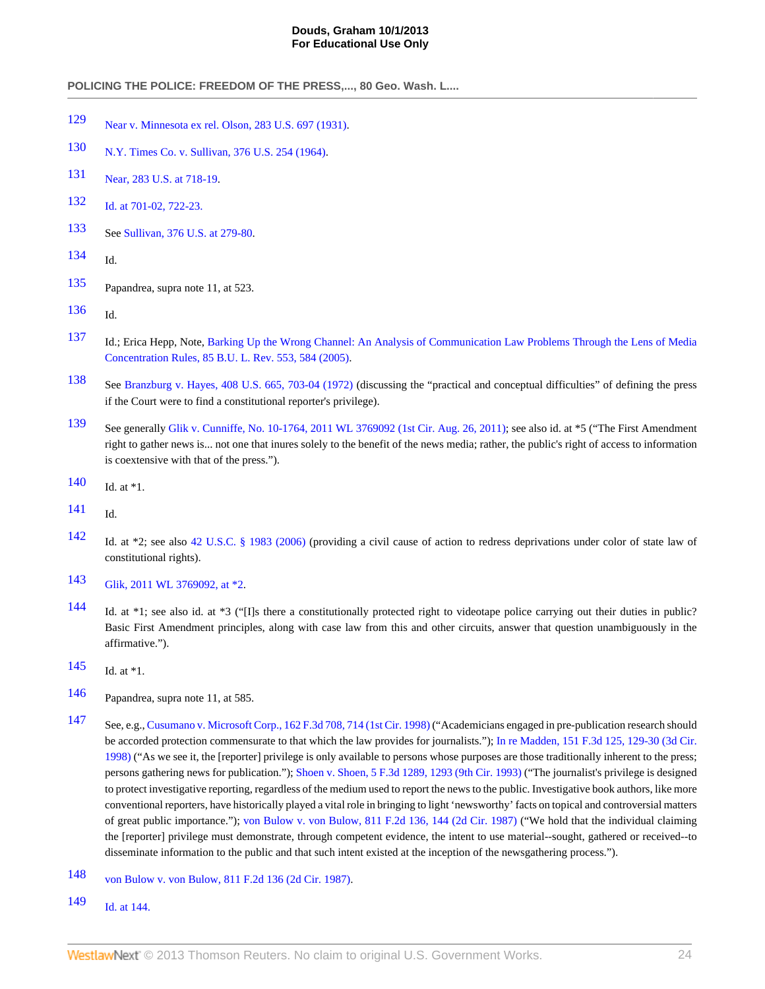- <span id="page-23-0"></span>[129](#page-7-18) [Near v. Minnesota ex rel. Olson, 283 U.S. 697 \(1931\)](http://www.westlaw.com/Link/Document/FullText?findType=Y&serNum=1931123793&pubNum=780&originationContext=document&vr=3.0&rs=cblt1.0&transitionType=DocumentItem&contextData=(sc.Search)).
- <span id="page-23-1"></span>[130](#page-7-19) [N.Y. Times Co. v. Sullivan, 376 U.S. 254 \(1964\).](http://www.westlaw.com/Link/Document/FullText?findType=Y&serNum=1964124777&pubNum=780&originationContext=document&vr=3.0&rs=cblt1.0&transitionType=DocumentItem&contextData=(sc.Search))
- <span id="page-23-2"></span>[131](#page-7-20) [Near, 283 U.S. at 718-19](http://www.westlaw.com/Link/Document/FullText?findType=Y&serNum=1931123793&pubNum=780&originationContext=document&vr=3.0&rs=cblt1.0&transitionType=DocumentItem&contextData=(sc.Search)#co_pp_sp_780_718).
- <span id="page-23-3"></span>[132](#page-8-0) [Id. at 701-02, 722-23.](http://www.westlaw.com/Link/Document/FullText?findType=Y&serNum=1931123793&originationContext=document&vr=3.0&rs=cblt1.0&transitionType=DocumentItem&contextData=(sc.Search))
- <span id="page-23-4"></span>[133](#page-8-1) See [Sullivan, 376 U.S. at 279-80.](http://www.westlaw.com/Link/Document/FullText?findType=Y&serNum=1964124777&pubNum=780&originationContext=document&vr=3.0&rs=cblt1.0&transitionType=DocumentItem&contextData=(sc.Search)#co_pp_sp_780_279)
- <span id="page-23-5"></span>[134](#page-8-2) Id.
- <span id="page-23-6"></span>[135](#page-8-3) Papandrea, supra note 11, at 523.
- <span id="page-23-7"></span>[136](#page-8-4) Id.
- <span id="page-23-8"></span>[137](#page-8-5) Id.; Erica Hepp, Note, [Barking Up the Wrong Channel: An Analysis of Communication Law Problems Through the Lens of Media](http://www.westlaw.com/Link/Document/FullText?findType=Y&serNum=0304188775&pubNum=3197&originationContext=document&vr=3.0&rs=cblt1.0&transitionType=DocumentItem&contextData=(sc.Search)#co_pp_sp_3197_584) [Concentration Rules, 85 B.U. L. Rev. 553, 584 \(2005\)](http://www.westlaw.com/Link/Document/FullText?findType=Y&serNum=0304188775&pubNum=3197&originationContext=document&vr=3.0&rs=cblt1.0&transitionType=DocumentItem&contextData=(sc.Search)#co_pp_sp_3197_584).
- <span id="page-23-9"></span>[138](#page-8-6) See [Branzburg v. Hayes, 408 U.S. 665, 703-04 \(1972\)](http://www.westlaw.com/Link/Document/FullText?findType=Y&serNum=1972127190&pubNum=780&originationContext=document&vr=3.0&rs=cblt1.0&transitionType=DocumentItem&contextData=(sc.Search)#co_pp_sp_780_703) (discussing the "practical and conceptual difficulties" of defining the press if the Court were to find a constitutional reporter's privilege).
- <span id="page-23-10"></span>[139](#page-8-7) See generally [Glik v. Cunniffe, No. 10-1764, 2011 WL 3769092 \(1st Cir. Aug. 26, 2011\);](http://www.westlaw.com/Link/Document/FullText?findType=Y&serNum=2025947894&pubNum=0000999&originationContext=document&vr=3.0&rs=cblt1.0&transitionType=DocumentItem&contextData=(sc.Search)) see also id. at \*5 ("The First Amendment right to gather news is... not one that inures solely to the benefit of the news media; rather, the public's right of access to information is coextensive with that of the press.").
- <span id="page-23-11"></span>[140](#page-8-8) Id. at \*1.
- <span id="page-23-12"></span>[141](#page-8-9) Id.
- <span id="page-23-13"></span>[142](#page-8-10) Id. at \*2; see also [42 U.S.C. § 1983 \(2006\)](http://www.westlaw.com/Link/Document/FullText?findType=L&pubNum=1000546&cite=42USCAS1983&originatingDoc=I3c48c5ba222d11e18b05fdf15589d8e8&refType=LQ&originationContext=document&vr=3.0&rs=cblt1.0&transitionType=DocumentItem&contextData=(sc.Search)) (providing a civil cause of action to redress deprivations under color of state law of constitutional rights).
- <span id="page-23-14"></span>[143](#page-8-11) [Glik, 2011 WL 3769092, at \\*2.](http://www.westlaw.com/Link/Document/FullText?findType=Y&serNum=2025947894&pubNum=0000999&originationContext=document&vr=3.0&rs=cblt1.0&transitionType=DocumentItem&contextData=(sc.Search))
- <span id="page-23-15"></span>[144](#page-8-12) Id. at \*1; see also id. at \*3 ("[I]s there a constitutionally protected right to videotape police carrying out their duties in public? Basic First Amendment principles, along with case law from this and other circuits, answer that question unambiguously in the affirmative.").
- <span id="page-23-16"></span>[145](#page-8-13) Id. at  $*1$ .
- <span id="page-23-17"></span>[146](#page-8-14) Papandrea, supra note 11, at 585.
- <span id="page-23-18"></span>[147](#page-8-15) See, e.g., [Cusumano v. Microsoft Corp., 162 F.3d 708, 714 \(1st Cir. 1998\)](http://www.westlaw.com/Link/Document/FullText?findType=Y&serNum=1998248450&pubNum=506&originationContext=document&vr=3.0&rs=cblt1.0&transitionType=DocumentItem&contextData=(sc.Search)#co_pp_sp_506_714) ("Academicians engaged in pre-publication research should be accorded protection commensurate to that which the law provides for journalists."); [In re Madden, 151 F.3d 125, 129-30 \(3d Cir.](http://www.westlaw.com/Link/Document/FullText?findType=Y&serNum=1998166422&pubNum=506&originationContext=document&vr=3.0&rs=cblt1.0&transitionType=DocumentItem&contextData=(sc.Search)#co_pp_sp_506_129) [1998\)](http://www.westlaw.com/Link/Document/FullText?findType=Y&serNum=1998166422&pubNum=506&originationContext=document&vr=3.0&rs=cblt1.0&transitionType=DocumentItem&contextData=(sc.Search)#co_pp_sp_506_129) ("As we see it, the [reporter] privilege is only available to persons whose purposes are those traditionally inherent to the press; persons gathering news for publication."); [Shoen v. Shoen, 5 F.3d 1289, 1293 \(9th Cir. 1993\)](http://www.westlaw.com/Link/Document/FullText?findType=Y&serNum=1993184625&pubNum=506&originationContext=document&vr=3.0&rs=cblt1.0&transitionType=DocumentItem&contextData=(sc.Search)#co_pp_sp_506_1293) ("The journalist's privilege is designed to protect investigative reporting, regardless of the medium used to report the news to the public. Investigative book authors, like more conventional reporters, have historically played a vital role in bringing to light 'newsworthy' facts on topical and controversial matters of great public importance."); [von Bulow v. von Bulow, 811 F.2d 136, 144 \(2d Cir. 1987\)](http://www.westlaw.com/Link/Document/FullText?findType=Y&serNum=1987018854&pubNum=350&originationContext=document&vr=3.0&rs=cblt1.0&transitionType=DocumentItem&contextData=(sc.Search)#co_pp_sp_350_144) ("We hold that the individual claiming the [reporter] privilege must demonstrate, through competent evidence, the intent to use material--sought, gathered or received--to disseminate information to the public and that such intent existed at the inception of the newsgathering process.").
- <span id="page-23-19"></span>[148](#page-8-16) [von Bulow v. von Bulow, 811 F.2d 136 \(2d Cir. 1987\).](http://www.westlaw.com/Link/Document/FullText?findType=Y&serNum=1987018854&pubNum=350&originationContext=document&vr=3.0&rs=cblt1.0&transitionType=DocumentItem&contextData=(sc.Search))
- <span id="page-23-20"></span>[149](#page-8-17) [Id. at 144.](http://www.westlaw.com/Link/Document/FullText?findType=Y&serNum=1987018854&originationContext=document&vr=3.0&rs=cblt1.0&transitionType=DocumentItem&contextData=(sc.Search))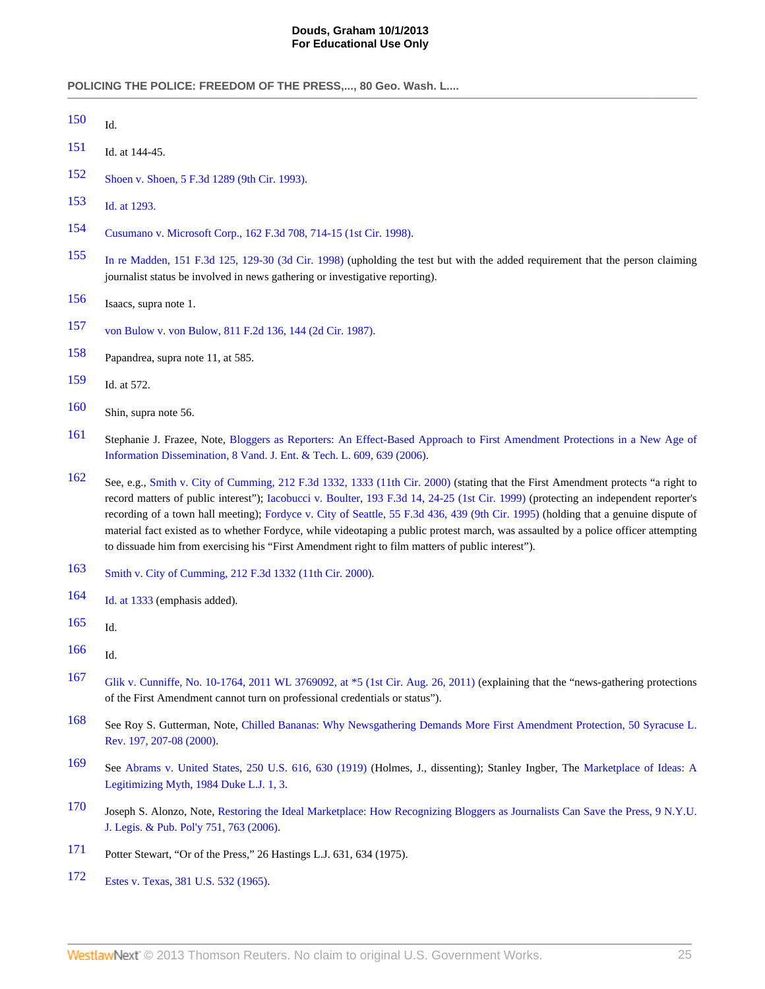**POLICING THE POLICE: FREEDOM OF THE PRESS,..., 80 Geo. Wash. L....**

- <span id="page-24-0"></span>Id.
- <span id="page-24-1"></span>Id. at 144-45.
- <span id="page-24-2"></span>[Shoen v. Shoen, 5 F.3d 1289 \(9th Cir. 1993\)](http://www.westlaw.com/Link/Document/FullText?findType=Y&serNum=1993184625&pubNum=506&originationContext=document&vr=3.0&rs=cblt1.0&transitionType=DocumentItem&contextData=(sc.Search)).

<span id="page-24-3"></span>[Id. at 1293.](http://www.westlaw.com/Link/Document/FullText?findType=Y&serNum=1993184625&originationContext=document&vr=3.0&rs=cblt1.0&transitionType=DocumentItem&contextData=(sc.Search))

- <span id="page-24-4"></span>[Cusumano v. Microsoft Corp., 162 F.3d 708, 714-15 \(1st Cir. 1998\).](http://www.westlaw.com/Link/Document/FullText?findType=Y&serNum=1998248450&pubNum=506&originationContext=document&vr=3.0&rs=cblt1.0&transitionType=DocumentItem&contextData=(sc.Search)#co_pp_sp_506_714)
- <span id="page-24-5"></span> [In re Madden, 151 F.3d 125, 129-30 \(3d Cir. 1998\)](http://www.westlaw.com/Link/Document/FullText?findType=Y&serNum=1998166422&pubNum=506&originationContext=document&vr=3.0&rs=cblt1.0&transitionType=DocumentItem&contextData=(sc.Search)#co_pp_sp_506_129) (upholding the test but with the added requirement that the person claiming journalist status be involved in news gathering or investigative reporting).
- <span id="page-24-6"></span>Isaacs, supra note 1.
- <span id="page-24-7"></span>[von Bulow v. von Bulow, 811 F.2d 136, 144 \(2d Cir. 1987\).](http://www.westlaw.com/Link/Document/FullText?findType=Y&serNum=1987018854&pubNum=350&originationContext=document&vr=3.0&rs=cblt1.0&transitionType=DocumentItem&contextData=(sc.Search)#co_pp_sp_350_144)
- <span id="page-24-8"></span>Papandrea, supra note 11, at 585.
- <span id="page-24-9"></span>Id. at 572.
- <span id="page-24-10"></span>Shin, supra note 56.
- <span id="page-24-11"></span> Stephanie J. Frazee, Note, [Bloggers as Reporters: An Effect-Based Approach to First Amendment Protections in a New Age of](http://www.westlaw.com/Link/Document/FullText?findType=Y&serNum=0324473563&pubNum=191623&originationContext=document&vr=3.0&rs=cblt1.0&transitionType=DocumentItem&contextData=(sc.Search)#co_pp_sp_191623_639) [Information Dissemination, 8 Vand. J. Ent. & Tech. L. 609, 639 \(2006\).](http://www.westlaw.com/Link/Document/FullText?findType=Y&serNum=0324473563&pubNum=191623&originationContext=document&vr=3.0&rs=cblt1.0&transitionType=DocumentItem&contextData=(sc.Search)#co_pp_sp_191623_639)
- <span id="page-24-12"></span> See, e.g., [Smith v. City of Cumming, 212 F.3d 1332, 1333 \(11th Cir. 2000\)](http://www.westlaw.com/Link/Document/FullText?findType=Y&serNum=2000368243&pubNum=506&originationContext=document&vr=3.0&rs=cblt1.0&transitionType=DocumentItem&contextData=(sc.Search)#co_pp_sp_506_1333) (stating that the First Amendment protects "a right to record matters of public interest"); [Iacobucci v. Boulter, 193 F.3d 14, 24-25 \(1st Cir. 1999\)](http://www.westlaw.com/Link/Document/FullText?findType=Y&serNum=1999222188&pubNum=506&originationContext=document&vr=3.0&rs=cblt1.0&transitionType=DocumentItem&contextData=(sc.Search)#co_pp_sp_506_24) (protecting an independent reporter's recording of a town hall meeting); [Fordyce v. City of Seattle, 55 F.3d 436, 439 \(9th Cir. 1995\)](http://www.westlaw.com/Link/Document/FullText?findType=Y&serNum=1995109060&pubNum=506&originationContext=document&vr=3.0&rs=cblt1.0&transitionType=DocumentItem&contextData=(sc.Search)#co_pp_sp_506_439) (holding that a genuine dispute of material fact existed as to whether Fordyce, while videotaping a public protest march, was assaulted by a police officer attempting to dissuade him from exercising his "First Amendment right to film matters of public interest").
- <span id="page-24-13"></span>[Smith v. City of Cumming, 212 F.3d 1332 \(11th Cir. 2000\).](http://www.westlaw.com/Link/Document/FullText?findType=Y&serNum=2000368243&pubNum=506&originationContext=document&vr=3.0&rs=cblt1.0&transitionType=DocumentItem&contextData=(sc.Search))
- <span id="page-24-14"></span>[Id. at 1333](http://www.westlaw.com/Link/Document/FullText?findType=Y&serNum=2000368243&originationContext=document&vr=3.0&rs=cblt1.0&transitionType=DocumentItem&contextData=(sc.Search)) (emphasis added).
- <span id="page-24-15"></span>Id.
- <span id="page-24-16"></span>Id.
- <span id="page-24-17"></span> [Glik v. Cunniffe, No. 10-1764, 2011 WL 3769092, at \\*5 \(1st Cir. Aug. 26, 2011\)](http://www.westlaw.com/Link/Document/FullText?findType=Y&serNum=2025947894&pubNum=0000999&originationContext=document&vr=3.0&rs=cblt1.0&transitionType=DocumentItem&contextData=(sc.Search)) (explaining that the "news-gathering protections of the First Amendment cannot turn on professional credentials or status").
- <span id="page-24-18"></span> See Roy S. Gutterman, Note, [Chilled Bananas: Why Newsgathering Demands More First Amendment Protection, 50 Syracuse L.](http://www.westlaw.com/Link/Document/FullText?findType=Y&serNum=0118916547&pubNum=1245&originationContext=document&vr=3.0&rs=cblt1.0&transitionType=DocumentItem&contextData=(sc.Search)#co_pp_sp_1245_207) [Rev. 197, 207-08 \(2000\).](http://www.westlaw.com/Link/Document/FullText?findType=Y&serNum=0118916547&pubNum=1245&originationContext=document&vr=3.0&rs=cblt1.0&transitionType=DocumentItem&contextData=(sc.Search)#co_pp_sp_1245_207)
- <span id="page-24-19"></span> See [Abrams v. United States, 250 U.S. 616, 630 \(1919\)](http://www.westlaw.com/Link/Document/FullText?findType=Y&serNum=1919100515&pubNum=780&originationContext=document&vr=3.0&rs=cblt1.0&transitionType=DocumentItem&contextData=(sc.Search)#co_pp_sp_780_630) (Holmes, J., dissenting); Stanley Ingber, The [Marketplace of Ideas: A](http://www.westlaw.com/Link/Document/FullText?findType=Y&serNum=0103103960&pubNum=1133&originationContext=document&vr=3.0&rs=cblt1.0&transitionType=DocumentItem&contextData=(sc.Search)#co_pp_sp_1133_3) [Legitimizing Myth, 1984 Duke L.J. 1, 3](http://www.westlaw.com/Link/Document/FullText?findType=Y&serNum=0103103960&pubNum=1133&originationContext=document&vr=3.0&rs=cblt1.0&transitionType=DocumentItem&contextData=(sc.Search)#co_pp_sp_1133_3).
- <span id="page-24-20"></span> Joseph S. Alonzo, Note, [Restoring the Ideal Marketplace: How Recognizing Bloggers as Journalists Can Save the Press, 9 N.Y.U.](http://www.westlaw.com/Link/Document/FullText?findType=Y&serNum=0328606008&pubNum=127704&originationContext=document&vr=3.0&rs=cblt1.0&transitionType=DocumentItem&contextData=(sc.Search)#co_pp_sp_127704_763) [J. Legis. & Pub. Pol'y 751, 763 \(2006\)](http://www.westlaw.com/Link/Document/FullText?findType=Y&serNum=0328606008&pubNum=127704&originationContext=document&vr=3.0&rs=cblt1.0&transitionType=DocumentItem&contextData=(sc.Search)#co_pp_sp_127704_763).
- <span id="page-24-21"></span>Potter Stewart, "Or of the Press," 26 Hastings L.J. 631, 634 (1975).
- <span id="page-24-22"></span>[Estes v. Texas, 381 U.S. 532 \(1965\).](http://www.westlaw.com/Link/Document/FullText?findType=Y&serNum=1965125097&pubNum=780&originationContext=document&vr=3.0&rs=cblt1.0&transitionType=DocumentItem&contextData=(sc.Search))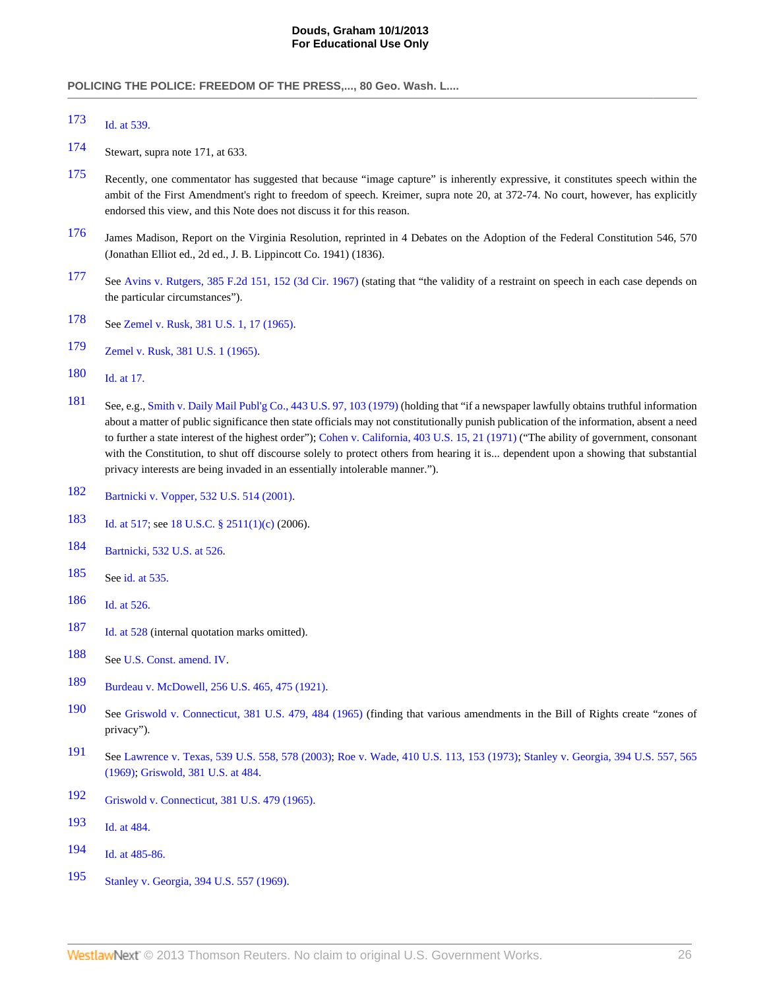- <span id="page-25-0"></span>[Id. at 539.](http://www.westlaw.com/Link/Document/FullText?findType=Y&serNum=1965125097&originationContext=document&vr=3.0&rs=cblt1.0&transitionType=DocumentItem&contextData=(sc.Search))
- <span id="page-25-1"></span>Stewart, supra note 171, at 633.
- <span id="page-25-2"></span> Recently, one commentator has suggested that because "image capture" is inherently expressive, it constitutes speech within the ambit of the First Amendment's right to freedom of speech. Kreimer, supra note 20, at 372-74. No court, however, has explicitly endorsed this view, and this Note does not discuss it for this reason.
- <span id="page-25-3"></span> James Madison, Report on the Virginia Resolution, reprinted in 4 Debates on the Adoption of the Federal Constitution 546, 570 (Jonathan Elliot ed., 2d ed., J. B. Lippincott Co. 1941) (1836).
- <span id="page-25-4"></span> See [Avins v. Rutgers, 385 F.2d 151, 152 \(3d Cir. 1967\)](http://www.westlaw.com/Link/Document/FullText?findType=Y&serNum=1967118495&pubNum=350&originationContext=document&vr=3.0&rs=cblt1.0&transitionType=DocumentItem&contextData=(sc.Search)#co_pp_sp_350_152) (stating that "the validity of a restraint on speech in each case depends on the particular circumstances").
- <span id="page-25-5"></span>See [Zemel v. Rusk, 381 U.S. 1, 17 \(1965\).](http://www.westlaw.com/Link/Document/FullText?findType=Y&serNum=1965106550&pubNum=780&originationContext=document&vr=3.0&rs=cblt1.0&transitionType=DocumentItem&contextData=(sc.Search)#co_pp_sp_780_17)
- <span id="page-25-6"></span>[Zemel v. Rusk, 381 U.S. 1 \(1965\).](http://www.westlaw.com/Link/Document/FullText?findType=Y&serNum=1965106550&pubNum=780&originationContext=document&vr=3.0&rs=cblt1.0&transitionType=DocumentItem&contextData=(sc.Search))
- <span id="page-25-7"></span>[Id. at 17.](http://www.westlaw.com/Link/Document/FullText?findType=Y&serNum=1965106550&originationContext=document&vr=3.0&rs=cblt1.0&transitionType=DocumentItem&contextData=(sc.Search))
- <span id="page-25-8"></span> See, e.g., [Smith v. Daily Mail Publ'g Co., 443 U.S. 97, 103 \(1979\)](http://www.westlaw.com/Link/Document/FullText?findType=Y&serNum=1979135163&pubNum=780&originationContext=document&vr=3.0&rs=cblt1.0&transitionType=DocumentItem&contextData=(sc.Search)#co_pp_sp_780_103) (holding that "if a newspaper lawfully obtains truthful information about a matter of public significance then state officials may not constitutionally punish publication of the information, absent a need to further a state interest of the highest order"); [Cohen v. California, 403 U.S. 15, 21 \(1971\)](http://www.westlaw.com/Link/Document/FullText?findType=Y&serNum=1971127088&pubNum=780&originationContext=document&vr=3.0&rs=cblt1.0&transitionType=DocumentItem&contextData=(sc.Search)#co_pp_sp_780_21) ("The ability of government, consonant with the Constitution, to shut off discourse solely to protect others from hearing it is... dependent upon a showing that substantial privacy interests are being invaded in an essentially intolerable manner.").
- <span id="page-25-9"></span>[Bartnicki v. Vopper, 532 U.S. 514 \(2001\).](http://www.westlaw.com/Link/Document/FullText?findType=Y&serNum=2001423776&pubNum=780&originationContext=document&vr=3.0&rs=cblt1.0&transitionType=DocumentItem&contextData=(sc.Search))
- <span id="page-25-10"></span>[Id. at 517;](http://www.westlaw.com/Link/Document/FullText?findType=Y&serNum=2001423776&originationContext=document&vr=3.0&rs=cblt1.0&transitionType=DocumentItem&contextData=(sc.Search)) see [18 U.S.C. § 2511\(1\)\(c\)](http://www.westlaw.com/Link/Document/FullText?findType=L&pubNum=1000546&cite=18USCAS2511&originationContext=document&vr=3.0&rs=cblt1.0&transitionType=DocumentItem&contextData=(sc.Search)#co_pp_626f000023d46) (2006).
- <span id="page-25-11"></span>[Bartnicki, 532 U.S. at 526](http://www.westlaw.com/Link/Document/FullText?findType=Y&serNum=2001423776&pubNum=780&originationContext=document&vr=3.0&rs=cblt1.0&transitionType=DocumentItem&contextData=(sc.Search)#co_pp_sp_780_526).
- <span id="page-25-12"></span>See [id. at 535.](http://www.westlaw.com/Link/Document/FullText?findType=Y&serNum=2001423776&originationContext=document&vr=3.0&rs=cblt1.0&transitionType=DocumentItem&contextData=(sc.Search))
- <span id="page-25-13"></span>[Id. at 526.](http://www.westlaw.com/Link/Document/FullText?findType=Y&serNum=2001423776&originationContext=document&vr=3.0&rs=cblt1.0&transitionType=DocumentItem&contextData=(sc.Search))
- <span id="page-25-14"></span>[Id. at 528](http://www.westlaw.com/Link/Document/FullText?findType=Y&serNum=2001423776&originationContext=document&vr=3.0&rs=cblt1.0&transitionType=DocumentItem&contextData=(sc.Search)) (internal quotation marks omitted).
- <span id="page-25-15"></span>See [U.S. Const. amend. IV.](http://www.westlaw.com/Link/Document/FullText?findType=L&pubNum=1000546&cite=USCOAMENDIV&originatingDoc=I3c48c5ba222d11e18b05fdf15589d8e8&refType=LQ&originationContext=document&vr=3.0&rs=cblt1.0&transitionType=DocumentItem&contextData=(sc.Search))
- <span id="page-25-16"></span>[Burdeau v. McDowell, 256 U.S. 465, 475 \(1921\)](http://www.westlaw.com/Link/Document/FullText?findType=Y&serNum=1921113668&pubNum=780&originationContext=document&vr=3.0&rs=cblt1.0&transitionType=DocumentItem&contextData=(sc.Search)#co_pp_sp_780_475).
- <span id="page-25-17"></span> See [Griswold v. Connecticut, 381 U.S. 479, 484 \(1965\)](http://www.westlaw.com/Link/Document/FullText?findType=Y&serNum=1965125098&pubNum=780&originationContext=document&vr=3.0&rs=cblt1.0&transitionType=DocumentItem&contextData=(sc.Search)#co_pp_sp_780_484) (finding that various amendments in the Bill of Rights create "zones of privacy").
- <span id="page-25-18"></span> See [Lawrence v. Texas, 539 U.S. 558, 578 \(2003\)](http://www.westlaw.com/Link/Document/FullText?findType=Y&serNum=2003452259&pubNum=780&originationContext=document&vr=3.0&rs=cblt1.0&transitionType=DocumentItem&contextData=(sc.Search)#co_pp_sp_780_578); [Roe v. Wade, 410 U.S. 113, 153 \(1973\);](http://www.westlaw.com/Link/Document/FullText?findType=Y&serNum=1973126316&pubNum=780&originationContext=document&vr=3.0&rs=cblt1.0&transitionType=DocumentItem&contextData=(sc.Search)#co_pp_sp_780_153) [Stanley v. Georgia, 394 U.S. 557, 565](http://www.westlaw.com/Link/Document/FullText?findType=Y&serNum=1969132965&pubNum=780&originationContext=document&vr=3.0&rs=cblt1.0&transitionType=DocumentItem&contextData=(sc.Search)#co_pp_sp_780_565) [\(1969\);](http://www.westlaw.com/Link/Document/FullText?findType=Y&serNum=1969132965&pubNum=780&originationContext=document&vr=3.0&rs=cblt1.0&transitionType=DocumentItem&contextData=(sc.Search)#co_pp_sp_780_565) [Griswold, 381 U.S. at 484.](http://www.westlaw.com/Link/Document/FullText?findType=Y&serNum=1965125098&pubNum=780&originationContext=document&vr=3.0&rs=cblt1.0&transitionType=DocumentItem&contextData=(sc.Search)#co_pp_sp_780_484)
- <span id="page-25-19"></span>[Griswold v. Connecticut, 381 U.S. 479 \(1965\)](http://www.westlaw.com/Link/Document/FullText?findType=Y&serNum=1965125098&pubNum=780&originationContext=document&vr=3.0&rs=cblt1.0&transitionType=DocumentItem&contextData=(sc.Search)).
- <span id="page-25-20"></span>[Id. at 484.](http://www.westlaw.com/Link/Document/FullText?findType=Y&serNum=1965125098&originationContext=document&vr=3.0&rs=cblt1.0&transitionType=DocumentItem&contextData=(sc.Search))
- <span id="page-25-21"></span>[Id. at 485-86.](http://www.westlaw.com/Link/Document/FullText?findType=Y&serNum=1965125098&originationContext=document&vr=3.0&rs=cblt1.0&transitionType=DocumentItem&contextData=(sc.Search))
- <span id="page-25-22"></span>[Stanley v. Georgia, 394 U.S. 557 \(1969\)](http://www.westlaw.com/Link/Document/FullText?findType=Y&serNum=1969132965&pubNum=780&originationContext=document&vr=3.0&rs=cblt1.0&transitionType=DocumentItem&contextData=(sc.Search)).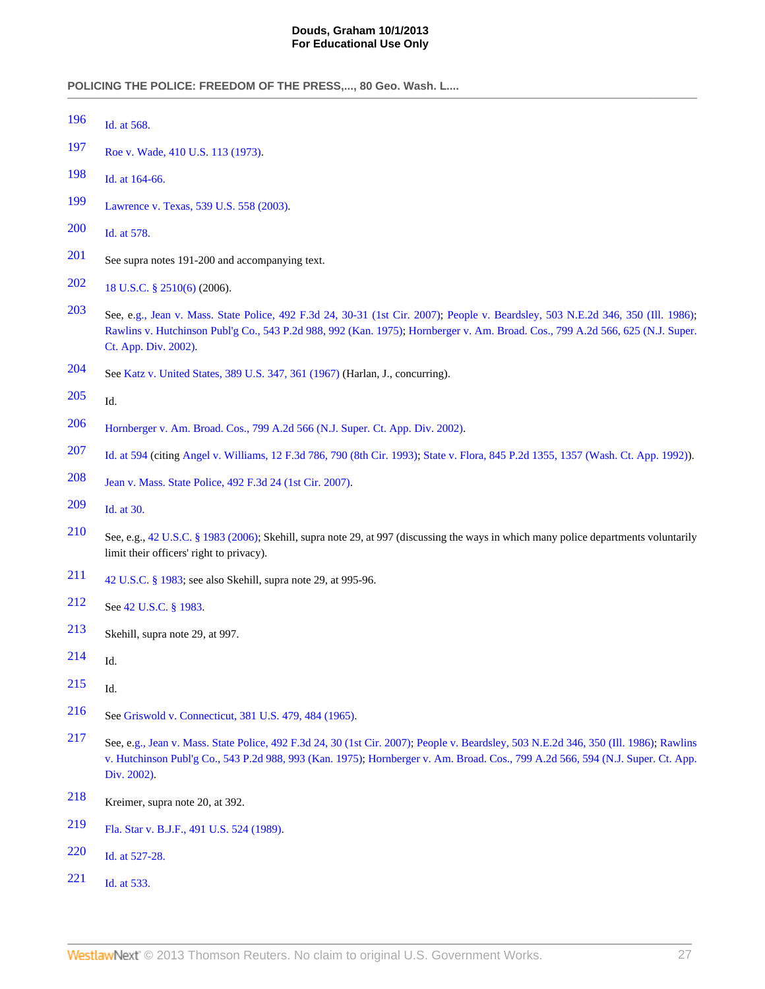- <span id="page-26-0"></span>[Id. at 568.](http://www.westlaw.com/Link/Document/FullText?findType=Y&serNum=1969132965&originationContext=document&vr=3.0&rs=cblt1.0&transitionType=DocumentItem&contextData=(sc.Search))
- <span id="page-26-1"></span>[Roe v. Wade, 410 U.S. 113 \(1973\).](http://www.westlaw.com/Link/Document/FullText?findType=Y&serNum=1973126316&pubNum=780&originationContext=document&vr=3.0&rs=cblt1.0&transitionType=DocumentItem&contextData=(sc.Search))
- <span id="page-26-2"></span>[Id. at 164-66.](http://www.westlaw.com/Link/Document/FullText?findType=Y&serNum=1973126316&originationContext=document&vr=3.0&rs=cblt1.0&transitionType=DocumentItem&contextData=(sc.Search))
- <span id="page-26-3"></span>[Lawrence v. Texas, 539 U.S. 558 \(2003\)](http://www.westlaw.com/Link/Document/FullText?findType=Y&serNum=2003452259&pubNum=780&originationContext=document&vr=3.0&rs=cblt1.0&transitionType=DocumentItem&contextData=(sc.Search)).
- <span id="page-26-4"></span>[Id. at 578.](http://www.westlaw.com/Link/Document/FullText?findType=Y&serNum=2003452259&originationContext=document&vr=3.0&rs=cblt1.0&transitionType=DocumentItem&contextData=(sc.Search))
- <span id="page-26-5"></span>See supra notes 191-200 and accompanying text.
- <span id="page-26-6"></span>[18 U.S.C. § 2510\(6\)](http://www.westlaw.com/Link/Document/FullText?findType=L&pubNum=1000546&cite=18USCAS2510&originationContext=document&vr=3.0&rs=cblt1.0&transitionType=DocumentItem&contextData=(sc.Search)#co_pp_1e9a0000fd6a3) (2006).
- <span id="page-26-7"></span> See, e.[g., Jean v. Mass. State Police, 492 F.3d 24, 30-31 \(1st Cir. 2007\);](http://www.westlaw.com/Link/Document/FullText?findType=Y&serNum=2012533100&pubNum=506&originationContext=document&vr=3.0&rs=cblt1.0&transitionType=DocumentItem&contextData=(sc.Search)#co_pp_sp_506_30) [People v. Beardsley, 503 N.E.2d 346, 350 \(Ill. 1986\)](http://www.westlaw.com/Link/Document/FullText?findType=Y&serNum=1986162354&pubNum=578&originationContext=document&vr=3.0&rs=cblt1.0&transitionType=DocumentItem&contextData=(sc.Search)#co_pp_sp_578_350); [Rawlins v. Hutchinson Publ'g Co., 543 P.2d 988, 992 \(Kan. 1975\)](http://www.westlaw.com/Link/Document/FullText?findType=Y&serNum=1975129372&pubNum=661&originationContext=document&vr=3.0&rs=cblt1.0&transitionType=DocumentItem&contextData=(sc.Search)#co_pp_sp_661_992); [Hornberger v. Am. Broad. Cos., 799 A.2d 566, 625 \(N.J. Super.](http://www.westlaw.com/Link/Document/FullText?findType=Y&serNum=2002335207&pubNum=162&originationContext=document&vr=3.0&rs=cblt1.0&transitionType=DocumentItem&contextData=(sc.Search)#co_pp_sp_162_625) [Ct. App. Div. 2002\)](http://www.westlaw.com/Link/Document/FullText?findType=Y&serNum=2002335207&pubNum=162&originationContext=document&vr=3.0&rs=cblt1.0&transitionType=DocumentItem&contextData=(sc.Search)#co_pp_sp_162_625).
- <span id="page-26-8"></span>See [Katz v. United States, 389 U.S. 347, 361 \(1967\)](http://www.westlaw.com/Link/Document/FullText?findType=Y&serNum=1967129584&pubNum=780&originationContext=document&vr=3.0&rs=cblt1.0&transitionType=DocumentItem&contextData=(sc.Search)#co_pp_sp_780_361) (Harlan, J., concurring).
- <span id="page-26-9"></span>Id.
- <span id="page-26-10"></span>[Hornberger v. Am. Broad. Cos., 799 A.2d 566 \(N.J. Super. Ct. App. Div. 2002\).](http://www.westlaw.com/Link/Document/FullText?findType=Y&serNum=2002335207&pubNum=162&originationContext=document&vr=3.0&rs=cblt1.0&transitionType=DocumentItem&contextData=(sc.Search))
- <span id="page-26-11"></span>[Id. at 594](http://www.westlaw.com/Link/Document/FullText?findType=Y&serNum=2002335207&originationContext=document&vr=3.0&rs=cblt1.0&transitionType=DocumentItem&contextData=(sc.Search)) (citing [Angel v. Williams, 12 F.3d 786, 790 \(8th Cir. 1993\)](http://www.westlaw.com/Link/Document/FullText?findType=Y&serNum=1993240720&pubNum=506&originationContext=document&vr=3.0&rs=cblt1.0&transitionType=DocumentItem&contextData=(sc.Search)#co_pp_sp_506_790); [State v. Flora, 845 P.2d 1355, 1357 \(Wash. Ct. App. 1992\)\)](http://www.westlaw.com/Link/Document/FullText?findType=Y&serNum=1993058345&pubNum=661&originationContext=document&vr=3.0&rs=cblt1.0&transitionType=DocumentItem&contextData=(sc.Search)#co_pp_sp_661_1357).
- <span id="page-26-12"></span>[Jean v. Mass. State Police, 492 F.3d 24 \(1st Cir. 2007\)](http://www.westlaw.com/Link/Document/FullText?findType=Y&serNum=2012533100&pubNum=506&originationContext=document&vr=3.0&rs=cblt1.0&transitionType=DocumentItem&contextData=(sc.Search)).
- <span id="page-26-13"></span>[Id. at 30.](http://www.westlaw.com/Link/Document/FullText?findType=Y&serNum=2012533100&originationContext=document&vr=3.0&rs=cblt1.0&transitionType=DocumentItem&contextData=(sc.Search))
- <span id="page-26-14"></span> See, e.g., [42 U.S.C. § 1983 \(2006\)](http://www.westlaw.com/Link/Document/FullText?findType=L&pubNum=1000546&cite=42USCAS1983&originatingDoc=I3c48c5ba222d11e18b05fdf15589d8e8&refType=LQ&originationContext=document&vr=3.0&rs=cblt1.0&transitionType=DocumentItem&contextData=(sc.Search)); Skehill, supra note 29, at 997 (discussing the ways in which many police departments voluntarily limit their officers' right to privacy).
- <span id="page-26-15"></span>[42 U.S.C. § 1983;](http://www.westlaw.com/Link/Document/FullText?findType=L&pubNum=1000546&cite=42USCAS1983&originatingDoc=I3c48c5ba222d11e18b05fdf15589d8e8&refType=LQ&originationContext=document&vr=3.0&rs=cblt1.0&transitionType=DocumentItem&contextData=(sc.Search)) see also Skehill, supra note 29, at 995-96.
- <span id="page-26-16"></span>See [42 U.S.C. § 1983.](http://www.westlaw.com/Link/Document/FullText?findType=L&pubNum=1000546&cite=42USCAS1983&originatingDoc=I3c48c5ba222d11e18b05fdf15589d8e8&refType=LQ&originationContext=document&vr=3.0&rs=cblt1.0&transitionType=DocumentItem&contextData=(sc.Search))
- <span id="page-26-17"></span>Skehill, supra note 29, at 997.
- <span id="page-26-18"></span>Id.
- <span id="page-26-19"></span>Id.
- <span id="page-26-20"></span>See [Griswold v. Connecticut, 381 U.S. 479, 484 \(1965\).](http://www.westlaw.com/Link/Document/FullText?findType=Y&serNum=1965125098&pubNum=780&originationContext=document&vr=3.0&rs=cblt1.0&transitionType=DocumentItem&contextData=(sc.Search)#co_pp_sp_780_484)
- <span id="page-26-21"></span> See, e.[g., Jean v. Mass. State Police, 492 F.3d 24, 30 \(1st Cir. 2007\);](http://www.westlaw.com/Link/Document/FullText?findType=Y&serNum=2012533100&pubNum=506&originationContext=document&vr=3.0&rs=cblt1.0&transitionType=DocumentItem&contextData=(sc.Search)#co_pp_sp_506_30) [People v. Beardsley, 503 N.E.2d 346, 350 \(Ill. 1986\);](http://www.westlaw.com/Link/Document/FullText?findType=Y&serNum=1986162354&pubNum=578&originationContext=document&vr=3.0&rs=cblt1.0&transitionType=DocumentItem&contextData=(sc.Search)#co_pp_sp_578_350) [Rawlins](http://www.westlaw.com/Link/Document/FullText?findType=Y&serNum=1975129372&pubNum=661&originationContext=document&vr=3.0&rs=cblt1.0&transitionType=DocumentItem&contextData=(sc.Search)#co_pp_sp_661_993) [v. Hutchinson Publ'g Co., 543 P.2d 988, 993 \(Kan. 1975\)](http://www.westlaw.com/Link/Document/FullText?findType=Y&serNum=1975129372&pubNum=661&originationContext=document&vr=3.0&rs=cblt1.0&transitionType=DocumentItem&contextData=(sc.Search)#co_pp_sp_661_993); [Hornberger v. Am. Broad. Cos., 799 A.2d 566, 594 \(N.J. Super. Ct. App.](http://www.westlaw.com/Link/Document/FullText?findType=Y&serNum=2002335207&pubNum=162&originationContext=document&vr=3.0&rs=cblt1.0&transitionType=DocumentItem&contextData=(sc.Search)#co_pp_sp_162_594) [Div. 2002\).](http://www.westlaw.com/Link/Document/FullText?findType=Y&serNum=2002335207&pubNum=162&originationContext=document&vr=3.0&rs=cblt1.0&transitionType=DocumentItem&contextData=(sc.Search)#co_pp_sp_162_594)
- <span id="page-26-22"></span>Kreimer, supra note 20, at 392.
- <span id="page-26-23"></span>[Fla. Star v. B.J.F., 491 U.S. 524 \(1989\)](http://www.westlaw.com/Link/Document/FullText?findType=Y&serNum=1989092402&pubNum=780&originationContext=document&vr=3.0&rs=cblt1.0&transitionType=DocumentItem&contextData=(sc.Search)).
- <span id="page-26-24"></span>[Id. at 527-28.](http://www.westlaw.com/Link/Document/FullText?findType=Y&serNum=1989092402&originationContext=document&vr=3.0&rs=cblt1.0&transitionType=DocumentItem&contextData=(sc.Search))
- <span id="page-26-25"></span>[Id. at 533.](http://www.westlaw.com/Link/Document/FullText?findType=Y&serNum=1989092402&originationContext=document&vr=3.0&rs=cblt1.0&transitionType=DocumentItem&contextData=(sc.Search))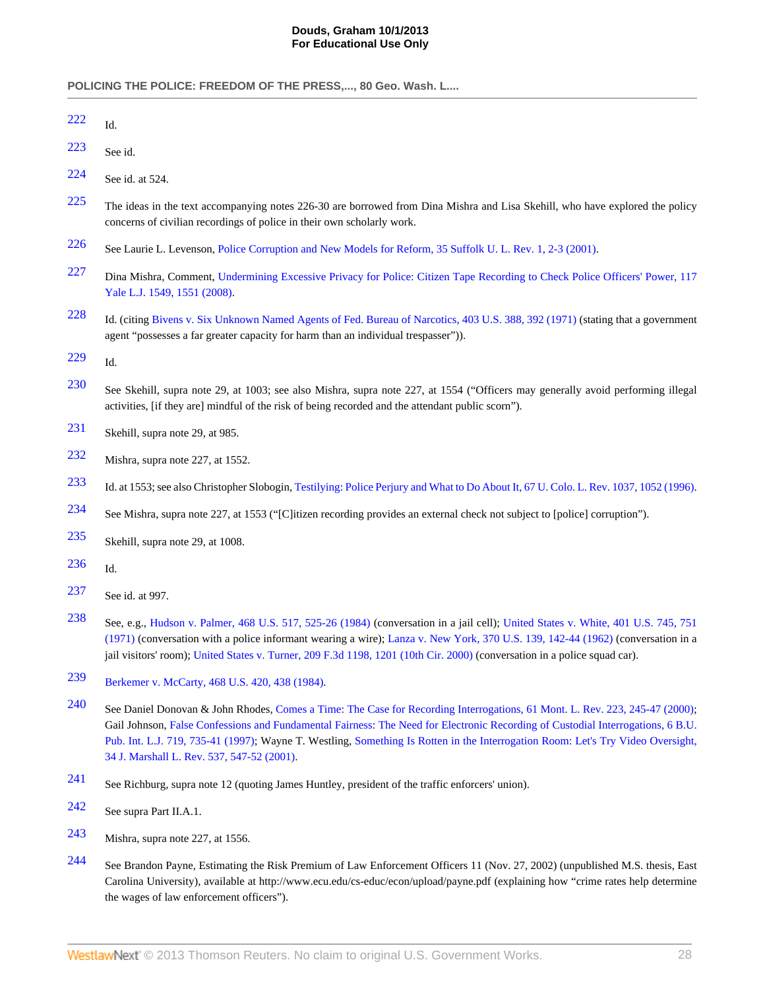- <span id="page-27-0"></span>Id.
- <span id="page-27-1"></span>See id.
- <span id="page-27-2"></span>See id. at 524.
- <span id="page-27-3"></span> The ideas in the text accompanying notes 226-30 are borrowed from Dina Mishra and Lisa Skehill, who have explored the policy concerns of civilian recordings of police in their own scholarly work.
- <span id="page-27-4"></span>See Laurie L. Levenson, [Police Corruption and New Models for Reform, 35 Suffolk U. L. Rev. 1, 2-3 \(2001\)](http://www.westlaw.com/Link/Document/FullText?findType=Y&serNum=0289658386&pubNum=1242&originationContext=document&vr=3.0&rs=cblt1.0&transitionType=DocumentItem&contextData=(sc.Search)#co_pp_sp_1242_2).
- <span id="page-27-5"></span> Dina Mishra, Comment, [Undermining Excessive Privacy for Police: Citizen Tape Recording to Check Police Officers' Power, 117](http://www.westlaw.com/Link/Document/FullText?findType=Y&serNum=0339353232&pubNum=1292&originationContext=document&vr=3.0&rs=cblt1.0&transitionType=DocumentItem&contextData=(sc.Search)#co_pp_sp_1292_1551) [Yale L.J. 1549, 1551 \(2008\).](http://www.westlaw.com/Link/Document/FullText?findType=Y&serNum=0339353232&pubNum=1292&originationContext=document&vr=3.0&rs=cblt1.0&transitionType=DocumentItem&contextData=(sc.Search)#co_pp_sp_1292_1551)
- <span id="page-27-6"></span> Id. (citing [Bivens v. Six Unknown Named Agents of Fed. Bureau of Narcotics, 403 U.S. 388, 392 \(1971\)](http://www.westlaw.com/Link/Document/FullText?findType=Y&serNum=1971127105&pubNum=780&originationContext=document&vr=3.0&rs=cblt1.0&transitionType=DocumentItem&contextData=(sc.Search)#co_pp_sp_780_392) (stating that a government agent "possesses a far greater capacity for harm than an individual trespasser")).
- <span id="page-27-7"></span>Id.
- <span id="page-27-8"></span> See Skehill, supra note 29, at 1003; see also Mishra, supra note 227, at 1554 ("Officers may generally avoid performing illegal activities, [if they are] mindful of the risk of being recorded and the attendant public scorn").
- <span id="page-27-9"></span>Skehill, supra note 29, at 985.
- <span id="page-27-10"></span>Mishra, supra note 227, at 1552.
- <span id="page-27-11"></span>Id. at 1553; see also Christopher Slobogin, [Testilying: Police Perjury and What to Do About It, 67 U. Colo. L. Rev. 1037, 1052 \(1996\).](http://www.westlaw.com/Link/Document/FullText?findType=Y&serNum=0107095967&pubNum=1260&originationContext=document&vr=3.0&rs=cblt1.0&transitionType=DocumentItem&contextData=(sc.Search)#co_pp_sp_1260_1052)
- <span id="page-27-12"></span>See Mishra, supra note 227, at 1553 ("[C]itizen recording provides an external check not subject to [police] corruption").
- <span id="page-27-13"></span>Skehill, supra note 29, at 1008.
- <span id="page-27-14"></span>Id.
- <span id="page-27-15"></span>See id. at 997.
- <span id="page-27-16"></span> See, e.g., [Hudson v. Palmer, 468 U.S. 517, 525-26 \(1984\)](http://www.westlaw.com/Link/Document/FullText?findType=Y&serNum=1984132346&pubNum=780&originationContext=document&vr=3.0&rs=cblt1.0&transitionType=DocumentItem&contextData=(sc.Search)#co_pp_sp_780_525) (conversation in a jail cell); [United States v. White, 401 U.S. 745, 751](http://www.westlaw.com/Link/Document/FullText?findType=Y&serNum=1971127045&pubNum=780&originationContext=document&vr=3.0&rs=cblt1.0&transitionType=DocumentItem&contextData=(sc.Search)#co_pp_sp_780_751) [\(1971\)](http://www.westlaw.com/Link/Document/FullText?findType=Y&serNum=1971127045&pubNum=780&originationContext=document&vr=3.0&rs=cblt1.0&transitionType=DocumentItem&contextData=(sc.Search)#co_pp_sp_780_751) (conversation with a police informant wearing a wire); [Lanza v. New York, 370 U.S. 139, 142-44 \(1962\)](http://www.westlaw.com/Link/Document/FullText?findType=Y&serNum=1962127635&pubNum=780&originationContext=document&vr=3.0&rs=cblt1.0&transitionType=DocumentItem&contextData=(sc.Search)#co_pp_sp_780_142) (conversation in a jail visitors' room); [United States v. Turner, 209 F.3d 1198, 1201 \(10th Cir. 2000\)](http://www.westlaw.com/Link/Document/FullText?findType=Y&serNum=2000102939&pubNum=506&originationContext=document&vr=3.0&rs=cblt1.0&transitionType=DocumentItem&contextData=(sc.Search)#co_pp_sp_506_1201) (conversation in a police squad car).
- <span id="page-27-17"></span>[Berkemer v. McCarty, 468 U.S. 420, 438 \(1984\).](http://www.westlaw.com/Link/Document/FullText?findType=Y&serNum=1984132130&pubNum=780&originationContext=document&vr=3.0&rs=cblt1.0&transitionType=DocumentItem&contextData=(sc.Search)#co_pp_sp_780_438)
- <span id="page-27-18"></span> See Daniel Donovan & John Rhodes, [Comes a Time: The Case for Recording Interrogations, 61 Mont. L. Rev. 223, 245-47 \(2000\)](http://www.westlaw.com/Link/Document/FullText?findType=Y&serNum=0119895548&pubNum=3085&originationContext=document&vr=3.0&rs=cblt1.0&transitionType=DocumentItem&contextData=(sc.Search)#co_pp_sp_3085_245); Gail Johnson, [False Confessions and Fundamental Fairness: The Need for Electronic Recording of Custodial Interrogations, 6 B.U.](http://www.westlaw.com/Link/Document/FullText?findType=Y&serNum=0107924718&pubNum=102264&originationContext=document&vr=3.0&rs=cblt1.0&transitionType=DocumentItem&contextData=(sc.Search)#co_pp_sp_102264_735) [Pub. Int. L.J. 719, 735-41 \(1997\);](http://www.westlaw.com/Link/Document/FullText?findType=Y&serNum=0107924718&pubNum=102264&originationContext=document&vr=3.0&rs=cblt1.0&transitionType=DocumentItem&contextData=(sc.Search)#co_pp_sp_102264_735) Wayne T. Westling, [Something Is Rotten in the Interrogation Room: Let's Try Video Oversight,](http://www.westlaw.com/Link/Document/FullText?findType=Y&serNum=0283862207&pubNum=1176&originationContext=document&vr=3.0&rs=cblt1.0&transitionType=DocumentItem&contextData=(sc.Search)#co_pp_sp_1176_547) [34 J. Marshall L. Rev. 537, 547-52 \(2001\)](http://www.westlaw.com/Link/Document/FullText?findType=Y&serNum=0283862207&pubNum=1176&originationContext=document&vr=3.0&rs=cblt1.0&transitionType=DocumentItem&contextData=(sc.Search)#co_pp_sp_1176_547).
- <span id="page-27-19"></span>See Richburg, supra note 12 (quoting James Huntley, president of the traffic enforcers' union).
- <span id="page-27-20"></span>See supra Part II.A.1.
- <span id="page-27-21"></span>Mishra, supra note 227, at 1556.
- <span id="page-27-22"></span> See Brandon Payne, Estimating the Risk Premium of Law Enforcement Officers 11 (Nov. 27, 2002) (unpublished M.S. thesis, East Carolina University), available at http://www.ecu.edu/cs-educ/econ/upload/payne.pdf (explaining how "crime rates help determine the wages of law enforcement officers").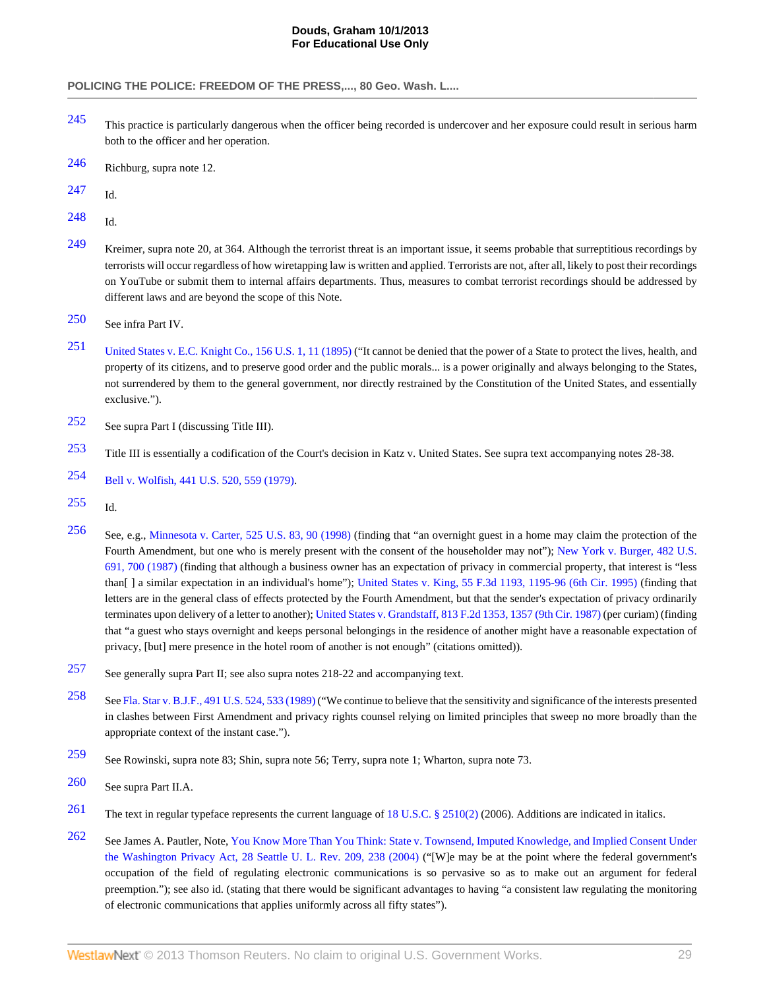## **POLICING THE POLICE: FREEDOM OF THE PRESS,..., 80 Geo. Wash. L....**

- <span id="page-28-0"></span>[245](#page-13-15) This practice is particularly dangerous when the officer being recorded is undercover and her exposure could result in serious harm both to the officer and her operation.
- <span id="page-28-1"></span>[246](#page-13-16) Richburg, supra note 12.

<span id="page-28-2"></span> $247$  Id.

<span id="page-28-3"></span>[248](#page-14-2) Id.

- <span id="page-28-4"></span>[249](#page-14-3) Kreimer, supra note 20, at 364. Although the terrorist threat is an important issue, it seems probable that surreptitious recordings by terrorists will occur regardless of how wiretapping law is written and applied. Terrorists are not, after all, likely to post their recordings on YouTube or submit them to internal affairs departments. Thus, measures to combat terrorist recordings should be addressed by different laws and are beyond the scope of this Note.
- <span id="page-28-5"></span>[250](#page-14-4) See infra Part IV.
- <span id="page-28-6"></span>[251](#page-14-5) [United States v. E.C. Knight Co., 156 U.S. 1, 11 \(1895\)](http://www.westlaw.com/Link/Document/FullText?findType=Y&serNum=1895143988&pubNum=780&originationContext=document&vr=3.0&rs=cblt1.0&transitionType=DocumentItem&contextData=(sc.Search)#co_pp_sp_780_11) ("It cannot be denied that the power of a State to protect the lives, health, and property of its citizens, and to preserve good order and the public morals... is a power originally and always belonging to the States, not surrendered by them to the general government, nor directly restrained by the Constitution of the United States, and essentially exclusive.").
- <span id="page-28-7"></span>[252](#page-14-6) See supra Part I (discussing Title III).
- <span id="page-28-8"></span>[253](#page-14-7) Title III is essentially a codification of the Court's decision in Katz v. United States. See supra text accompanying notes 28-38.
- <span id="page-28-9"></span>[254](#page-14-8) [Bell v. Wolfish, 441 U.S. 520, 559 \(1979\)](http://www.westlaw.com/Link/Document/FullText?findType=Y&serNum=1979135110&pubNum=780&originationContext=document&vr=3.0&rs=cblt1.0&transitionType=DocumentItem&contextData=(sc.Search)#co_pp_sp_780_559).
- <span id="page-28-10"></span>[255](#page-14-9) Id.
- <span id="page-28-11"></span>[256](#page-14-10) See, e.g., [Minnesota v. Carter, 525 U.S. 83, 90 \(1998\)](http://www.westlaw.com/Link/Document/FullText?findType=Y&serNum=1998241338&pubNum=780&originationContext=document&vr=3.0&rs=cblt1.0&transitionType=DocumentItem&contextData=(sc.Search)#co_pp_sp_780_90) (finding that "an overnight guest in a home may claim the protection of the Fourth Amendment, but one who is merely present with the consent of the householder may not"); [New York v. Burger, 482 U.S.](http://www.westlaw.com/Link/Document/FullText?findType=Y&serNum=1987076782&pubNum=780&originationContext=document&vr=3.0&rs=cblt1.0&transitionType=DocumentItem&contextData=(sc.Search)#co_pp_sp_780_700) [691, 700 \(1987\)](http://www.westlaw.com/Link/Document/FullText?findType=Y&serNum=1987076782&pubNum=780&originationContext=document&vr=3.0&rs=cblt1.0&transitionType=DocumentItem&contextData=(sc.Search)#co_pp_sp_780_700) (finding that although a business owner has an expectation of privacy in commercial property, that interest is "less than[ ] a similar expectation in an individual's home"); [United States v. King, 55 F.3d 1193, 1195-96 \(6th Cir. 1995\)](http://www.westlaw.com/Link/Document/FullText?findType=Y&serNum=1995121067&pubNum=506&originationContext=document&vr=3.0&rs=cblt1.0&transitionType=DocumentItem&contextData=(sc.Search)#co_pp_sp_506_1195) (finding that letters are in the general class of effects protected by the Fourth Amendment, but that the sender's expectation of privacy ordinarily terminates upon delivery of a letter to another); [United States v. Grandstaff, 813 F.2d 1353, 1357 \(9th Cir. 1987\)](http://www.westlaw.com/Link/Document/FullText?findType=Y&serNum=1987041058&pubNum=350&originationContext=document&vr=3.0&rs=cblt1.0&transitionType=DocumentItem&contextData=(sc.Search)#co_pp_sp_350_1357) (per curiam) (finding that "a guest who stays overnight and keeps personal belongings in the residence of another might have a reasonable expectation of privacy, [but] mere presence in the hotel room of another is not enough" (citations omitted)).
- <span id="page-28-12"></span>[257](#page-14-11) See generally supra Part II; see also supra notes 218-22 and accompanying text.
- <span id="page-28-13"></span>[258](#page-14-12) See [Fla. Star v. B.J.F., 491 U.S. 524, 533 \(1989\)](http://www.westlaw.com/Link/Document/FullText?findType=Y&serNum=1989092402&pubNum=780&originationContext=document&vr=3.0&rs=cblt1.0&transitionType=DocumentItem&contextData=(sc.Search)#co_pp_sp_780_533) ("We continue to believe that the sensitivity and significance of the interests presented in clashes between First Amendment and privacy rights counsel relying on limited principles that sweep no more broadly than the appropriate context of the instant case.").
- <span id="page-28-14"></span>[259](#page-15-1) See Rowinski, supra note 83; Shin, supra note 56; Terry, supra note 1; Wharton, supra note 73.
- <span id="page-28-15"></span>[260](#page-15-2) See supra Part II.A.
- <span id="page-28-16"></span>[261](#page-15-3) The text in regular typeface represents the current language of [18 U.S.C. § 2510\(2\)](http://www.westlaw.com/Link/Document/FullText?findType=L&pubNum=1000546&cite=18USCAS2510&originationContext=document&vr=3.0&rs=cblt1.0&transitionType=DocumentItem&contextData=(sc.Search)#co_pp_58730000872b1) (2006). Additions are indicated in italics.
- <span id="page-28-17"></span>[262](#page-16-1) See James A. Pautler, Note, [You Know More Than You Think: State v. Townsend, Imputed Knowledge, and Implied Consent Under](http://www.westlaw.com/Link/Document/FullText?findType=Y&serNum=0302616101&pubNum=107349&originationContext=document&vr=3.0&rs=cblt1.0&transitionType=DocumentItem&contextData=(sc.Search)#co_pp_sp_107349_238) [the Washington Privacy Act, 28 Seattle U. L. Rev. 209, 238 \(2004\)](http://www.westlaw.com/Link/Document/FullText?findType=Y&serNum=0302616101&pubNum=107349&originationContext=document&vr=3.0&rs=cblt1.0&transitionType=DocumentItem&contextData=(sc.Search)#co_pp_sp_107349_238) ("[W]e may be at the point where the federal government's occupation of the field of regulating electronic communications is so pervasive so as to make out an argument for federal preemption."); see also id. (stating that there would be significant advantages to having "a consistent law regulating the monitoring of electronic communications that applies uniformly across all fifty states").